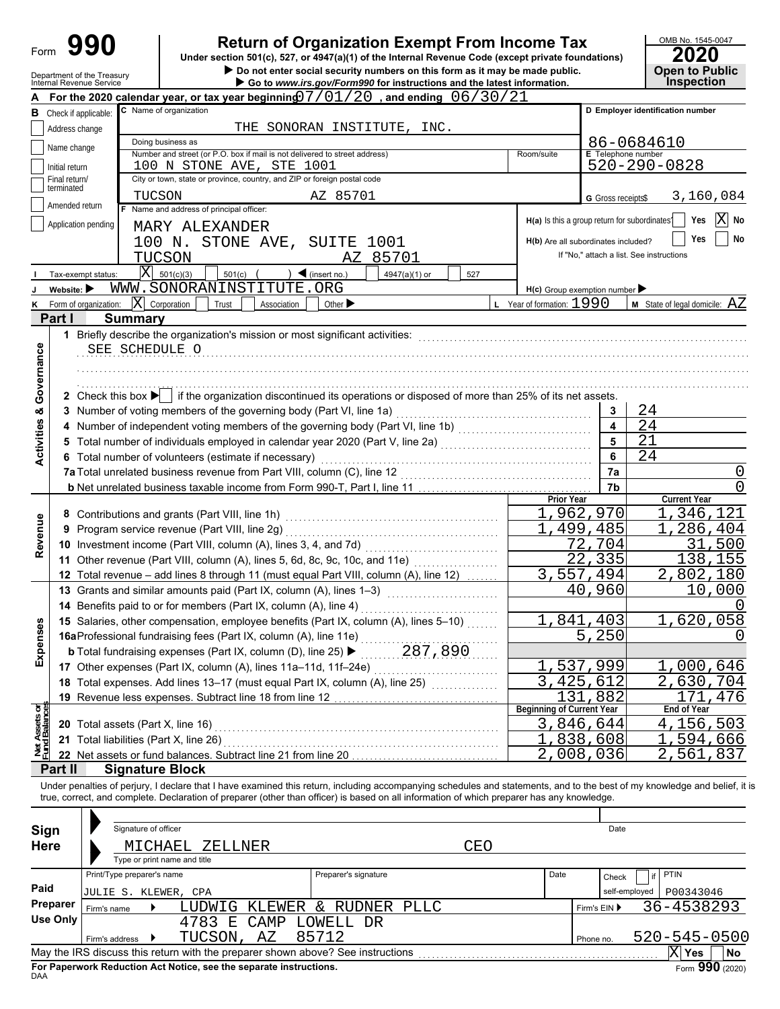| Form                           |                                | 990                                                                         |                                                                                                                  | <b>Return of Organization Exempt From Income Tax</b>                                                                                                                                                                           |                               |                                                           | OMB No. 1545-0047<br>2020              |
|--------------------------------|--------------------------------|-----------------------------------------------------------------------------|------------------------------------------------------------------------------------------------------------------|--------------------------------------------------------------------------------------------------------------------------------------------------------------------------------------------------------------------------------|-------------------------------|-----------------------------------------------------------|----------------------------------------|
|                                |                                |                                                                             |                                                                                                                  | Under section 501(c), 527, or 4947(a)(1) of the Internal Revenue Code (except private foundations)<br>Do not enter social security numbers on this form as it may be made public.                                              |                               |                                                           | <b>Open to Public</b>                  |
|                                |                                | Department of the Treasury<br>Internal Revenue Service                      |                                                                                                                  | Go to www.irs.gov/Form990 for instructions and the latest information.                                                                                                                                                         |                               |                                                           | <b>Inspection</b>                      |
|                                |                                |                                                                             |                                                                                                                  | For the 2020 calendar year, or tax year beginning $07/01/20$ , and ending $06/30/21$                                                                                                                                           |                               |                                                           |                                        |
|                                |                                | <b>B</b> Check if applicable:                                               | C Name of organization                                                                                           |                                                                                                                                                                                                                                |                               |                                                           | D Employer identification number       |
|                                | Address change                 |                                                                             | Doing business as                                                                                                | THE SONORAN INSTITUTE, INC.                                                                                                                                                                                                    |                               |                                                           |                                        |
|                                | Name change                    |                                                                             | Number and street (or P.O. box if mail is not delivered to street address)                                       |                                                                                                                                                                                                                                | Room/suite                    | <b>E</b> Telephone number                                 | 86-0684610                             |
|                                | Initial return                 |                                                                             | 100 N STONE AVE, STE 1001                                                                                        |                                                                                                                                                                                                                                |                               |                                                           | $520 - 290 - 0828$                     |
|                                | Final return/<br>terminated    |                                                                             | City or town, state or province, country, and ZIP or foreign postal code                                         |                                                                                                                                                                                                                                |                               |                                                           |                                        |
|                                | Amended return                 |                                                                             | TUCSON                                                                                                           | AZ 85701                                                                                                                                                                                                                       |                               | G Gross receipts\$                                        | 3,160,084                              |
|                                |                                |                                                                             | F Name and address of principal officer:                                                                         |                                                                                                                                                                                                                                |                               | H(a) Is this a group return for subordinates <sup>1</sup> | $ {\rm X} $<br>Yes<br>No               |
|                                |                                | Application pending                                                         | MARY ALEXANDER                                                                                                   |                                                                                                                                                                                                                                |                               |                                                           |                                        |
|                                |                                |                                                                             | 100 N. STONE AVE, SUITE 1001                                                                                     |                                                                                                                                                                                                                                |                               | H(b) Are all subordinates included?                       | Yes<br>No                              |
|                                |                                |                                                                             | TUCSON                                                                                                           | AZ 85701                                                                                                                                                                                                                       |                               | If "No," attach a list. See instructions                  |                                        |
|                                |                                | Tax-exempt status:                                                          | $ \bar{X} $ 501(c)(3)<br>501(c)                                                                                  | $\triangleleft$ (insert no.)<br>4947(a)(1) or<br>527                                                                                                                                                                           |                               |                                                           |                                        |
|                                | Website: $\blacktriangleright$ | K Form of organization:                                                     | WWW.SONORANINSTITUTE.ORG<br>$ \mathbf{X} $ Corporation<br>Trust<br>Association                                   | Other $\blacktriangleright$                                                                                                                                                                                                    | $L$ Year of formation: $1990$ | $H(c)$ Group exemption number                             | <b>M</b> State of legal domicile: $AZ$ |
|                                | Part I                         | <b>Summary</b>                                                              |                                                                                                                  |                                                                                                                                                                                                                                |                               |                                                           |                                        |
|                                | 1                              |                                                                             |                                                                                                                  |                                                                                                                                                                                                                                |                               |                                                           |                                        |
|                                |                                | SEE SCHEDULE O                                                              |                                                                                                                  |                                                                                                                                                                                                                                |                               |                                                           |                                        |
|                                |                                |                                                                             |                                                                                                                  |                                                                                                                                                                                                                                |                               |                                                           |                                        |
|                                |                                |                                                                             |                                                                                                                  |                                                                                                                                                                                                                                |                               |                                                           |                                        |
| Governance                     |                                |                                                                             |                                                                                                                  | 2 Check this box $\blacktriangleright$ if the organization discontinued its operations or disposed of more than 25% of its net assets.                                                                                         |                               |                                                           |                                        |
| œ                              |                                |                                                                             | 3 Number of voting members of the governing body (Part VI, line 1a)                                              |                                                                                                                                                                                                                                |                               | 3                                                         | 24                                     |
|                                |                                |                                                                             |                                                                                                                  | 4 Number of independent voting members of the governing body (Part VI, line 1b) [100] [100] [100] [100] [100] [100] [100] [100] [100] [100] [100] [100] [100] [100] [100] [100] [100] [100] [100] [100] [100] [100] [100] [100 |                               | 4                                                         | 24                                     |
| Activities                     |                                |                                                                             |                                                                                                                  |                                                                                                                                                                                                                                |                               | 5                                                         | 21                                     |
|                                |                                |                                                                             | 6 Total number of volunteers (estimate if necessary)                                                             |                                                                                                                                                                                                                                |                               | 6                                                         | 24                                     |
|                                |                                |                                                                             |                                                                                                                  |                                                                                                                                                                                                                                |                               | 7a                                                        | $\cup$                                 |
|                                |                                |                                                                             |                                                                                                                  |                                                                                                                                                                                                                                |                               | 7b                                                        | 0                                      |
|                                |                                |                                                                             |                                                                                                                  |                                                                                                                                                                                                                                | Prior Year                    | 1,962,970                                                 | <b>Current Year</b><br>346,121         |
| Revenue                        |                                |                                                                             | 8 Contributions and grants (Part VIII, line 1h)                                                                  |                                                                                                                                                                                                                                |                               | 499,485                                                   | 286,404                                |
|                                | 9                              |                                                                             | Program service revenue (Part VIII, line 2g)<br>10 Investment income (Part VIII, column (A), lines 3, 4, and 7d) |                                                                                                                                                                                                                                |                               | 704<br>72.                                                | 31<br>500                              |
|                                |                                |                                                                             |                                                                                                                  | 11 Other revenue (Part VIII, column (A), lines 5, 6d, 8c, 9c, 10c, and 11e)                                                                                                                                                    |                               | $\overline{22,335}$                                       | 138,155                                |
|                                |                                |                                                                             |                                                                                                                  | 12 Total revenue - add lines 8 through 11 (must equal Part VIII, column (A), line 12)                                                                                                                                          |                               | 3,557,494                                                 | 2,802,180                              |
|                                |                                |                                                                             | 13 Grants and similar amounts paid (Part IX, column (A), lines 1-3)                                              |                                                                                                                                                                                                                                |                               | 40,960                                                    | 10,000                                 |
|                                |                                |                                                                             | 14 Benefits paid to or for members (Part IX, column (A), line 4)                                                 |                                                                                                                                                                                                                                |                               |                                                           |                                        |
|                                |                                |                                                                             |                                                                                                                  | 15 Salaries, other compensation, employee benefits (Part IX, column (A), lines 5–10)                                                                                                                                           |                               | 841,403                                                   | 1,620,058                              |
| Expenses                       |                                |                                                                             | 16aProfessional fundraising fees (Part IX, column (A), line 11e)                                                 |                                                                                                                                                                                                                                |                               | 5,250                                                     | 0                                      |
|                                |                                |                                                                             | <b>b</b> Total fundraising expenses (Part IX, column (D), line 25) ▶                                             | 287,890                                                                                                                                                                                                                        |                               |                                                           |                                        |
|                                |                                |                                                                             | 17 Other expenses (Part IX, column (A), lines 11a-11d, 11f-24e)                                                  | .                                                                                                                                                                                                                              |                               | 537,999                                                   | 1,000,646                              |
|                                |                                |                                                                             | 18 Total expenses. Add lines 13-17 (must equal Part IX, column (A), line 25)                                     |                                                                                                                                                                                                                                |                               | 3,425,612                                                 | 2,630,704                              |
|                                |                                |                                                                             | 19 Revenue less expenses. Subtract line 18 from line 12                                                          |                                                                                                                                                                                                                                | $13\overline{1}$ .            | 882                                                       | 171.<br>476                            |
|                                |                                |                                                                             |                                                                                                                  |                                                                                                                                                                                                                                | Beginning of Current Year     |                                                           | <b>End of Year</b>                     |
|                                |                                | 20 Total assets (Part X, line 16)<br>21 Total liabilities (Part X, line 26) |                                                                                                                  |                                                                                                                                                                                                                                |                               | 3,846,644<br>1,838,608                                    | 4,156,503<br>594,666                   |
| Net Assets or<br>Fund Balances |                                |                                                                             | 22 Net assets or fund balances. Subtract line 21 from line 20                                                    |                                                                                                                                                                                                                                |                               | 2,008,036                                                 | 2,561,837                              |
|                                | Part II                        | <b>Signature Block</b>                                                      |                                                                                                                  |                                                                                                                                                                                                                                |                               |                                                           |                                        |
|                                |                                |                                                                             |                                                                                                                  | Under penalties of perjury, I declare that I have examined this return, including accompanying schedules and statements, and to the best of my knowledge and belief, it i                                                      |                               |                                                           |                                        |
|                                |                                |                                                                             |                                                                                                                  | true, correct, and complete. Declaration of preparer (other than officer) is based on all information of which preparer has any knowledge.                                                                                     |                               |                                                           |                                        |
|                                |                                |                                                                             |                                                                                                                  |                                                                                                                                                                                                                                |                               |                                                           |                                        |
| Sign                           |                                | Signature of officer                                                        |                                                                                                                  |                                                                                                                                                                                                                                |                               | Date                                                      |                                        |
| <b>Here</b>                    |                                |                                                                             | MICHAEL<br>ZELLNER                                                                                               | CEO                                                                                                                                                                                                                            |                               |                                                           |                                        |
|                                |                                |                                                                             | Type or print name and title                                                                                     |                                                                                                                                                                                                                                |                               |                                                           |                                        |
|                                |                                | Print/Type preparer's name                                                  |                                                                                                                  | Preparer's signature                                                                                                                                                                                                           | Date                          | Check                                                     | PTIN                                   |
| Paid                           |                                | JULIE S. KLEWER, CPA                                                        |                                                                                                                  |                                                                                                                                                                                                                                |                               | self-employed                                             | P00343046                              |
|                                | Preparer                       | Firm's name                                                                 | LUDWIG                                                                                                           | KLEWER & RUDNER PLLC                                                                                                                                                                                                           |                               | Firm's EIN ▶                                              | 36-4538293                             |
|                                | <b>Use Only</b>                |                                                                             | 4783 E                                                                                                           | CAMP LOWELL DR                                                                                                                                                                                                                 |                               |                                                           |                                        |
|                                |                                | Firm's address<br>▸                                                         | TUCSON, AZ                                                                                                       | 85712                                                                                                                                                                                                                          |                               | Phone no.                                                 | 520-545-0500                           |
|                                |                                |                                                                             |                                                                                                                  |                                                                                                                                                                                                                                |                               |                                                           | $ X $ Yes<br>No                        |

| Sign<br><b>Here</b> | Signature of officer<br>MICHAEL ZELLNER<br>Type or print name and title                                  | CEO                  |      | Date                       |
|---------------------|----------------------------------------------------------------------------------------------------------|----------------------|------|----------------------------|
|                     | Print/Type preparer's name                                                                               | Preparer's signature | Date | PTIN<br>Check              |
| Paid                | UULIE S. KLEWER, CPA                                                                                     |                      |      | P00343046<br>self-employed |
| Preparer            | LUDWIG<br>Firm's name                                                                                    | KLEWER & RUDNER PLLC |      | 36-4538293<br>Firm's $EIN$ |
| Use Only            | 4783<br>CAMP<br>Е.                                                                                       | LOWELL DR            |      |                            |
|                     | TUCSON,<br>AZ<br>Firm's address                                                                          | 85712                |      | 520-545-0500<br>Phone no.  |
|                     | May the IRS discuss this return with the preparer shown above? See instructions<br>X<br>No<br><b>Yes</b> |                      |      |                            |
| <b>DAA</b>          | For Paperwork Reduction Act Notice, see the separate instructions.                                       |                      |      | Form 990 (2020)            |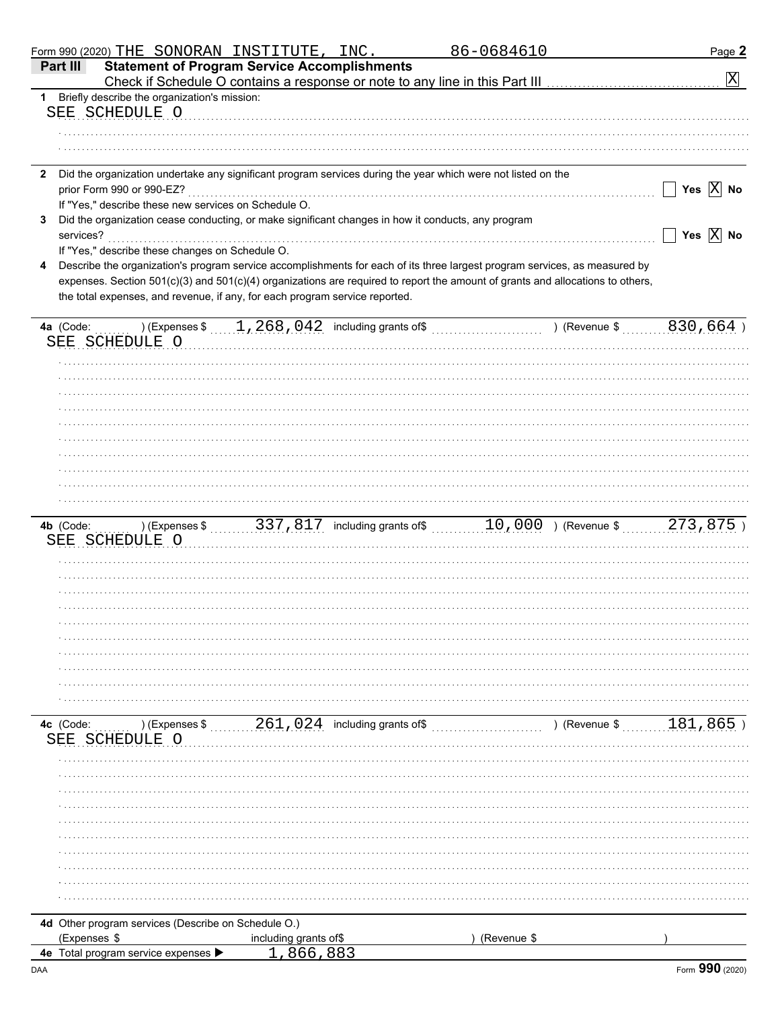|              | Form 990 (2020) THE SONORAN INSTITUTE, INC.                                                        |                       |                                                             | 86-0684610                                                                                                                                                                                                                                                   | Page 2                  |
|--------------|----------------------------------------------------------------------------------------------------|-----------------------|-------------------------------------------------------------|--------------------------------------------------------------------------------------------------------------------------------------------------------------------------------------------------------------------------------------------------------------|-------------------------|
| Part III     | <b>Statement of Program Service Accomplishments</b>                                                |                       |                                                             |                                                                                                                                                                                                                                                              | $\vert X \vert$         |
| 1.           | Briefly describe the organization's mission:                                                       |                       |                                                             |                                                                                                                                                                                                                                                              |                         |
|              | SEE SCHEDULE O                                                                                     |                       |                                                             |                                                                                                                                                                                                                                                              |                         |
|              |                                                                                                    |                       |                                                             |                                                                                                                                                                                                                                                              |                         |
|              |                                                                                                    |                       |                                                             |                                                                                                                                                                                                                                                              |                         |
|              |                                                                                                    |                       |                                                             | 2 Did the organization undertake any significant program services during the year which were not listed on the                                                                                                                                               |                         |
|              | prior Form 990 or 990-EZ?                                                                          |                       |                                                             |                                                                                                                                                                                                                                                              | Yes $\overline{X}$ No   |
|              | If "Yes," describe these new services on Schedule O.                                               |                       |                                                             |                                                                                                                                                                                                                                                              |                         |
| 3            | Did the organization cease conducting, or make significant changes in how it conducts, any program |                       |                                                             |                                                                                                                                                                                                                                                              |                         |
| services?    |                                                                                                    |                       |                                                             |                                                                                                                                                                                                                                                              | Yes $\overline{X}$ No   |
|              | If "Yes," describe these changes on Schedule O.                                                    |                       |                                                             |                                                                                                                                                                                                                                                              |                         |
| 4            |                                                                                                    |                       |                                                             | Describe the organization's program service accomplishments for each of its three largest program services, as measured by<br>expenses. Section 501(c)(3) and 501(c)(4) organizations are required to report the amount of grants and allocations to others, |                         |
|              | the total expenses, and revenue, if any, for each program service reported.                        |                       |                                                             |                                                                                                                                                                                                                                                              |                         |
|              |                                                                                                    |                       |                                                             |                                                                                                                                                                                                                                                              |                         |
| 4a (Code:    |                                                                                                    |                       | ) (Expenses $\frac{1}{2}$ , 268, 042 including grants of \$ | ) (Revenue \$                                                                                                                                                                                                                                                | 830,664)                |
|              | SEE SCHEDULE O                                                                                     |                       |                                                             |                                                                                                                                                                                                                                                              |                         |
|              |                                                                                                    |                       |                                                             |                                                                                                                                                                                                                                                              |                         |
|              |                                                                                                    |                       |                                                             |                                                                                                                                                                                                                                                              |                         |
|              |                                                                                                    |                       |                                                             |                                                                                                                                                                                                                                                              |                         |
|              |                                                                                                    |                       |                                                             |                                                                                                                                                                                                                                                              |                         |
|              |                                                                                                    |                       |                                                             |                                                                                                                                                                                                                                                              |                         |
|              |                                                                                                    |                       |                                                             |                                                                                                                                                                                                                                                              |                         |
|              |                                                                                                    |                       |                                                             |                                                                                                                                                                                                                                                              |                         |
|              |                                                                                                    |                       |                                                             |                                                                                                                                                                                                                                                              |                         |
|              |                                                                                                    |                       |                                                             |                                                                                                                                                                                                                                                              |                         |
| 4b (Code:    |                                                                                                    |                       |                                                             | ) (Expenses \$ 337, 817 including grants of \$ 10, 000 ) (Revenue \$ 273, 875 )                                                                                                                                                                              |                         |
|              | SEE SCHEDULE O                                                                                     |                       |                                                             |                                                                                                                                                                                                                                                              |                         |
|              |                                                                                                    |                       |                                                             |                                                                                                                                                                                                                                                              |                         |
|              |                                                                                                    |                       |                                                             |                                                                                                                                                                                                                                                              |                         |
|              |                                                                                                    |                       |                                                             |                                                                                                                                                                                                                                                              |                         |
|              |                                                                                                    |                       |                                                             |                                                                                                                                                                                                                                                              |                         |
|              |                                                                                                    |                       |                                                             |                                                                                                                                                                                                                                                              |                         |
|              |                                                                                                    |                       |                                                             |                                                                                                                                                                                                                                                              |                         |
|              |                                                                                                    |                       |                                                             |                                                                                                                                                                                                                                                              |                         |
|              |                                                                                                    |                       |                                                             |                                                                                                                                                                                                                                                              |                         |
|              |                                                                                                    |                       |                                                             |                                                                                                                                                                                                                                                              |                         |
| 4c (Code:    | ) (Expenses \$                                                                                     |                       | $261,024$ including grants of\$                             |                                                                                                                                                                                                                                                              | ) (Revenue \$ 181, 865) |
| SEE          | SCHEDULE O                                                                                         |                       |                                                             |                                                                                                                                                                                                                                                              |                         |
|              |                                                                                                    |                       |                                                             |                                                                                                                                                                                                                                                              |                         |
|              |                                                                                                    |                       |                                                             |                                                                                                                                                                                                                                                              |                         |
|              |                                                                                                    |                       |                                                             |                                                                                                                                                                                                                                                              |                         |
|              |                                                                                                    |                       |                                                             |                                                                                                                                                                                                                                                              |                         |
|              |                                                                                                    |                       |                                                             |                                                                                                                                                                                                                                                              |                         |
|              |                                                                                                    |                       |                                                             |                                                                                                                                                                                                                                                              |                         |
|              |                                                                                                    |                       |                                                             |                                                                                                                                                                                                                                                              |                         |
|              |                                                                                                    |                       |                                                             |                                                                                                                                                                                                                                                              |                         |
|              |                                                                                                    |                       |                                                             |                                                                                                                                                                                                                                                              |                         |
|              | 4d Other program services (Describe on Schedule O.)                                                |                       |                                                             |                                                                                                                                                                                                                                                              |                         |
| (Expenses \$ |                                                                                                    | including grants of\$ |                                                             | (Revenue \$                                                                                                                                                                                                                                                  |                         |
|              | 4e Total program service expenses                                                                  | 866                   | <b>RR3</b>                                                  |                                                                                                                                                                                                                                                              |                         |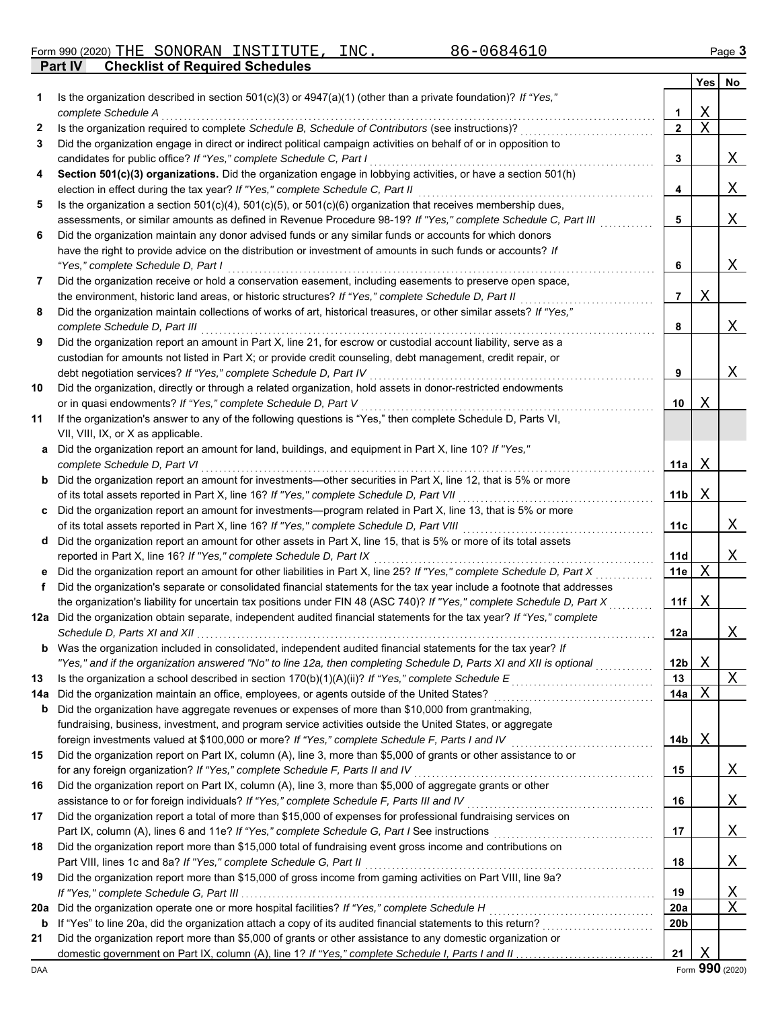Form 990 (2020) Page **3** THE SONORAN INSTITUTE, INC. 86-0684610

**Part IV Checklist of Required Schedules**

|     |                                                                                                                                                                                                                     |                 | Yes | No |
|-----|---------------------------------------------------------------------------------------------------------------------------------------------------------------------------------------------------------------------|-----------------|-----|----|
| 1   | Is the organization described in section $501(c)(3)$ or $4947(a)(1)$ (other than a private foundation)? If "Yes,"                                                                                                   |                 |     |    |
|     | complete Schedule A                                                                                                                                                                                                 | 1               | Χ   |    |
| 2   | Is the organization required to complete Schedule B, Schedule of Contributors (see instructions)?                                                                                                                   | $\mathbf{2}$    | X   |    |
| 3   | Did the organization engage in direct or indirect political campaign activities on behalf of or in opposition to                                                                                                    |                 |     |    |
|     | candidates for public office? If "Yes," complete Schedule C, Part I                                                                                                                                                 | 3               |     | X  |
| 4   | Section 501(c)(3) organizations. Did the organization engage in lobbying activities, or have a section 501(h)                                                                                                       |                 |     |    |
|     | election in effect during the tax year? If "Yes," complete Schedule C, Part II                                                                                                                                      | 4               |     | Χ  |
| 5   | Is the organization a section $501(c)(4)$ , $501(c)(5)$ , or $501(c)(6)$ organization that receives membership dues,                                                                                                |                 |     |    |
|     | assessments, or similar amounts as defined in Revenue Procedure 98-19? If "Yes," complete Schedule C, Part III                                                                                                      | 5               |     | Χ  |
| 6   | Did the organization maintain any donor advised funds or any similar funds or accounts for which donors                                                                                                             |                 |     |    |
|     | have the right to provide advice on the distribution or investment of amounts in such funds or accounts? If                                                                                                         |                 |     |    |
|     | "Yes," complete Schedule D, Part I                                                                                                                                                                                  | 6               |     | X  |
| 7   | Did the organization receive or hold a conservation easement, including easements to preserve open space,                                                                                                           |                 |     |    |
|     | the environment, historic land areas, or historic structures? If "Yes," complete Schedule D, Part II                                                                                                                | 7               | Χ   |    |
| 8   | Did the organization maintain collections of works of art, historical treasures, or other similar assets? If "Yes,"                                                                                                 |                 |     |    |
|     | complete Schedule D, Part III                                                                                                                                                                                       | 8               |     | X  |
| 9   | Did the organization report an amount in Part X, line 21, for escrow or custodial account liability, serve as a                                                                                                     |                 |     |    |
|     | custodian for amounts not listed in Part X; or provide credit counseling, debt management, credit repair, or                                                                                                        |                 |     |    |
|     | debt negotiation services? If "Yes," complete Schedule D, Part IV                                                                                                                                                   | 9               |     | X  |
| 10  | Did the organization, directly or through a related organization, hold assets in donor-restricted endowments                                                                                                        |                 |     |    |
|     | or in quasi endowments? If "Yes," complete Schedule D, Part V                                                                                                                                                       | 10              | Χ   |    |
| 11  | If the organization's answer to any of the following questions is "Yes," then complete Schedule D, Parts VI,                                                                                                        |                 |     |    |
|     | VII, VIII, IX, or X as applicable.                                                                                                                                                                                  |                 |     |    |
| а   | Did the organization report an amount for land, buildings, and equipment in Part X, line 10? If "Yes,"                                                                                                              |                 |     |    |
|     | complete Schedule D, Part VI                                                                                                                                                                                        | 11a             | Χ   |    |
| b   | Did the organization report an amount for investments-other securities in Part X, line 12, that is 5% or more                                                                                                       |                 |     |    |
|     | of its total assets reported in Part X, line 16? If "Yes," complete Schedule D, Part VII                                                                                                                            | 11b             | Χ   |    |
| c   | Did the organization report an amount for investments—program related in Part X, line 13, that is 5% or more                                                                                                        |                 |     |    |
|     | of its total assets reported in Part X, line 16? If "Yes," complete Schedule D, Part VIII [[[[[[[[[[[[[[[[[[[                                                                                                       | 11c             |     | Χ  |
| d   | Did the organization report an amount for other assets in Part X, line 15, that is 5% or more of its total assets                                                                                                   |                 |     |    |
|     | reported in Part X, line 16? If "Yes," complete Schedule D, Part IX                                                                                                                                                 | 11d             |     | Χ  |
| е   | Did the organization report an amount for other liabilities in Part X, line 25? If "Yes," complete Schedule D, Part X                                                                                               | 11e             | Χ   |    |
| f   | Did the organization's separate or consolidated financial statements for the tax year include a footnote that addresses                                                                                             |                 |     |    |
|     | the organization's liability for uncertain tax positions under FIN 48 (ASC 740)? If "Yes," complete Schedule D, Part X                                                                                              | 11f             | Χ   |    |
|     | 12a Did the organization obtain separate, independent audited financial statements for the tax year? If "Yes," complete                                                                                             |                 |     |    |
|     |                                                                                                                                                                                                                     | 12a             |     | Χ  |
| b   | Was the organization included in consolidated, independent audited financial statements for the tax year? If                                                                                                        |                 |     |    |
|     | "Yes," and if the organization answered "No" to line 12a, then completing Schedule D, Parts XI and XII is optional                                                                                                  | 12 <sub>b</sub> | Χ   |    |
| 13  |                                                                                                                                                                                                                     | 13              |     | Χ  |
| 14a | Did the organization maintain an office, employees, or agents outside of the United States?                                                                                                                         | 14a             | Χ   |    |
| b   | Did the organization have aggregate revenues or expenses of more than \$10,000 from grantmaking,                                                                                                                    |                 |     |    |
|     | fundraising, business, investment, and program service activities outside the United States, or aggregate                                                                                                           |                 |     |    |
| 15  | foreign investments valued at \$100,000 or more? If "Yes," complete Schedule F, Parts I and IV<br>Did the organization report on Part IX, column (A), line 3, more than \$5,000 of grants or other assistance to or | 14b             | Χ   |    |
|     | for any foreign organization? If "Yes," complete Schedule F, Parts II and IV                                                                                                                                        | 15              |     | Χ  |
| 16  | Did the organization report on Part IX, column (A), line 3, more than \$5,000 of aggregate grants or other                                                                                                          |                 |     |    |
|     | assistance to or for foreign individuals? If "Yes," complete Schedule F, Parts III and IV                                                                                                                           | 16              |     | Χ  |
| 17  | Did the organization report a total of more than \$15,000 of expenses for professional fundraising services on                                                                                                      |                 |     |    |
|     |                                                                                                                                                                                                                     | 17              |     | Χ  |
| 18  | Did the organization report more than \$15,000 total of fundraising event gross income and contributions on                                                                                                         |                 |     |    |
|     | Part VIII, lines 1c and 8a? If "Yes," complete Schedule G, Part II                                                                                                                                                  | 18              |     | Χ  |
| 19  | Did the organization report more than \$15,000 of gross income from gaming activities on Part VIII, line 9a?                                                                                                        |                 |     |    |
|     |                                                                                                                                                                                                                     | 19              |     | Χ  |
| 20a | Did the organization operate one or more hospital facilities? If "Yes," complete Schedule H                                                                                                                         | 20a             |     | Χ  |
| b   |                                                                                                                                                                                                                     | 20b             |     |    |
| 21  | Did the organization report more than \$5,000 of grants or other assistance to any domestic organization or                                                                                                         |                 |     |    |
|     |                                                                                                                                                                                                                     | 21              | Χ   |    |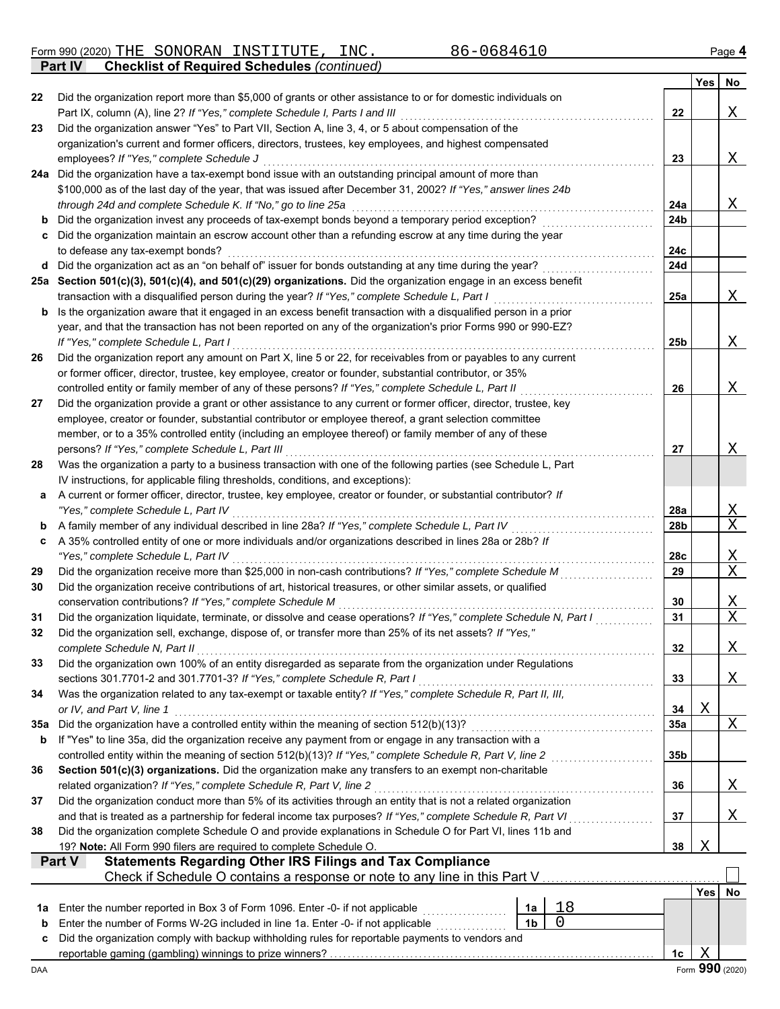Form 990 (2020) Page **4** THE SONORAN INSTITUTE, INC. 86-0684610

**Part IV Checklist of Required Schedules** *(continued)*

|     |                                                                                                                                                                                                                             |                 | Yes        | No               |
|-----|-----------------------------------------------------------------------------------------------------------------------------------------------------------------------------------------------------------------------------|-----------------|------------|------------------|
| 22  | Did the organization report more than \$5,000 of grants or other assistance to or for domestic individuals on                                                                                                               |                 |            |                  |
|     | Part IX, column (A), line 2? If "Yes," complete Schedule I, Parts I and III                                                                                                                                                 | 22              |            | Χ                |
| 23  | Did the organization answer "Yes" to Part VII, Section A, line 3, 4, or 5 about compensation of the                                                                                                                         |                 |            |                  |
|     | organization's current and former officers, directors, trustees, key employees, and highest compensated                                                                                                                     |                 |            |                  |
|     | employees? If "Yes," complete Schedule J                                                                                                                                                                                    | 23              |            | Χ                |
|     | 24a Did the organization have a tax-exempt bond issue with an outstanding principal amount of more than<br>\$100,000 as of the last day of the year, that was issued after December 31, 2002? If "Yes," answer lines 24b    |                 |            |                  |
|     | through 24d and complete Schedule K. If "No," go to line 25a                                                                                                                                                                | 24a             |            | Χ                |
| b   | Did the organization invest any proceeds of tax-exempt bonds beyond a temporary period exception?                                                                                                                           | 24b             |            |                  |
| c   | Did the organization maintain an escrow account other than a refunding escrow at any time during the year                                                                                                                   |                 |            |                  |
|     | to defease any tax-exempt bonds?                                                                                                                                                                                            | 24c             |            |                  |
|     | d Did the organization act as an "on behalf of" issuer for bonds outstanding at any time during the year?                                                                                                                   | 24d             |            |                  |
|     | 25a Section 501(c)(3), 501(c)(4), and 501(c)(29) organizations. Did the organization engage in an excess benefit                                                                                                            |                 |            |                  |
|     | transaction with a disqualified person during the year? If "Yes," complete Schedule L, Part I                                                                                                                               | 25a             |            | Χ                |
| b   | Is the organization aware that it engaged in an excess benefit transaction with a disqualified person in a prior                                                                                                            |                 |            |                  |
|     | year, and that the transaction has not been reported on any of the organization's prior Forms 990 or 990-EZ?                                                                                                                |                 |            |                  |
|     | If "Yes," complete Schedule L, Part I                                                                                                                                                                                       | 25 <sub>b</sub> |            | Χ                |
| 26  | Did the organization report any amount on Part X, line 5 or 22, for receivables from or payables to any current                                                                                                             |                 |            |                  |
|     | or former officer, director, trustee, key employee, creator or founder, substantial contributor, or 35%                                                                                                                     |                 |            |                  |
|     | controlled entity or family member of any of these persons? If "Yes," complete Schedule L, Part II                                                                                                                          | 26              |            | Χ                |
| 27  | Did the organization provide a grant or other assistance to any current or former officer, director, trustee, key<br>employee, creator or founder, substantial contributor or employee thereof, a grant selection committee |                 |            |                  |
|     | member, or to a 35% controlled entity (including an employee thereof) or family member of any of these                                                                                                                      |                 |            |                  |
|     | persons? If "Yes," complete Schedule L, Part III                                                                                                                                                                            | 27              |            | Χ                |
| 28  | Was the organization a party to a business transaction with one of the following parties (see Schedule L, Part                                                                                                              |                 |            |                  |
|     | IV instructions, for applicable filing thresholds, conditions, and exceptions):                                                                                                                                             |                 |            |                  |
| a   | A current or former officer, director, trustee, key employee, creator or founder, or substantial contributor? If                                                                                                            |                 |            |                  |
|     | "Yes," complete Schedule L, Part IV                                                                                                                                                                                         | 28a             |            | <u>X</u>         |
| b   | A family member of any individual described in line 28a? If "Yes," complete Schedule L, Part IV                                                                                                                             | 28b             |            | $\mathbf X$      |
| c   | A 35% controlled entity of one or more individuals and/or organizations described in lines 28a or 28b? If                                                                                                                   |                 |            |                  |
|     | "Yes," complete Schedule L, Part IV                                                                                                                                                                                         | 28c             |            | <u>X</u>         |
| 29  | Did the organization receive more than \$25,000 in non-cash contributions? If "Yes," complete Schedule M                                                                                                                    | 29              |            | $\mathbf X$      |
| 30  | Did the organization receive contributions of art, historical treasures, or other similar assets, or qualified                                                                                                              |                 |            |                  |
| 31  | conservation contributions? If "Yes," complete Schedule M<br>Did the organization liquidate, terminate, or dissolve and cease operations? If "Yes," complete Schedule N, Part I                                             | 30<br>31        |            | Χ<br>$\mathbf X$ |
| 32  | Did the organization sell, exchange, dispose of, or transfer more than 25% of its net assets? If "Yes,"                                                                                                                     |                 |            |                  |
|     | complete Schedule N, Part II                                                                                                                                                                                                | 32              |            | Χ                |
| 33  | Did the organization own 100% of an entity disregarded as separate from the organization under Regulations                                                                                                                  |                 |            |                  |
|     | sections 301.7701-2 and 301.7701-3? If "Yes," complete Schedule R, Part I                                                                                                                                                   | 33              |            | Χ                |
| 34  | Was the organization related to any tax-exempt or taxable entity? If "Yes," complete Schedule R, Part II, III,                                                                                                              |                 |            |                  |
|     | or IV, and Part V, line 1                                                                                                                                                                                                   | 34              | X          |                  |
| 35a | Did the organization have a controlled entity within the meaning of section 512(b)(13)?                                                                                                                                     | 35a             |            | Χ                |
| b   | If "Yes" to line 35a, did the organization receive any payment from or engage in any transaction with a                                                                                                                     |                 |            |                  |
|     |                                                                                                                                                                                                                             | 35b             |            |                  |
| 36  | Section 501(c)(3) organizations. Did the organization make any transfers to an exempt non-charitable                                                                                                                        |                 |            |                  |
|     | related organization? If "Yes," complete Schedule R, Part V, line 2                                                                                                                                                         | 36              |            | Χ                |
| 37  | Did the organization conduct more than 5% of its activities through an entity that is not a related organization                                                                                                            |                 |            |                  |
| 38  | and that is treated as a partnership for federal income tax purposes? If "Yes," complete Schedule R, Part VI<br>Did the organization complete Schedule O and provide explanations in Schedule O for Part VI, lines 11b and  | 37              |            | Χ                |
|     | 19? Note: All Form 990 filers are required to complete Schedule O.                                                                                                                                                          | 38              | X          |                  |
|     | <b>Statements Regarding Other IRS Filings and Tax Compliance</b><br><b>Part V</b>                                                                                                                                           |                 |            |                  |
|     | Check if Schedule O contains a response or note to any line in this Part V                                                                                                                                                  |                 |            |                  |
|     |                                                                                                                                                                                                                             |                 | <b>Yes</b> | No               |
| 1a  | 18<br>Enter the number reported in Box 3 of Form 1096. Enter -0- if not applicable<br>1a                                                                                                                                    |                 |            |                  |
| b   | 0<br>Enter the number of Forms W-2G included in line 1a. Enter -0- if not applicable [[[[[[[[[[[[[[[[[[[[[[[[[[[[[<br>1 <sub>b</sub>                                                                                        |                 |            |                  |
| c   | Did the organization comply with backup withholding rules for reportable payments to vendors and                                                                                                                            |                 |            |                  |
|     |                                                                                                                                                                                                                             | 1c              | X          |                  |
| DAA |                                                                                                                                                                                                                             |                 |            | Form 990 (2020)  |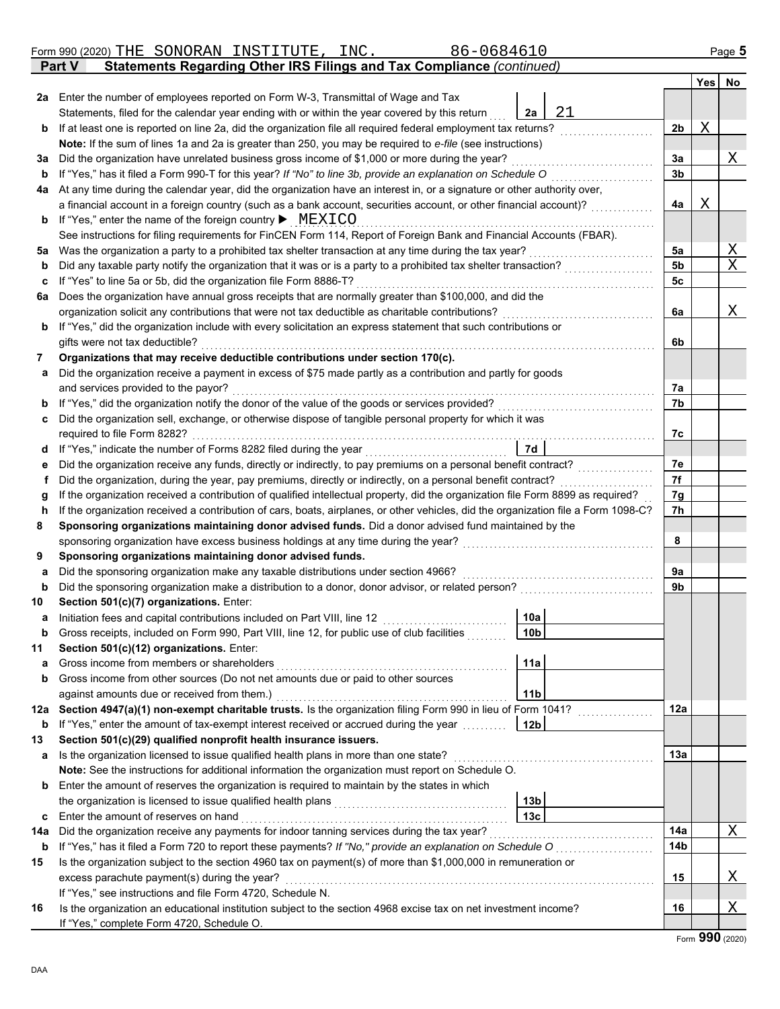|         | 86-0684610<br>Form 990 (2020) THE SONORAN INSTITUTE, INC.                                                                                                                                                  |                 |                |   | Page 5 |
|---------|------------------------------------------------------------------------------------------------------------------------------------------------------------------------------------------------------------|-----------------|----------------|---|--------|
|         | Statements Regarding Other IRS Filings and Tax Compliance (continued)<br>Part V                                                                                                                            |                 |                |   |        |
|         |                                                                                                                                                                                                            |                 |                |   | Yes No |
|         | 2a Enter the number of employees reported on Form W-3, Transmittal of Wage and Tax                                                                                                                         |                 |                |   |        |
|         | Statements, filed for the calendar year ending with or within the year covered by this return                                                                                                              | 21<br>2a        |                |   |        |
| b       | If at least one is reported on line 2a, did the organization file all required federal employment tax returns?                                                                                             |                 | 2 <sub>b</sub> | Χ |        |
|         | Note: If the sum of lines 1a and 2a is greater than 250, you may be required to e-file (see instructions)                                                                                                  |                 |                |   |        |
| За      | Did the organization have unrelated business gross income of \$1,000 or more during the year?                                                                                                              |                 | За             |   | Χ      |
| b       | If "Yes," has it filed a Form 990-T for this year? If "No" to line 3b, provide an explanation on Schedule O                                                                                                |                 | 3 <sub>b</sub> |   |        |
| 4a      | At any time during the calendar year, did the organization have an interest in, or a signature or other authority over,                                                                                    |                 |                |   |        |
|         | a financial account in a foreign country (such as a bank account, securities account, or other financial account)?                                                                                         |                 | 4a             | Χ |        |
| b       | If "Yes," enter the name of the foreign country $\blacktriangleright$ MEXICO                                                                                                                               |                 |                |   |        |
|         | See instructions for filing requirements for FinCEN Form 114, Report of Foreign Bank and Financial Accounts (FBAR).                                                                                        |                 |                |   |        |
| 5a      | Was the organization a party to a prohibited tax shelter transaction at any time during the tax year?                                                                                                      | .               | 5a             |   | Χ      |
| b       | Did any taxable party notify the organization that it was or is a party to a prohibited tax shelter transaction?                                                                                           |                 | 5b             |   | X      |
| c       | If "Yes" to line 5a or 5b, did the organization file Form 8886-T?                                                                                                                                          |                 | 5c             |   |        |
| 6a      | Does the organization have annual gross receipts that are normally greater than \$100,000, and did the<br>organization solicit any contributions that were not tax deductible as charitable contributions? |                 | 6a             |   | Χ      |
|         | If "Yes," did the organization include with every solicitation an express statement that such contributions or                                                                                             |                 |                |   |        |
| b       | gifts were not tax deductible?                                                                                                                                                                             |                 | 6b             |   |        |
| 7       | Organizations that may receive deductible contributions under section 170(c).                                                                                                                              |                 |                |   |        |
| a       | Did the organization receive a payment in excess of \$75 made partly as a contribution and partly for goods                                                                                                |                 |                |   |        |
|         | and services provided to the payor?                                                                                                                                                                        |                 | 7а             |   |        |
| b       | If "Yes," did the organization notify the donor of the value of the goods or services provided?                                                                                                            |                 | 7b             |   |        |
| c       | Did the organization sell, exchange, or otherwise dispose of tangible personal property for which it was                                                                                                   |                 |                |   |        |
|         | required to file Form 8282?                                                                                                                                                                                |                 | 7c             |   |        |
| d       |                                                                                                                                                                                                            | 7d              |                |   |        |
| е       | Did the organization receive any funds, directly or indirectly, to pay premiums on a personal benefit contract?                                                                                            |                 | 7е             |   |        |
| f       | Did the organization, during the year, pay premiums, directly or indirectly, on a personal benefit contract?                                                                                               |                 | 7f             |   |        |
| g       | If the organization received a contribution of qualified intellectual property, did the organization file Form 8899 as required?                                                                           |                 | 7g             |   |        |
| h       | If the organization received a contribution of cars, boats, airplanes, or other vehicles, did the organization file a Form 1098-C?                                                                         |                 | 7h             |   |        |
| 8       | Sponsoring organizations maintaining donor advised funds. Did a donor advised fund maintained by the                                                                                                       |                 |                |   |        |
|         | sponsoring organization have excess business holdings at any time during the year?                                                                                                                         |                 | 8              |   |        |
| 9       | Sponsoring organizations maintaining donor advised funds.                                                                                                                                                  |                 |                |   |        |
| a       | Did the sponsoring organization make any taxable distributions under section 4966?                                                                                                                         |                 | 9a             |   |        |
| b       | Did the sponsoring organization make a distribution to a donor, donor advisor, or related person?                                                                                                          |                 | 9b             |   |        |
| 10      | Section 501(c)(7) organizations. Enter:                                                                                                                                                                    |                 |                |   |        |
|         | Initiation fees and capital contributions included on Part VIII, line 12                                                                                                                                   | 10a             |                |   |        |
| b       | Gross receipts, included on Form 990, Part VIII, line 12, for public use of club facilities                                                                                                                | 10b             |                |   |        |
| 11      | Section 501(c)(12) organizations. Enter:                                                                                                                                                                   |                 |                |   |        |
| а       | Gross income from members or shareholders                                                                                                                                                                  | 11a             |                |   |        |
| b       | Gross income from other sources (Do not net amounts due or paid to other sources                                                                                                                           |                 |                |   |        |
|         | against amounts due or received from them.)                                                                                                                                                                | 11 <sub>b</sub> | 12a            |   |        |
| 12a     | Section 4947(a)(1) non-exempt charitable trusts. Is the organization filing Form 990 in lieu of Form 1041?<br>If "Yes," enter the amount of tax-exempt interest received or accrued during the year        |                 |                |   |        |
| b<br>13 | Section 501(c)(29) qualified nonprofit health insurance issuers.                                                                                                                                           | 12b             |                |   |        |
| а       | Is the organization licensed to issue qualified health plans in more than one state?                                                                                                                       |                 | 13a            |   |        |
|         | Note: See the instructions for additional information the organization must report on Schedule O.                                                                                                          |                 |                |   |        |
| b       | Enter the amount of reserves the organization is required to maintain by the states in which                                                                                                               |                 |                |   |        |
|         | the organization is licensed to issue qualified health plans                                                                                                                                               | 13 <sub>b</sub> |                |   |        |
| c       | Enter the amount of reserves on hand                                                                                                                                                                       | 13 <sub>c</sub> |                |   |        |
| 14a     | Did the organization receive any payments for indoor tanning services during the tax year?                                                                                                                 |                 | 14a            |   | Χ      |
| b       | If "Yes," has it filed a Form 720 to report these payments? If "No," provide an explanation on Schedule O                                                                                                  |                 | 14b            |   |        |
| 15      | Is the organization subject to the section 4960 tax on payment(s) of more than \$1,000,000 in remuneration or                                                                                              |                 |                |   |        |
|         | excess parachute payment(s) during the year?                                                                                                                                                               |                 | 15             |   | Χ      |
|         | If "Yes," see instructions and file Form 4720, Schedule N.                                                                                                                                                 |                 |                |   |        |
| 16      | Is the organization an educational institution subject to the section 4968 excise tax on net investment income?                                                                                            |                 | 16             |   | Χ      |
|         | If "Yes," complete Form 4720, Schedule O.                                                                                                                                                                  |                 |                |   |        |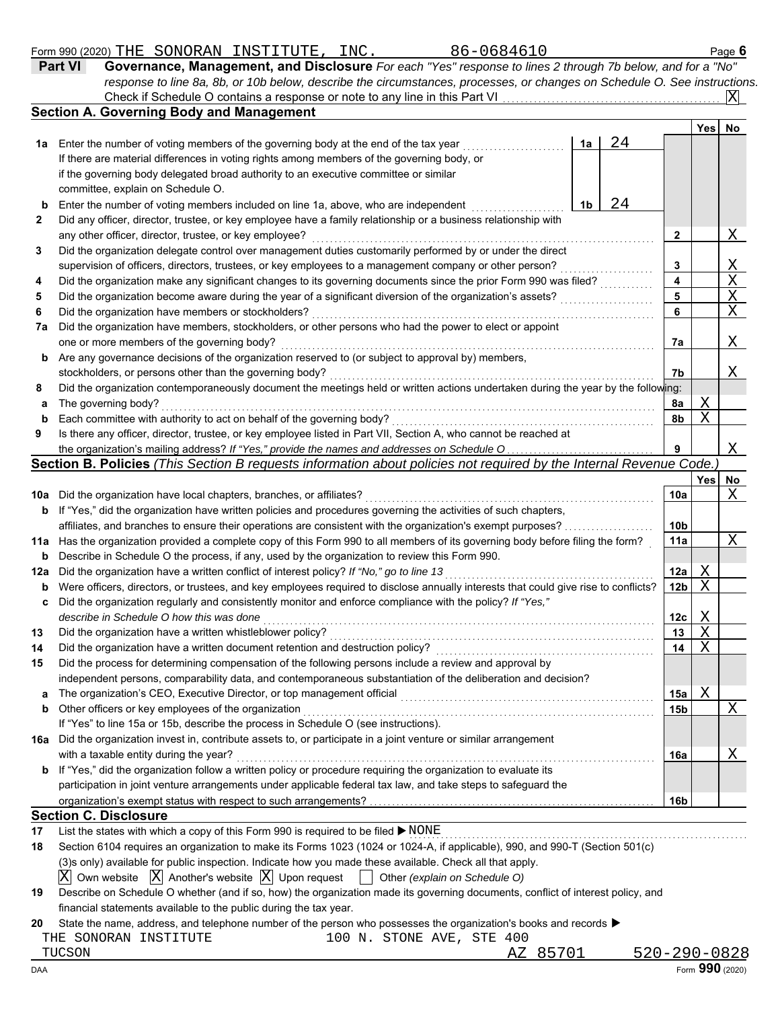|     | 86-0684610<br>Form 990 (2020) THE SONORAN INSTITUTE, INC.                                                                           |    |    |                 |             | Page 6                      |
|-----|-------------------------------------------------------------------------------------------------------------------------------------|----|----|-----------------|-------------|-----------------------------|
|     | Governance, Management, and Disclosure For each "Yes" response to lines 2 through 7b below, and for a "No"<br>Part VI               |    |    |                 |             |                             |
|     | response to line 8a, 8b, or 10b below, describe the circumstances, processes, or changes on Schedule O. See instructions.           |    |    |                 |             |                             |
|     |                                                                                                                                     |    |    |                 |             | X                           |
|     | <b>Section A. Governing Body and Management</b>                                                                                     |    |    |                 |             |                             |
|     |                                                                                                                                     |    |    |                 | <b>Yes</b>  | <b>No</b>                   |
| 1a  | Enter the number of voting members of the governing body at the end of the tax year                                                 | 1a | 24 |                 |             |                             |
|     | If there are material differences in voting rights among members of the governing body, or                                          |    |    |                 |             |                             |
|     | if the governing body delegated broad authority to an executive committee or similar                                                |    |    |                 |             |                             |
|     | committee, explain on Schedule O.                                                                                                   |    |    |                 |             |                             |
| b   | Enter the number of voting members included on line 1a, above, who are independent                                                  | 1b | 24 |                 |             |                             |
| 2   | Did any officer, director, trustee, or key employee have a family relationship or a business relationship with                      |    |    |                 |             |                             |
|     | any other officer, director, trustee, or key employee?                                                                              |    |    | 2               |             | Χ                           |
| 3   | Did the organization delegate control over management duties customarily performed by or under the direct                           |    |    |                 |             |                             |
|     | supervision of officers, directors, trustees, or key employees to a management company or other person?                             |    |    | 3               |             | Χ                           |
| 4   | Did the organization make any significant changes to its governing documents since the prior Form 990 was filed?                    |    |    | 4               |             | $\frac{\text{X}}{\text{X}}$ |
| 5   | Did the organization become aware during the year of a significant diversion of the organization's assets?                          |    |    | 5               |             |                             |
| 6   | Did the organization have members or stockholders?                                                                                  |    |    | 6               |             | $\overline{X}$              |
| 7a  | Did the organization have members, stockholders, or other persons who had the power to elect or appoint                             |    |    |                 |             |                             |
|     | one or more members of the governing body?                                                                                          |    |    | 7a              |             | X                           |
| b   | Are any governance decisions of the organization reserved to (or subject to approval by) members,                                   |    |    |                 |             |                             |
|     | stockholders, or persons other than the governing body?                                                                             |    |    | 7b              |             | Χ                           |
| 8   | Did the organization contemporaneously document the meetings held or written actions undertaken during the year by the following:   |    |    |                 |             |                             |
| a   | The governing body?                                                                                                                 |    |    | 8a              | Χ           |                             |
| b   | Each committee with authority to act on behalf of the governing body?                                                               |    |    | 8b              | $\mathbf X$ |                             |
| 9   | Is there any officer, director, trustee, or key employee listed in Part VII, Section A, who cannot be reached at                    |    |    |                 |             |                             |
|     | the organization's mailing address? If "Yes," provide the names and addresses on Schedule O.                                        |    |    | 9               |             | Χ                           |
|     | Section B. Policies (This Section B requests information about policies not required by the Internal Revenue Code.)                 |    |    |                 |             |                             |
|     |                                                                                                                                     |    |    |                 | Yes         | No                          |
|     | 10a Did the organization have local chapters, branches, or affiliates?                                                              |    |    | 10a             |             | X                           |
|     | <b>b</b> If "Yes," did the organization have written policies and procedures governing the activities of such chapters,             |    |    |                 |             |                             |
|     |                                                                                                                                     |    |    | 10 <sub>b</sub> |             |                             |
|     | 11a Has the organization provided a complete copy of this Form 990 to all members of its governing body before filing the form?     |    |    | 11a             |             | Χ                           |
| b   | Describe in Schedule O the process, if any, used by the organization to review this Form 990.                                       |    |    |                 |             |                             |
| 12a | Did the organization have a written conflict of interest policy? If "No," go to line 13                                             |    |    | 12a             | Χ           |                             |
| b   | Were officers, directors, or trustees, and key employees required to disclose annually interests that could give rise to conflicts? |    |    | 12 <sub>b</sub> | X           |                             |

|     | al au accelei al maccedei alla llet all'all'alega legallea le alegiste all'Imalli lluci cele mali accia di le           |                 |   |   |
|-----|-------------------------------------------------------------------------------------------------------------------------|-----------------|---|---|
| C.  | Did the organization regularly and consistently monitor and enforce compliance with the policy? If "Yes,"               |                 |   |   |
|     | describe in Schedule O how this was done                                                                                | 12c             | Χ |   |
| 13  | Did the organization have a written whistleblower policy?                                                               | 13              | Χ |   |
| 14  | Did the organization have a written document retention and destruction policy?                                          | 14              | Χ |   |
| 15  | Did the process for determining compensation of the following persons include a review and approval by                  |                 |   |   |
|     | independent persons, comparability data, and contemporaneous substantiation of the deliberation and decision?           |                 |   |   |
| a   | The organization's CEO, Executive Director, or top management official                                                  | 15a             | Х |   |
|     | <b>b</b> Other officers or key employees of the organization                                                            | 15 <sub>b</sub> |   | Х |
|     | If "Yes" to line 15a or 15b, describe the process in Schedule O (see instructions).                                     |                 |   |   |
| 16а | Did the organization invest in, contribute assets to, or participate in a joint venture or similar arrangement          |                 |   |   |
|     | with a taxable entity during the year?                                                                                  | 16a             |   | X |
|     | <b>b</b> If "Yes," did the organization follow a written policy or procedure requiring the organization to evaluate its |                 |   |   |
|     | participation in joint venture arrangements under applicable federal tax law, and take steps to safeguard the           |                 |   |   |
|     |                                                                                                                         | 16 <sub>b</sub> |   |   |

## **Section C. Disclosure**

|  | 17 List the states with which a copy of this Form 990 is required to be filed ▶ NONE |  |
|--|--------------------------------------------------------------------------------------|--|
|  |                                                                                      |  |

| 18 | Section 6104 requires an organization to make its Forms 1023 (1024 or 1024-A, if applicable), 990, and 990-T (Section 501(c)         |
|----|--------------------------------------------------------------------------------------------------------------------------------------|
|    | (3) sonly) available for public inspection. Indicate how you made these available. Check all that apply.                             |
|    | $\boxed{X}$ Own website $\boxed{X}$ Another's website $\boxed{X}$ Upon request $\boxed{\phantom{X}}$ Other (explain on Schedule O)   |
| 19 | Describe on Schedule O whether (and if so, how) the organization made its governing documents, conflict of interest policy, and      |
|    | financial statements available to the public during the tax year.                                                                    |
| 20 | State the name, address, and telephone number of the person who possesses the organization's books and records $\blacktriangleright$ |
|    | - - - - ----- --- --- -- -                                                                                                           |

THE SONORAN INSTITUTE 100 N. STONE AVE, STE 400 TUCSON TUCSON AZ 85701 520-290-0828

| ۰.<br>. . |  |  |
|-----------|--|--|
|-----------|--|--|

List the states with which a copy of this Form 990 is required to be filed . . . . . . . . . . . . . . . . . . . . . . . . . . . . . . . . . . . . . . . . . . . . . . . . . . . . . . . . . . . . . . . . . . . . . . . . . . . .

DAA Form **990** (2020)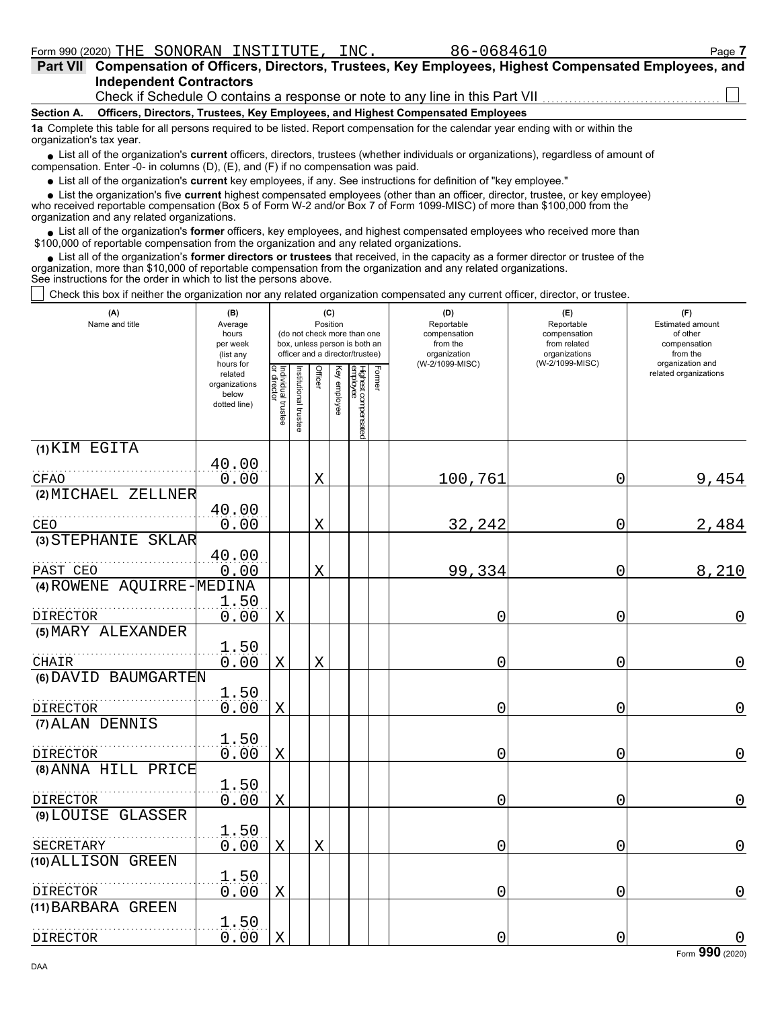86-0684610

| Part VII Compensation of Officers, Directors, Trustees, Key Employees, Highest Compensated Employees, and |
|-----------------------------------------------------------------------------------------------------------|
| <b>Independent Contractors</b>                                                                            |
| Check if Schedule O contains a response or note to any line in this Part VII                              |

### **Section A. Officers, Directors, Trustees, Key Employees, and Highest Compensated Employees**

**1a** Complete this table for all persons required to be listed. Report compensation for the calendar year ending with or within the organization's tax year.

■ List all of the organization's **current** officers, directors, trustees (whether individuals or organizations), regardless of amount of compensation. Enter -0- in columns (D), (E), and (F) if no compensation was paid.

List all of the organization's **current** key employees, if any. See instructions for definition of "key employee."

■ List all of the organization's **current** key employees, if any. See instructions for definition of "key employee."<br>■ List the organization's five **current** highest compensated employees (other than an officer, director,

who received reportable compensation (Box 5 of Form W-2 and/or Box 7 of Form 1099-MISC) of more than \$100,000 from the organization and any related organizations.

• List all of the organization's **former** officers, key employees, and highest compensated employees who received more than<br>00,000 of reportable compensation from the organization and any related erganizations. \$100,000 of reportable compensation from the organization and any related organizations.

• List all of the organization's **former directors or trustees** that received, in the capacity as a former director or trustee of the anization more than \$10,000 of reportable compensation from the organization and any rel organization, more than \$10,000 of reportable compensation from the organization and any related organizations. See instructions for the order in which to list the persons above.

Check this box if neither the organization nor any related organization compensated any current officer, director, or trustee.

| (A)<br>Name and title         | (B)<br>Average<br>hours<br>per week<br>(list any<br>hours for | (C)<br>Position<br>(do not check more than one<br>box, unless person is both an<br>officer and a director/trustee) |                       |                |              |                                           | (D)<br>Reportable<br>compensation<br>from the<br>organization<br>(W-2/1099-MISC) | (E)<br>Reportable<br>compensation<br>from related<br>organizations<br>(W-2/1099-MISC) | (F)<br>Estimated amount<br>of other<br>compensation<br>from the<br>organization and |
|-------------------------------|---------------------------------------------------------------|--------------------------------------------------------------------------------------------------------------------|-----------------------|----------------|--------------|-------------------------------------------|----------------------------------------------------------------------------------|---------------------------------------------------------------------------------------|-------------------------------------------------------------------------------------|
|                               | related<br>organizations<br>below<br>dotted line)             | Individual trustee<br>or director                                                                                  | Institutional trustee | <b>Officer</b> | Key employee | Former<br>Highest compensated<br>employee |                                                                                  |                                                                                       | related organizations                                                               |
| (1) KIM EGITA                 |                                                               |                                                                                                                    |                       |                |              |                                           |                                                                                  |                                                                                       |                                                                                     |
| CFAO                          | 40.00<br>0.00                                                 |                                                                                                                    |                       | $\mathbf X$    |              |                                           | 100,761                                                                          | $\mathbf 0$                                                                           | 9,454                                                                               |
| (2) MICHAEL ZELLNER           |                                                               |                                                                                                                    |                       |                |              |                                           |                                                                                  |                                                                                       |                                                                                     |
| CEO                           | 40.00<br>0.00                                                 |                                                                                                                    |                       | X              |              |                                           | 32,242                                                                           | 0                                                                                     | 2,484                                                                               |
| (3) STEPHANIE SKLAR           |                                                               |                                                                                                                    |                       |                |              |                                           |                                                                                  |                                                                                       |                                                                                     |
| PAST CEO                      | 40.00<br>0.00                                                 |                                                                                                                    |                       | X              |              |                                           | 99,334                                                                           | 0                                                                                     | 8,210                                                                               |
| (4) ROWENE AQUIRRE-           | MEDINA                                                        |                                                                                                                    |                       |                |              |                                           |                                                                                  |                                                                                       |                                                                                     |
| <b>DIRECTOR</b>               | 1.50<br>0.00                                                  | $\mathbf X$                                                                                                        |                       |                |              |                                           | 0                                                                                | 0                                                                                     | $\overline{0}$                                                                      |
| (5) MARY ALEXANDER            | 1.50                                                          |                                                                                                                    |                       |                |              |                                           |                                                                                  |                                                                                       |                                                                                     |
| CHAIR<br>(6) DAVID BAUMGARTEN | 0.00                                                          | $\mathbf X$                                                                                                        |                       | $\mathbf X$    |              |                                           | 0                                                                                | 0                                                                                     | 0                                                                                   |
| DIRECTOR                      | 1.50<br>0.00                                                  | $\mathbf X$                                                                                                        |                       |                |              |                                           | 0                                                                                | 0                                                                                     | $\mathbf 0$                                                                         |
| (7) ALAN DENNIS               |                                                               |                                                                                                                    |                       |                |              |                                           |                                                                                  |                                                                                       |                                                                                     |
| <b>DIRECTOR</b>               | 1.50<br>0.00                                                  | $\mathbf X$                                                                                                        |                       |                |              |                                           | 0                                                                                | 0                                                                                     | $\Omega$                                                                            |
| (8) ANNA HILL PRICE           |                                                               |                                                                                                                    |                       |                |              |                                           |                                                                                  |                                                                                       |                                                                                     |
| DIRECTOR                      | 1.50<br>0.00                                                  | Χ                                                                                                                  |                       |                |              |                                           | 0                                                                                | 0                                                                                     | $\mathbf 0$                                                                         |
| (9) LOUISE GLASSER            |                                                               |                                                                                                                    |                       |                |              |                                           |                                                                                  |                                                                                       |                                                                                     |
| SECRETARY                     | 1.50<br>0.00                                                  | X                                                                                                                  |                       | X              |              |                                           | 0                                                                                | 0                                                                                     | $\mathbf 0$                                                                         |
| (10) ALLISON GREEN            |                                                               |                                                                                                                    |                       |                |              |                                           |                                                                                  |                                                                                       |                                                                                     |
| DIRECTOR                      | 1.50<br>0.00                                                  | $\mathbf X$                                                                                                        |                       |                |              |                                           | 0                                                                                | 0                                                                                     | $\overline{0}$                                                                      |
| (11) BARBARA GREEN            |                                                               |                                                                                                                    |                       |                |              |                                           |                                                                                  |                                                                                       |                                                                                     |
| DIRECTOR                      | 1.50<br>0.00                                                  | $\mathbf X$                                                                                                        |                       |                |              |                                           | 0                                                                                | 0                                                                                     | $\mathbf 0$                                                                         |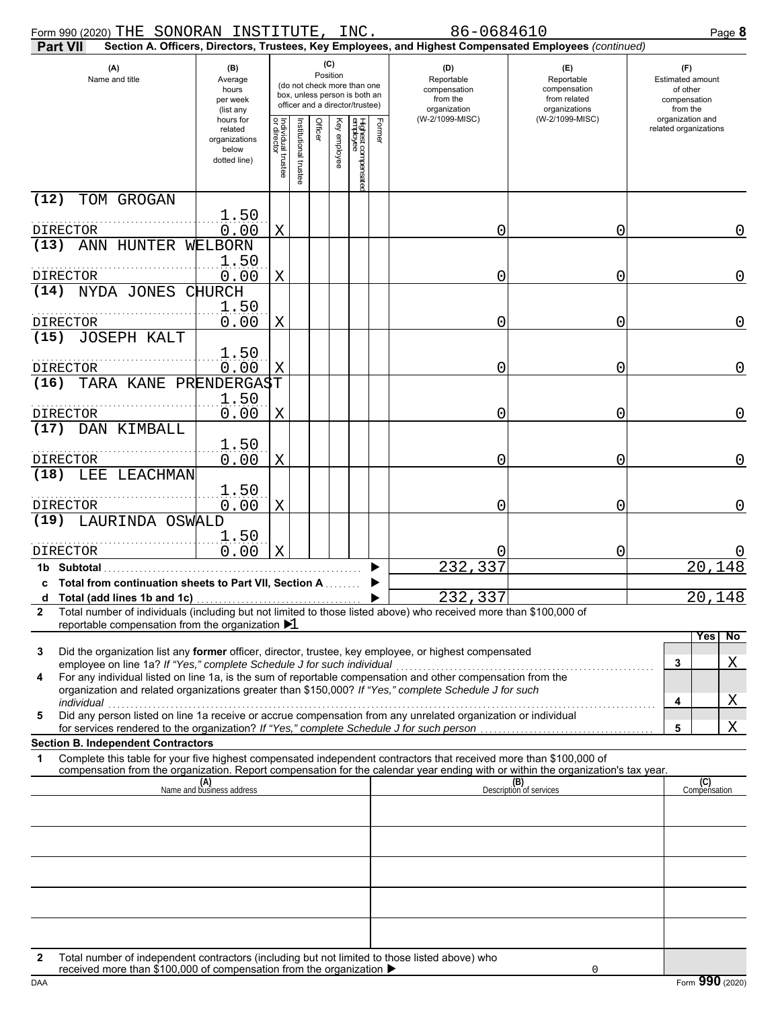| Form 990 (2020) THE SONORAN INSTITUTE, INC.                                                                                                                                                                                                                 |                                                                |                                   |                         |         |              |                                 |        | 86-0684610                                                                                             |                                                                    | Page 8                                                                 |
|-------------------------------------------------------------------------------------------------------------------------------------------------------------------------------------------------------------------------------------------------------------|----------------------------------------------------------------|-----------------------------------|-------------------------|---------|--------------|---------------------------------|--------|--------------------------------------------------------------------------------------------------------|--------------------------------------------------------------------|------------------------------------------------------------------------|
| <b>Part VII</b>                                                                                                                                                                                                                                             |                                                                |                                   |                         |         |              |                                 |        | Section A. Officers, Directors, Trustees, Key Employees, and Highest Compensated Employees (continued) |                                                                    |                                                                        |
| (C)<br>(A)<br>(B)<br>Position<br>Name and title<br>Average<br>(do not check more than one<br>hours<br>box, unless person is both an<br>per week<br>officer and a director/trustee)<br>(list any                                                             |                                                                |                                   |                         |         |              |                                 |        | (D)<br>Reportable<br>compensation<br>from the<br>organization                                          | (E)<br>Reportable<br>compensation<br>from related<br>organizations | (F)<br><b>Estimated amount</b><br>of other<br>compensation<br>from the |
|                                                                                                                                                                                                                                                             | hours for<br>related<br>organizations<br>below<br>dotted line) | Individual trustee<br>or director | nstitutional<br>trustee | Officer | Key employee | Highest compensatec<br>employee | Former | (W-2/1099-MISC)                                                                                        | (W-2/1099-MISC)                                                    | organization and<br>related organizations                              |
| (12)<br>TOM GROGAN                                                                                                                                                                                                                                          |                                                                |                                   |                         |         |              |                                 |        |                                                                                                        |                                                                    |                                                                        |
| DIRECTOR                                                                                                                                                                                                                                                    | 1.50<br>0.00                                                   | X                                 |                         |         |              |                                 |        | 0                                                                                                      | 0                                                                  | 0                                                                      |
| ANN HUNTER<br>(13)                                                                                                                                                                                                                                          | WELBORN                                                        |                                   |                         |         |              |                                 |        |                                                                                                        |                                                                    |                                                                        |
|                                                                                                                                                                                                                                                             | 1.50                                                           |                                   |                         |         |              |                                 |        |                                                                                                        |                                                                    |                                                                        |
| <b>DIRECTOR</b><br>(14)<br>NYDA JONES                                                                                                                                                                                                                       | 0.00<br><b>CHURCH</b>                                          | X                                 |                         |         |              |                                 |        | 0                                                                                                      | 0                                                                  | 0                                                                      |
|                                                                                                                                                                                                                                                             | 1.50                                                           |                                   |                         |         |              |                                 |        |                                                                                                        |                                                                    |                                                                        |
| <b>DIRECTOR</b>                                                                                                                                                                                                                                             | 0.00                                                           | Χ                                 |                         |         |              |                                 |        | 0                                                                                                      | 0                                                                  | 0                                                                      |
| (15)<br><b>JOSEPH KALT</b>                                                                                                                                                                                                                                  | 1.50                                                           |                                   |                         |         |              |                                 |        |                                                                                                        |                                                                    |                                                                        |
| <b>DIRECTOR</b>                                                                                                                                                                                                                                             | 0.00                                                           | Χ                                 |                         |         |              |                                 |        | 0                                                                                                      | 0                                                                  | 0                                                                      |
| (16)<br>TARA KANE PRENDERGAST                                                                                                                                                                                                                               |                                                                |                                   |                         |         |              |                                 |        |                                                                                                        |                                                                    |                                                                        |
| DIRECTOR                                                                                                                                                                                                                                                    | 1.50<br>0.00                                                   | Χ                                 |                         |         |              |                                 |        | 0                                                                                                      | 0                                                                  | 0                                                                      |
| (17)<br>DAN KIMBALL                                                                                                                                                                                                                                         |                                                                |                                   |                         |         |              |                                 |        |                                                                                                        |                                                                    |                                                                        |
| <b>DIRECTOR</b>                                                                                                                                                                                                                                             | 1.50<br>0.00                                                   | Χ                                 |                         |         |              |                                 |        | 0                                                                                                      | 0                                                                  | 0                                                                      |
| (18)<br>LEE LEACHMAN                                                                                                                                                                                                                                        |                                                                |                                   |                         |         |              |                                 |        |                                                                                                        |                                                                    |                                                                        |
|                                                                                                                                                                                                                                                             | 1.50                                                           |                                   |                         |         |              |                                 |        |                                                                                                        |                                                                    |                                                                        |
| <b>DIRECTOR</b><br>LAURINDA OSWALD<br>(19)                                                                                                                                                                                                                  | 0.00                                                           | Χ                                 |                         |         |              |                                 |        | 0                                                                                                      | 0                                                                  | 0                                                                      |
|                                                                                                                                                                                                                                                             | 1.50                                                           |                                   |                         |         |              |                                 |        |                                                                                                        |                                                                    |                                                                        |
| DIRECTOR                                                                                                                                                                                                                                                    | 0.00                                                           | Χ                                 |                         |         |              |                                 |        |                                                                                                        | 0                                                                  |                                                                        |
| 1b Subtotal<br>c Total from continuation sheets to Part VII, Section A.                                                                                                                                                                                     |                                                                |                                   |                         |         |              |                                 |        | 232,337                                                                                                |                                                                    | 20,148                                                                 |
| Total (add lines 1b and 1c)<br>d                                                                                                                                                                                                                            |                                                                |                                   |                         |         |              |                                 |        | 232,337                                                                                                |                                                                    | 20,148                                                                 |
| Total number of individuals (including but not limited to those listed above) who received more than \$100,000 of<br>2<br>reportable compensation from the organization $\blacktriangleright$ 1                                                             |                                                                |                                   |                         |         |              |                                 |        |                                                                                                        |                                                                    |                                                                        |
|                                                                                                                                                                                                                                                             |                                                                |                                   |                         |         |              |                                 |        |                                                                                                        |                                                                    | Yes<br>No                                                              |
| Did the organization list any <b>former</b> officer, director, trustee, key employee, or highest compensated<br>3<br>employee on line 1a? If "Yes," complete Schedule J for such individual                                                                 |                                                                |                                   |                         |         |              |                                 |        |                                                                                                        |                                                                    | Χ<br>3                                                                 |
| For any individual listed on line 1a, is the sum of reportable compensation and other compensation from the<br>4<br>organization and related organizations greater than \$150,000? If "Yes," complete Schedule J for such                                   |                                                                |                                   |                         |         |              |                                 |        |                                                                                                        |                                                                    |                                                                        |
| individual<br>marvidual construction in the familiar or accrue compensation from any unrelated organization or individual                                                                                                                                   |                                                                |                                   |                         |         |              |                                 |        |                                                                                                        |                                                                    | Χ<br>4                                                                 |
| 5                                                                                                                                                                                                                                                           |                                                                |                                   |                         |         |              |                                 |        |                                                                                                        |                                                                    | Χ<br>5                                                                 |
| <b>Section B. Independent Contractors</b>                                                                                                                                                                                                                   |                                                                |                                   |                         |         |              |                                 |        |                                                                                                        |                                                                    |                                                                        |
| Complete this table for your five highest compensated independent contractors that received more than \$100,000 of<br>1<br>compensation from the organization. Report compensation for the calendar year ending with or within the organization's tax year. |                                                                |                                   |                         |         |              |                                 |        |                                                                                                        |                                                                    |                                                                        |
|                                                                                                                                                                                                                                                             | (A)<br>Name and business address                               |                                   |                         |         |              |                                 |        |                                                                                                        | (B)<br>Description of services                                     | (C)<br>Compensation                                                    |
|                                                                                                                                                                                                                                                             |                                                                |                                   |                         |         |              |                                 |        |                                                                                                        |                                                                    |                                                                        |
|                                                                                                                                                                                                                                                             |                                                                |                                   |                         |         |              |                                 |        |                                                                                                        |                                                                    |                                                                        |
|                                                                                                                                                                                                                                                             |                                                                |                                   |                         |         |              |                                 |        |                                                                                                        |                                                                    |                                                                        |
|                                                                                                                                                                                                                                                             |                                                                |                                   |                         |         |              |                                 |        |                                                                                                        |                                                                    |                                                                        |
|                                                                                                                                                                                                                                                             |                                                                |                                   |                         |         |              |                                 |        |                                                                                                        |                                                                    |                                                                        |
|                                                                                                                                                                                                                                                             |                                                                |                                   |                         |         |              |                                 |        |                                                                                                        |                                                                    |                                                                        |
|                                                                                                                                                                                                                                                             |                                                                |                                   |                         |         |              |                                 |        |                                                                                                        |                                                                    |                                                                        |
| Total number of independent contractors (including but not limited to those listed above) who<br>2<br>received more than \$100,000 of compensation from the organization $\blacktriangleright$                                                              |                                                                |                                   |                         |         |              |                                 |        |                                                                                                        |                                                                    |                                                                        |

| received more than \$100,000 of compensation from the organization ▶ |  |
|----------------------------------------------------------------------|--|
|                                                                      |  |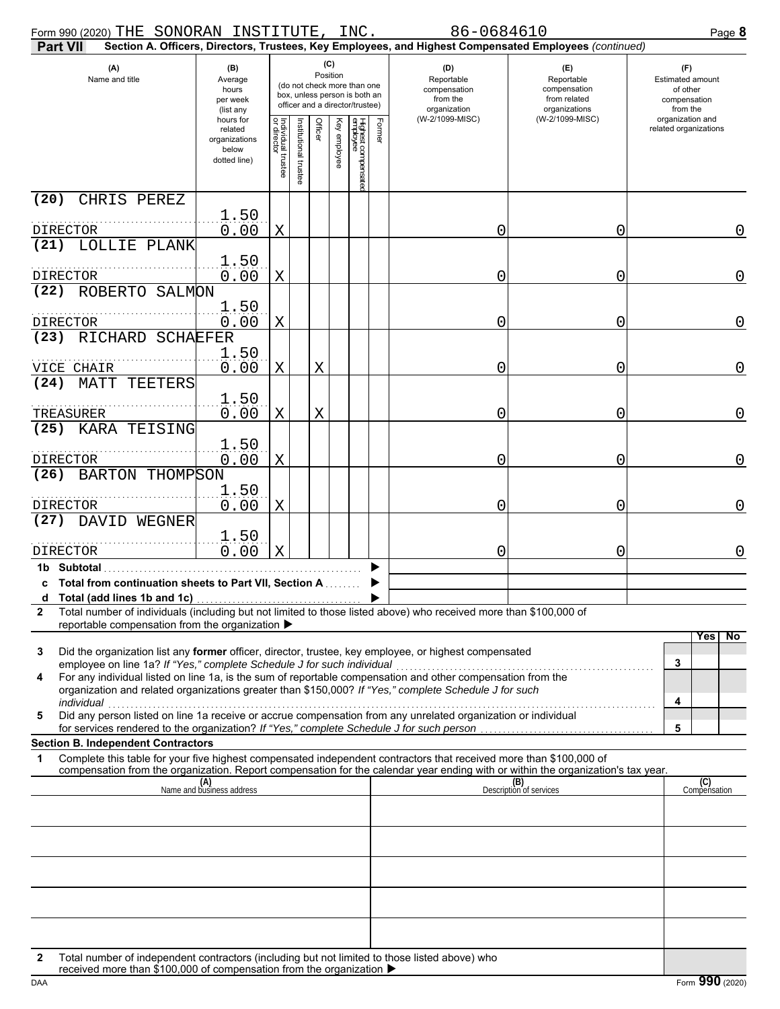| Form 990 (2020) THE SONORAN INSTITUTE, INC.                             |                                                                                                                                                                                          |                                                                        |                                   |                       |         |              |                                 |        | 86-0684610                                                                                                                                                                                                                                             |                                                                    | Page 8                                                                 |
|-------------------------------------------------------------------------|------------------------------------------------------------------------------------------------------------------------------------------------------------------------------------------|------------------------------------------------------------------------|-----------------------------------|-----------------------|---------|--------------|---------------------------------|--------|--------------------------------------------------------------------------------------------------------------------------------------------------------------------------------------------------------------------------------------------------------|--------------------------------------------------------------------|------------------------------------------------------------------------|
| <b>Part VII</b>                                                         |                                                                                                                                                                                          |                                                                        |                                   |                       |         |              |                                 |        | Section A. Officers, Directors, Trustees, Key Employees, and Highest Compensated Employees (continued)                                                                                                                                                 |                                                                    |                                                                        |
| (A)                                                                     | (C)<br>(B)<br>Position<br>Name and title<br>Average<br>(do not check more than one<br>hours<br>box, unless person is both an<br>per week<br>officer and a director/trustee)<br>(list any |                                                                        |                                   |                       |         |              |                                 |        | (D)<br>Reportable<br>compensation<br>from the<br>organization                                                                                                                                                                                          | (E)<br>Reportable<br>compensation<br>from related<br>organizations | (F)<br><b>Estimated amount</b><br>of other<br>compensation<br>from the |
|                                                                         |                                                                                                                                                                                          | hours for<br>related<br>organizations<br>below<br>dotted line)         | Individual trustee<br>or director | Institutional trustee | Officer | Key employee | Highest compensatec<br>employee | Former | (W-2/1099-MISC)                                                                                                                                                                                                                                        | (W-2/1099-MISC)                                                    | organization and<br>related organizations                              |
| (20)                                                                    | CHRIS PEREZ                                                                                                                                                                              |                                                                        |                                   |                       |         |              |                                 |        |                                                                                                                                                                                                                                                        |                                                                    |                                                                        |
| DIRECTOR<br>(21)                                                        | LOLLIE PLANK                                                                                                                                                                             | 1.50<br>0.00                                                           | X                                 |                       |         |              |                                 |        | 0                                                                                                                                                                                                                                                      | 0                                                                  | 0                                                                      |
| DIRECTOR                                                                |                                                                                                                                                                                          | 1.50<br>0.00                                                           | X                                 |                       |         |              |                                 |        | 0                                                                                                                                                                                                                                                      | 0                                                                  | 0                                                                      |
| (22)                                                                    | ROBERTO SALMON                                                                                                                                                                           |                                                                        |                                   |                       |         |              |                                 |        |                                                                                                                                                                                                                                                        |                                                                    |                                                                        |
| DIRECTOR<br>(23)                                                        | RICHARD SCHAEFER                                                                                                                                                                         | 1.50<br>0.00                                                           | X                                 |                       |         |              |                                 |        | 0                                                                                                                                                                                                                                                      | 0                                                                  | 0                                                                      |
|                                                                         |                                                                                                                                                                                          | 1.50                                                                   |                                   |                       |         |              |                                 |        |                                                                                                                                                                                                                                                        |                                                                    |                                                                        |
| VICE CHAIR                                                              |                                                                                                                                                                                          | 0.00                                                                   | Χ                                 |                       | Χ       |              |                                 |        | 0                                                                                                                                                                                                                                                      | 0                                                                  | 0                                                                      |
| (24)<br>MATT<br>TREASURER                                               | TEETERS                                                                                                                                                                                  | 1.50<br>0.00                                                           | X                                 |                       | X       |              |                                 |        | 0                                                                                                                                                                                                                                                      | 0                                                                  | 0                                                                      |
| (25)                                                                    | KARA TEISING                                                                                                                                                                             |                                                                        |                                   |                       |         |              |                                 |        |                                                                                                                                                                                                                                                        |                                                                    |                                                                        |
| DIRECTOR                                                                |                                                                                                                                                                                          | 1.50<br>0.00                                                           | X                                 |                       |         |              |                                 |        | 0                                                                                                                                                                                                                                                      | 0                                                                  | 0                                                                      |
| (26)                                                                    | BARTON THOMPSON                                                                                                                                                                          | 1.50                                                                   |                                   |                       |         |              |                                 |        |                                                                                                                                                                                                                                                        |                                                                    |                                                                        |
| DIRECTOR                                                                |                                                                                                                                                                                          | 0.00                                                                   | Χ                                 |                       |         |              |                                 |        | 0                                                                                                                                                                                                                                                      | 0                                                                  | 0                                                                      |
| (27)<br>DAVID                                                           | WEGNER                                                                                                                                                                                   | 1.50                                                                   |                                   |                       |         |              |                                 |        |                                                                                                                                                                                                                                                        |                                                                    |                                                                        |
| DIRECTOR                                                                |                                                                                                                                                                                          | 0.00                                                                   | Χ                                 |                       |         |              |                                 |        | Ω                                                                                                                                                                                                                                                      | Ω                                                                  | 0                                                                      |
| 1b Subtotal<br>c Total from continuation sheets to Part VII, Section A. |                                                                                                                                                                                          |                                                                        |                                   |                       |         |              |                                 |        |                                                                                                                                                                                                                                                        |                                                                    |                                                                        |
| a<br>2                                                                  | Total (add lines 1b and 1c)                                                                                                                                                              | reportable compensation from the organization ▶                        |                                   |                       |         |              |                                 |        | Total number of individuals (including but not limited to those listed above) who received more than \$100,000 of                                                                                                                                      |                                                                    |                                                                        |
| 3                                                                       |                                                                                                                                                                                          |                                                                        |                                   |                       |         |              |                                 |        | Did the organization list any former officer, director, trustee, key employee, or highest compensated                                                                                                                                                  |                                                                    | Yes<br>No.                                                             |
| 4                                                                       |                                                                                                                                                                                          | employee on line 1a? If "Yes," complete Schedule J for such individual |                                   |                       |         |              |                                 |        | For any individual listed on line 1a, is the sum of reportable compensation and other compensation from the<br>organization and related organizations greater than \$150,000? If "Yes," complete Schedule J for such                                   |                                                                    | 3                                                                      |
| individual<br>5                                                         |                                                                                                                                                                                          |                                                                        |                                   |                       |         |              |                                 |        | marviqual<br>Did any person listed on line 1a receive or accrue compensation from any unrelated organization or individual                                                                                                                             |                                                                    | 4                                                                      |
| <b>Section B. Independent Contractors</b>                               |                                                                                                                                                                                          |                                                                        |                                   |                       |         |              |                                 |        |                                                                                                                                                                                                                                                        |                                                                    | 5                                                                      |
| 1                                                                       |                                                                                                                                                                                          |                                                                        |                                   |                       |         |              |                                 |        | Complete this table for your five highest compensated independent contractors that received more than \$100,000 of<br>compensation from the organization. Report compensation for the calendar year ending with or within the organization's tax year. |                                                                    |                                                                        |
|                                                                         |                                                                                                                                                                                          | (A)<br>Name and business address                                       |                                   |                       |         |              |                                 |        |                                                                                                                                                                                                                                                        | (B)<br>Description of services                                     | (C)<br>Compensation                                                    |
|                                                                         |                                                                                                                                                                                          |                                                                        |                                   |                       |         |              |                                 |        |                                                                                                                                                                                                                                                        |                                                                    |                                                                        |
|                                                                         |                                                                                                                                                                                          |                                                                        |                                   |                       |         |              |                                 |        |                                                                                                                                                                                                                                                        |                                                                    |                                                                        |
|                                                                         |                                                                                                                                                                                          |                                                                        |                                   |                       |         |              |                                 |        |                                                                                                                                                                                                                                                        |                                                                    |                                                                        |
|                                                                         |                                                                                                                                                                                          |                                                                        |                                   |                       |         |              |                                 |        |                                                                                                                                                                                                                                                        |                                                                    |                                                                        |
| 2                                                                       |                                                                                                                                                                                          |                                                                        |                                   |                       |         |              |                                 |        | Total number of independent contractors (including but not limited to those listed above) who                                                                                                                                                          |                                                                    |                                                                        |
|                                                                         |                                                                                                                                                                                          |                                                                        |                                   |                       |         |              |                                 |        |                                                                                                                                                                                                                                                        |                                                                    |                                                                        |

|  |  | received more than \$100,000 of compensation from the organization ▶ |  |
|--|--|----------------------------------------------------------------------|--|
|--|--|----------------------------------------------------------------------|--|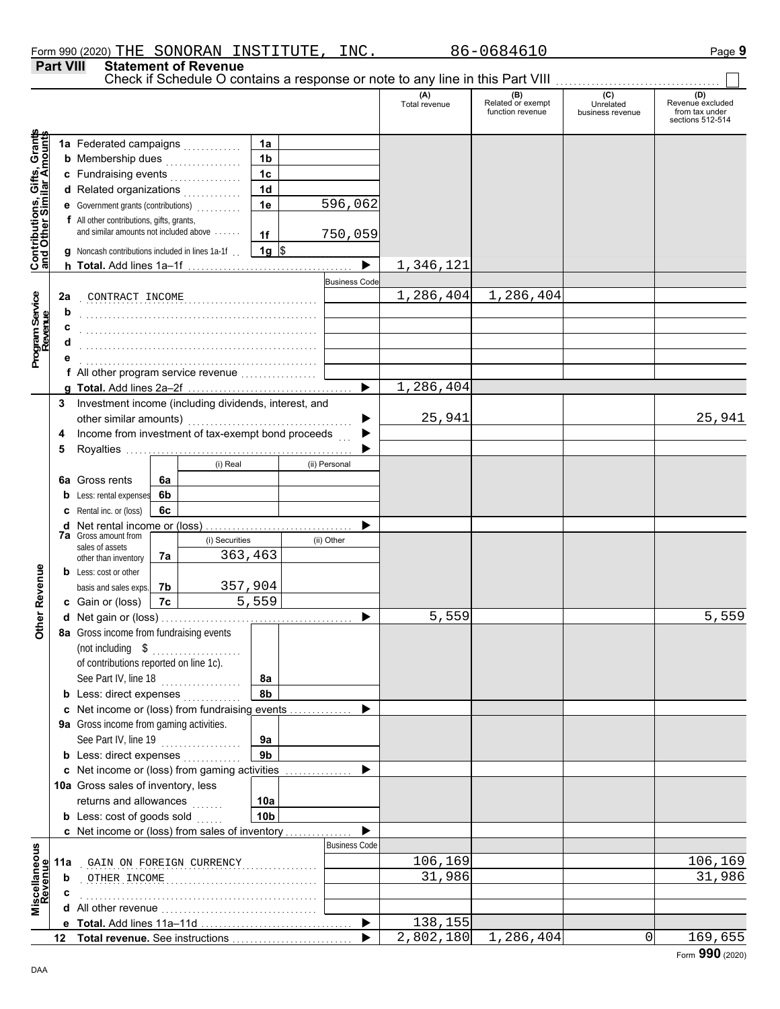**Part VIII Statement of Revenue**

|                                                                  |    |                                                       |    |                |                |                       | Check if Schedule O contains a response or note to any line in this Part VIII |                                                     |                                      |                                                               |  |
|------------------------------------------------------------------|----|-------------------------------------------------------|----|----------------|----------------|-----------------------|-------------------------------------------------------------------------------|-----------------------------------------------------|--------------------------------------|---------------------------------------------------------------|--|
|                                                                  |    |                                                       |    |                |                |                       | (A)<br>Total revenue                                                          | <b>(B)</b><br>Related or exempt<br>function revenue | (C)<br>Unrelated<br>business revenue | (D)<br>Revenue excluded<br>from tax under<br>sections 512-514 |  |
|                                                                  |    |                                                       |    |                | 1a             |                       |                                                                               |                                                     |                                      |                                                               |  |
| <b>Contributions, Gifts, Grants</b><br>and Other Similar Amounts |    | <b>b</b> Membership dues <i></i>                      |    |                | 1 <sub>b</sub> |                       |                                                                               |                                                     |                                      |                                                               |  |
|                                                                  |    | c Fundraising events                                  |    |                | 1 <sub>c</sub> |                       |                                                                               |                                                     |                                      |                                                               |  |
|                                                                  |    | d Related organizations                               |    |                | 1 <sub>d</sub> |                       |                                                                               |                                                     |                                      |                                                               |  |
|                                                                  |    | e Government grants (contributions)                   |    |                | 1e             | 596,062               |                                                                               |                                                     |                                      |                                                               |  |
|                                                                  |    | f All other contributions, gifts, grants,             |    |                |                |                       |                                                                               |                                                     |                                      |                                                               |  |
|                                                                  |    | and similar amounts not included above                |    |                | 1f             | 750,059               |                                                                               |                                                     |                                      |                                                               |  |
|                                                                  |    | g Noncash contributions included in lines 1a-1f.      |    |                | $1g$ \$        |                       |                                                                               |                                                     |                                      |                                                               |  |
|                                                                  |    |                                                       |    |                |                | $\blacktriangleright$ | 1,346,121                                                                     |                                                     |                                      |                                                               |  |
|                                                                  |    |                                                       |    |                |                | <b>Business Code</b>  |                                                                               |                                                     |                                      |                                                               |  |
|                                                                  | 2a | CONTRACT INCOME                                       |    |                |                |                       | 1,286,404                                                                     | 1,286,404                                           |                                      |                                                               |  |
| Program Service<br>Revenue                                       | b  |                                                       |    |                |                |                       |                                                                               |                                                     |                                      |                                                               |  |
|                                                                  | c  |                                                       |    |                |                |                       |                                                                               |                                                     |                                      |                                                               |  |
|                                                                  |    |                                                       |    |                |                |                       |                                                                               |                                                     |                                      |                                                               |  |
|                                                                  |    |                                                       |    |                |                |                       |                                                                               |                                                     |                                      |                                                               |  |
|                                                                  |    | f All other program service revenue                   |    |                |                |                       |                                                                               |                                                     |                                      |                                                               |  |
|                                                                  |    |                                                       |    |                |                | ▶                     | 1,286,404                                                                     |                                                     |                                      |                                                               |  |
|                                                                  | 3  | Investment income (including dividends, interest, and |    |                |                |                       |                                                                               |                                                     |                                      |                                                               |  |
|                                                                  |    | other similar amounts)                                |    |                |                |                       | 25,941                                                                        |                                                     |                                      | 25,941                                                        |  |
|                                                                  | 4  | Income from investment of tax-exempt bond proceeds    |    |                |                |                       |                                                                               |                                                     |                                      |                                                               |  |
|                                                                  | 5  |                                                       |    |                |                |                       |                                                                               |                                                     |                                      |                                                               |  |
|                                                                  |    |                                                       |    | (i) Real       |                | (ii) Personal         |                                                                               |                                                     |                                      |                                                               |  |
|                                                                  |    | 6a Gross rents                                        | 6a |                |                |                       |                                                                               |                                                     |                                      |                                                               |  |
|                                                                  |    | <b>b</b> Less: rental expenses                        | 6b |                |                |                       |                                                                               |                                                     |                                      |                                                               |  |
|                                                                  |    | <b>c</b> Rental inc. or (loss)                        | 6c |                |                |                       |                                                                               |                                                     |                                      |                                                               |  |
|                                                                  |    | <b>d</b> Net rental income or (loss)                  |    |                |                |                       |                                                                               |                                                     |                                      |                                                               |  |
|                                                                  |    | <b>7a</b> Gross amount from                           |    | (i) Securities |                | (ii) Other            |                                                                               |                                                     |                                      |                                                               |  |
|                                                                  |    | sales of assets<br>other than inventory               |    | 7a             | 363,463        |                       |                                                                               |                                                     |                                      |                                                               |  |
|                                                                  |    | <b>b</b> Less: cost or other                          |    |                |                |                       |                                                                               |                                                     |                                      |                                                               |  |
| Other Revenue                                                    |    | basis and sales exps.                                 | 7b | 357,904        |                |                       |                                                                               |                                                     |                                      |                                                               |  |
|                                                                  |    | c Gain or (loss)                                      | 7c |                | 5,559          |                       |                                                                               |                                                     |                                      |                                                               |  |
|                                                                  |    |                                                       |    |                |                |                       | 5,559                                                                         |                                                     |                                      | 5,559                                                         |  |
|                                                                  |    | 8a Gross income from fundraising events               |    |                |                |                       |                                                                               |                                                     |                                      |                                                               |  |
|                                                                  |    | (not including \$                                     |    |                |                |                       |                                                                               |                                                     |                                      |                                                               |  |
|                                                                  |    | of contributions reported on line 1c).                |    |                |                |                       |                                                                               |                                                     |                                      |                                                               |  |
|                                                                  |    | See Part IV, line 18                                  |    |                | 8a             |                       |                                                                               |                                                     |                                      |                                                               |  |
|                                                                  |    | <b>b</b> Less: direct expenses                        |    |                | 8b             |                       |                                                                               |                                                     |                                      |                                                               |  |
|                                                                  |    | c Net income or (loss) from fundraising events        |    |                |                |                       |                                                                               |                                                     |                                      |                                                               |  |
|                                                                  |    | 9a Gross income from gaming activities.               |    |                |                |                       |                                                                               |                                                     |                                      |                                                               |  |
|                                                                  |    | See Part IV, line 19                                  |    |                | 9a             |                       |                                                                               |                                                     |                                      |                                                               |  |
|                                                                  |    | <b>b</b> Less: direct expenses                        |    |                | 9 <sub>b</sub> |                       |                                                                               |                                                     |                                      |                                                               |  |
|                                                                  |    | c Net income or (loss) from gaming activities         |    |                |                |                       |                                                                               |                                                     |                                      |                                                               |  |
|                                                                  |    | 10a Gross sales of inventory, less                    |    |                |                |                       |                                                                               |                                                     |                                      |                                                               |  |
|                                                                  |    | returns and allowances                                |    | .              | 10a            |                       |                                                                               |                                                     |                                      |                                                               |  |
|                                                                  |    | <b>b</b> Less: cost of goods sold                     |    |                | 10b            |                       |                                                                               |                                                     |                                      |                                                               |  |
|                                                                  |    | c Net income or (loss) from sales of inventory        |    |                |                |                       |                                                                               |                                                     |                                      |                                                               |  |
|                                                                  |    |                                                       |    |                |                | <b>Business Code</b>  |                                                                               |                                                     |                                      |                                                               |  |
|                                                                  |    | 11a GAIN ON FOREIGN CURRENCY                          |    |                |                |                       | 106,169                                                                       |                                                     |                                      | 106,169                                                       |  |
|                                                                  | b  | OTHER INCOME                                          |    |                |                |                       | 31,986                                                                        |                                                     |                                      | 31,986                                                        |  |
|                                                                  | c  |                                                       |    |                |                |                       |                                                                               |                                                     |                                      |                                                               |  |
| Miscellaneous<br>Revenue                                         |    |                                                       |    |                |                |                       |                                                                               |                                                     |                                      |                                                               |  |
|                                                                  |    |                                                       |    |                |                | ▶                     | 138,155                                                                       |                                                     |                                      |                                                               |  |
|                                                                  |    |                                                       |    |                |                |                       | 2,802,180                                                                     | 1,286,404                                           | 0                                    | 169,655                                                       |  |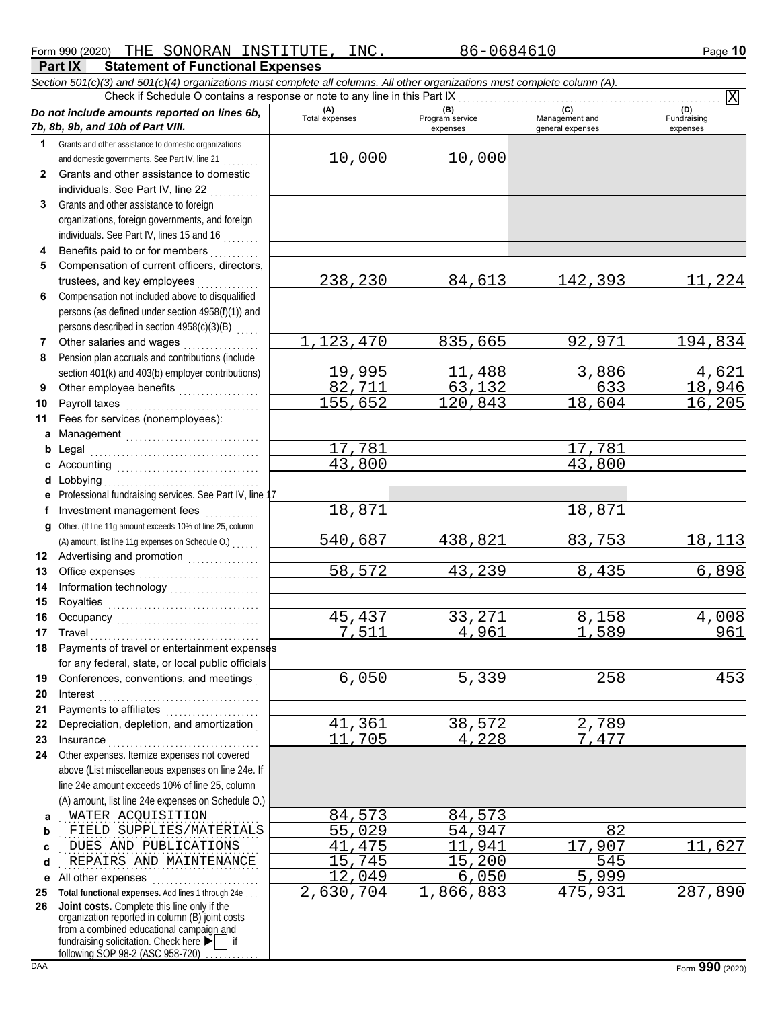82,711 63,132 633 18,946 155,652 120,843 18,604 16,205

540,687 438,821 83,753 18,113

58,572 43,239 8,435 6,898

45,437 33,271 8,158 4,008 <mark>7,511</mark> 4,961 1,589 961

6,050 5,339 258 453

17,781 17,781

18,871 18,871

<u>41,361 38,572 2,789</u><br>11,705 4,228 7,477 4.228

12,049 6,050 5,999

2,630,704 1,866,883 475,931 287,890

X

**Part IX Statement of Functional Expenses** Form 990 (2020) Page **10** THE SONORAN INSTITUTE, INC. 86-0684610 *Section 501(c)(3) and 501(c)(4) organizations must complete all columns. All other organizations must complete column (A). Do not include amounts reported on lines 6b, 7b, 8b, 9b, and 10b of Part VIII.* **1 2 3 4 5 6 7 8** Grants and other assistance to domestic organizations and domestic governments. See Part IV, line 21 . . . . . . . . Grants and other assistance to domestic individuals. See Part IV, line 22 Grants and other assistance to foreign organizations, foreign governments, and foreign individuals. See Part IV, lines 15 and 16 Benefits paid to or for members . . . . . . . . . . Compensation of current officers, directors, trustees, and key employees ......... Compensation not included above to disqualified persons (as defined under section 4958(f)(1)) and persons described in section 4958(c)(3)(B) Other salaries and wages .................. Pension plan accruals and contributions (include section 401(k) and 403(b) employer contributions) **(A) (B) (B)** (C) (C) (D)<br>Total expenses Program service Management and Fundrai expenses and general expenses (D)<br>Fundraising expenses Check if Schedule O contains a response or note to any line in this Part IX 10,000 10,000 238,230 84,613 142,393 11,224 1,123,470 835,665 92,971 194,834 19,995 11,488 3,886 4,621

43,800

**10 11 a** Management .............................. **b** Legal **c** Accounting . . . . . . . . . . . . . . . . . . . . . . . . . . . . . . . . **d** Lobbying . . . . . . . . . . . . . . . . . . . . . . . . . . . . . . . . . . . **e f g** Other. (If line 11g amount exceeds 10% of line 25, column **12** Advertising and promotion **. . . . . . . . . . . .** . . **13 14 15 16 17 18** Payroll taxes . . . . . . . . . . . . . . . . . . . . . . . . . . . . . . Fees for services (nonemployees): Legal . . . . . . . . . . . . . . . . . . . . . . . . . . . . . . . . . . . . . . Professional fundraising services. See Part IV, line 17 Investment management fees ............. Office expenses . . . . . . . . . . . . . . . . . . . . . . . . . . . Information technology . . . . . . . . . . . . . . . . . . . . Royalties . . . . . . . . . . . . . . . . . . . . . . . . . . . . . . . . . . Occupancy . . . . . . . . . . . . . . . . . . . . . . . . . . . . . . . . Travel . . . . . . . . . . . . . . . . . . . . . . . . . . . . . . . . . . . . . . Payments of travel or entertainment expenses (A) amount, list line 11g expenses on Schedule O.) . . . . . . .

Other employee benefits ...................

**9**

**19 20 21 22 23 24** for any federal, state, or local public officials Conferences, conventions, and meetings . Interest . . . . . . . . . . . . . . . . . . . . . . . . . . . . . . . . . . . . Payments to affiliates ....................... Depreciation, depletion, and amortization . Insurance . . . . . . . . . . . . . . . . . . . . . . . . . . . . . . . . . . Other expenses. Itemize expenses not covered above (List miscellaneous expenses on line 24e. If line 24e amount exceeds 10% of line 25, column

**a** . . . . . . . . . . . . . . . . . . . . . . . . . . . . . . . . . . . . . . . . . . . . . WATER ACQUISITION 84,573 84,573 **b** (A) amount, list line 24e expenses on Schedule O.) . . . . . . . . . . . . . . . . . . . . . . . . . . . . . . . . . . . . . . . . . . . . . FIELD SUPPLIES/MATERIALS 55,029 54,947 82

**c** . . . . . . . . . . . . . . . . . . . . . . . . . . . . . . . . . . . . . . . . . . . . . DUES AND PUBLICATIONS 41,475 11,941 17,907 11,627

**d** REPAIRS AND MAINTENANCE 15,745 15,200 545

**e** All other expenses . . . . . . . . . . . . . . . . . . . . . . . . **25 Total functional expenses.** Add lines 1 through 24e . . . **26** fundraising solicitation. Check here  $\blacktriangleright$  | if organization reported in column (B) joint costs from a combined educational campaign and **Joint costs.** Complete this line only if the

following SOP 98-2 (ASC 958-720)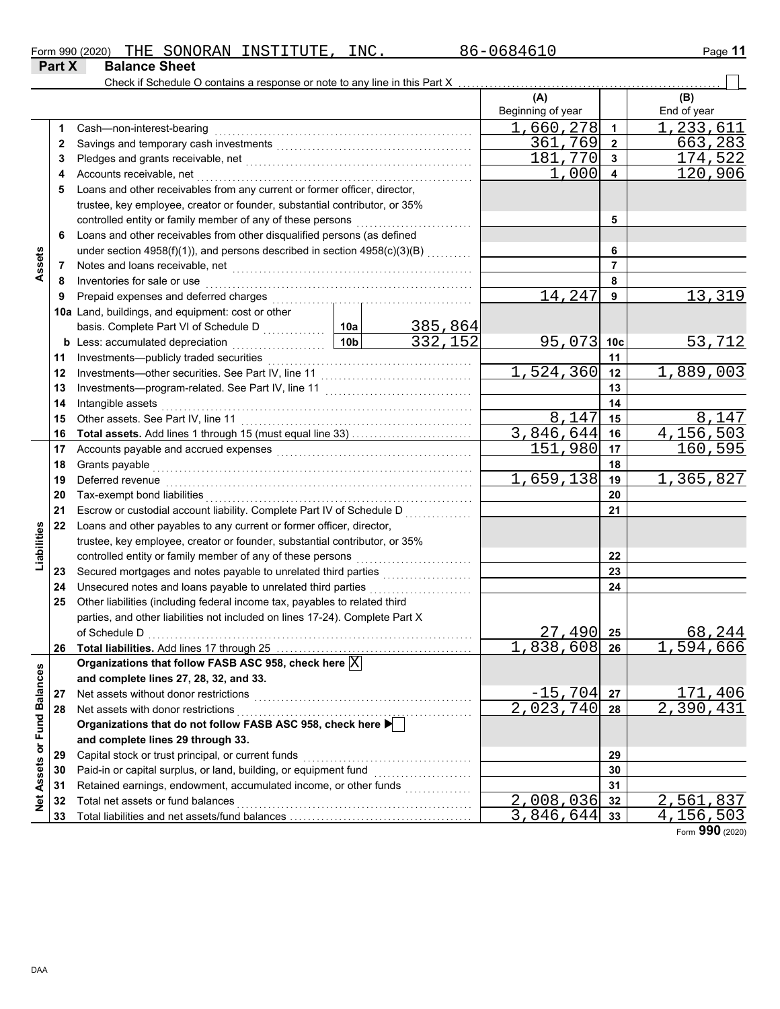| Form 990 (2020) | THE                  | SONORAN | INSTITUTE | INC. | ໌ ∩6846⊥ເ<br>86-0 | - 4<br>$P$ aqe |
|-----------------|----------------------|---------|-----------|------|-------------------|----------------|
| <b>Part X</b>   | <b>Balance Sheet</b> |         |           |      |                   |                |

|                             |    | Check if Schedule O contains a response or note to any line in this Part X   |                                                                                                   |         |                   |                |                           |  |  |  |
|-----------------------------|----|------------------------------------------------------------------------------|---------------------------------------------------------------------------------------------------|---------|-------------------|----------------|---------------------------|--|--|--|
|                             |    |                                                                              |                                                                                                   |         | (A)               |                | (B)                       |  |  |  |
|                             |    |                                                                              |                                                                                                   |         | Beginning of year |                | End of year               |  |  |  |
|                             | 1. | Cash-non-interest-bearing                                                    |                                                                                                   |         | 1,660,278         | 1              | 1,233,611                 |  |  |  |
|                             | 2  |                                                                              |                                                                                                   |         | 361,769           | $\overline{2}$ | 663,283                   |  |  |  |
|                             | 3  |                                                                              |                                                                                                   |         | 181,770           | 3              | 174,522                   |  |  |  |
|                             | 4  | Accounts receivable, net                                                     |                                                                                                   |         | 1,000             | 4              | 120,906                   |  |  |  |
|                             | 5  | Loans and other receivables from any current or former officer, director,    |                                                                                                   |         |                   |                |                           |  |  |  |
|                             |    | trustee, key employee, creator or founder, substantial contributor, or 35%   |                                                                                                   |         |                   |                |                           |  |  |  |
|                             |    |                                                                              |                                                                                                   |         |                   | 5              |                           |  |  |  |
|                             | 6  | Loans and other receivables from other disqualified persons (as defined      |                                                                                                   |         |                   |                |                           |  |  |  |
|                             |    | under section 4958(f)(1)), and persons described in section 4958(c)(3)(B)    |                                                                                                   |         |                   | 6              |                           |  |  |  |
| Assets                      | 7  |                                                                              |                                                                                                   |         |                   | 7              |                           |  |  |  |
|                             | 8  | Inventories for sale or use                                                  |                                                                                                   |         |                   | 8              |                           |  |  |  |
|                             | 9  | Prepaid expenses and deferred charges                                        |                                                                                                   |         | 14,247            | 9              | 13,319                    |  |  |  |
|                             |    | 10a Land, buildings, and equipment: cost or other                            |                                                                                                   |         |                   |                |                           |  |  |  |
|                             |    | basis. Complete Part VI of Schedule D                                        | 10a                                                                                               | 385,864 |                   |                |                           |  |  |  |
|                             |    | <b>b</b> Less: accumulated depreciation                                      | 10 <sub>b</sub>                                                                                   | 332,152 | 95,073            | 10c            | 53,712                    |  |  |  |
|                             | 11 | Investments-publicly traded securities                                       |                                                                                                   |         |                   | 11             |                           |  |  |  |
|                             | 12 |                                                                              |                                                                                                   |         | 1,524,360         | 12             | 1,889,003                 |  |  |  |
|                             | 13 |                                                                              |                                                                                                   |         |                   | 13             |                           |  |  |  |
|                             | 14 | Intangible assets                                                            |                                                                                                   |         |                   | 14             |                           |  |  |  |
|                             | 15 |                                                                              |                                                                                                   |         | 8,147             | 15             | 8,147                     |  |  |  |
|                             | 16 |                                                                              |                                                                                                   |         | 3,846,644         | 16             | 4,156,503                 |  |  |  |
|                             | 17 |                                                                              |                                                                                                   |         | 151,980           | 17             | 160,595                   |  |  |  |
|                             | 18 | Grants payable                                                               |                                                                                                   |         |                   | 18             |                           |  |  |  |
|                             | 19 | Deferred revenue                                                             |                                                                                                   |         | 1,659,138         | 19             | 1,365,827                 |  |  |  |
|                             | 20 | Tax-exempt bond liabilities                                                  |                                                                                                   |         |                   | 20             |                           |  |  |  |
|                             | 21 | Escrow or custodial account liability. Complete Part IV of Schedule D        |                                                                                                   |         |                   | 21             |                           |  |  |  |
|                             | 22 | Loans and other payables to any current or former officer, director,         |                                                                                                   |         |                   |                |                           |  |  |  |
| Liabilities                 |    | trustee, key employee, creator or founder, substantial contributor, or 35%   |                                                                                                   |         |                   |                |                           |  |  |  |
|                             |    | controlled entity or family member of any of these persons                   |                                                                                                   |         |                   | 22             |                           |  |  |  |
|                             | 23 |                                                                              |                                                                                                   |         |                   | 23             |                           |  |  |  |
|                             | 24 | Unsecured notes and loans payable to unrelated third parties                 |                                                                                                   |         |                   | 24             |                           |  |  |  |
|                             | 25 | Other liabilities (including federal income tax, payables to related third   |                                                                                                   |         |                   |                |                           |  |  |  |
|                             |    | parties, and other liabilities not included on lines 17-24). Complete Part X |                                                                                                   |         |                   |                |                           |  |  |  |
|                             |    |                                                                              |                                                                                                   |         | 27,490            | 25             | 68,244                    |  |  |  |
|                             | 26 | Total liabilities. Add lines 17 through 25                                   |                                                                                                   |         | 1,838,608 26      |                | <u>,594,666</u>           |  |  |  |
|                             |    | Organizations that follow FASB ASC 958, check here $\boxed{\text{X}}$        |                                                                                                   |         |                   |                |                           |  |  |  |
|                             |    | and complete lines 27, 28, 32, and 33.                                       |                                                                                                   |         |                   |                |                           |  |  |  |
|                             | 27 | Net assets without donor restrictions                                        |                                                                                                   |         | $-15, 704$        | 27             | 171,406                   |  |  |  |
|                             | 28 | Net assets with donor restrictions                                           |                                                                                                   |         | 2,023,740         | 28             | $\overline{2}$ , 390, 431 |  |  |  |
|                             |    |                                                                              | Net assets with donor restrictions<br>Organizations that do not follow FASB ASC 958, check here ▶ |         |                   |                |                           |  |  |  |
|                             |    | and complete lines 29 through 33.                                            |                                                                                                   |         |                   |                |                           |  |  |  |
|                             | 29 | Capital stock or trust principal, or current funds                           |                                                                                                   |         | 29                |                |                           |  |  |  |
|                             | 30 | Paid-in or capital surplus, or land, building, or equipment fund             |                                                                                                   |         | 30                |                |                           |  |  |  |
|                             | 31 | Retained earnings, endowment, accumulated income, or other funds             |                                                                                                   |         |                   | 31             |                           |  |  |  |
| Net Assets or Fund Balances | 32 | Total net assets or fund balances                                            |                                                                                                   |         | 2,008,036         | 32             | 2,561,837                 |  |  |  |
|                             | 33 |                                                                              |                                                                                                   |         | 3,846,644         | 33             | 4,156,503                 |  |  |  |

Form **990** (2020)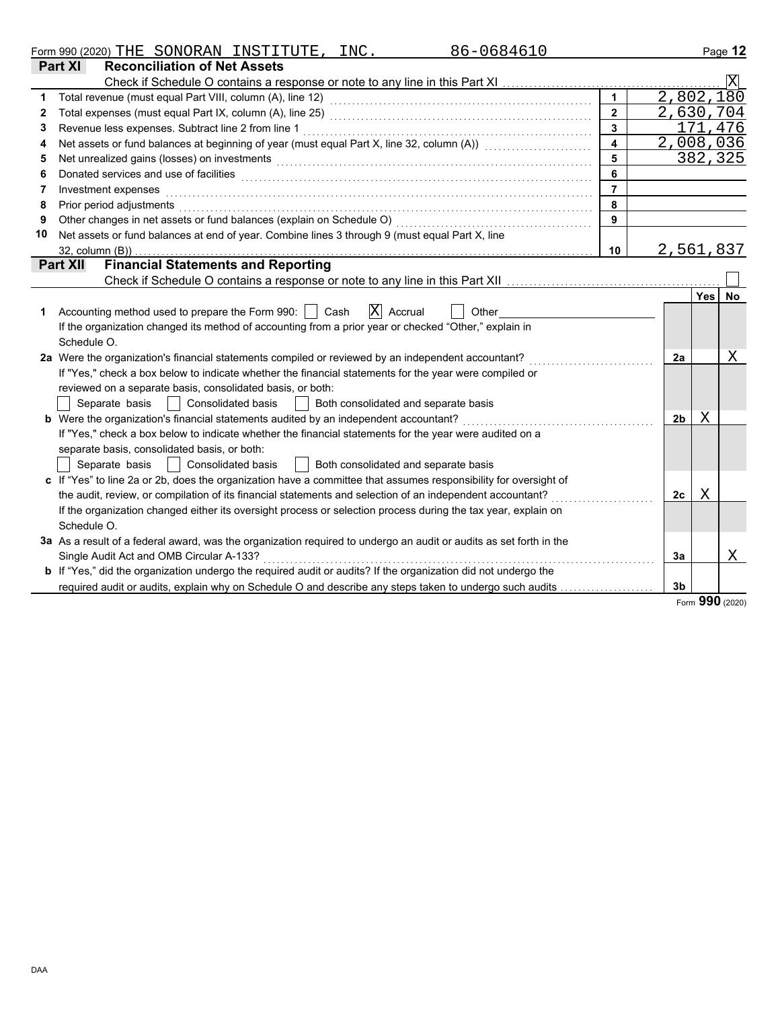|    | 86-0684610<br>Form 990 (2020) THE SONORAN INSTITUTE, INC.                                                                                                                                                                      |                         |           |            | Page 12        |
|----|--------------------------------------------------------------------------------------------------------------------------------------------------------------------------------------------------------------------------------|-------------------------|-----------|------------|----------------|
|    | Part XI<br><b>Reconciliation of Net Assets</b>                                                                                                                                                                                 |                         |           |            |                |
|    |                                                                                                                                                                                                                                |                         |           |            | $ \mathrm{X} $ |
| 1  |                                                                                                                                                                                                                                | $\mathbf{1}$            | 2,802,180 |            |                |
| 2  |                                                                                                                                                                                                                                | $\overline{2}$          | 2,630,704 |            |                |
| 3  | Revenue less expenses. Subtract line 2 from line 1                                                                                                                                                                             | $\overline{3}$          |           |            | 171,476        |
| 4  | Net assets or fund balances at beginning of year (must equal Part X, line 32, column (A)) [[[[[[[[[[[[[[[[[[[                                                                                                                  | $\overline{\mathbf{4}}$ | 2,008,036 |            |                |
| 5  | Net unrealized gains (losses) on investments [11] with an intervention of the state of the state of the state of the state of the state of the state of the state of the state of the state of the state of the state of the s | 5                       |           |            | 382,325        |
| 6  |                                                                                                                                                                                                                                | 6                       |           |            |                |
| 7  | Investment expenses                                                                                                                                                                                                            | $\overline{7}$          |           |            |                |
| 8  | Prior period adjustments                                                                                                                                                                                                       | 8                       |           |            |                |
| 9  | Other changes in net assets or fund balances (explain on Schedule O)                                                                                                                                                           | 9                       |           |            |                |
| 10 | Net assets or fund balances at end of year. Combine lines 3 through 9 (must equal Part X, line                                                                                                                                 |                         |           |            |                |
|    | $32$ , column $(B)$ )                                                                                                                                                                                                          | 10                      | 2,561,837 |            |                |
|    | <b>Financial Statements and Reporting</b><br><b>Part XII</b>                                                                                                                                                                   |                         |           |            |                |
|    |                                                                                                                                                                                                                                |                         |           |            |                |
|    |                                                                                                                                                                                                                                |                         |           | <b>Yes</b> | No             |
| 1  | X <br>Accounting method used to prepare the Form 990:     Cash<br>Accrual<br>Other                                                                                                                                             |                         |           |            |                |
|    | If the organization changed its method of accounting from a prior year or checked "Other," explain in                                                                                                                          |                         |           |            |                |
|    | Schedule O.                                                                                                                                                                                                                    |                         |           |            |                |
|    | 2a Were the organization's financial statements compiled or reviewed by an independent accountant?                                                                                                                             |                         | 2a        |            | Χ              |
|    | If "Yes," check a box below to indicate whether the financial statements for the year were compiled or                                                                                                                         |                         |           |            |                |
|    | reviewed on a separate basis, consolidated basis, or both:                                                                                                                                                                     |                         |           |            |                |
|    | Separate basis     Consolidated basis<br>  Both consolidated and separate basis                                                                                                                                                |                         |           |            |                |
|    | <b>b</b> Were the organization's financial statements audited by an independent accountant?                                                                                                                                    |                         | 2b        | Χ          |                |
|    | If "Yes," check a box below to indicate whether the financial statements for the year were audited on a                                                                                                                        |                         |           |            |                |
|    | separate basis, consolidated basis, or both:                                                                                                                                                                                   |                         |           |            |                |
|    | Separate basis     Consolidated basis<br>  Both consolidated and separate basis                                                                                                                                                |                         |           |            |                |
|    | c If "Yes" to line 2a or 2b, does the organization have a committee that assumes responsibility for oversight of                                                                                                               |                         |           |            |                |
|    | the audit, review, or compilation of its financial statements and selection of an independent accountant?                                                                                                                      |                         | 2c        | Χ          |                |
|    | If the organization changed either its oversight process or selection process during the tax year, explain on                                                                                                                  |                         |           |            |                |
|    | Schedule O.                                                                                                                                                                                                                    |                         |           |            |                |
|    | 3a As a result of a federal award, was the organization required to undergo an audit or audits as set forth in the                                                                                                             |                         |           |            |                |
|    | Single Audit Act and OMB Circular A-133?                                                                                                                                                                                       |                         | 3a        |            | X              |
|    | <b>b</b> If "Yes," did the organization undergo the required audit or audits? If the organization did not undergo the                                                                                                          |                         |           |            |                |
|    | required audit or audits, explain why on Schedule O and describe any steps taken to undergo such audits                                                                                                                        |                         | 3b        |            |                |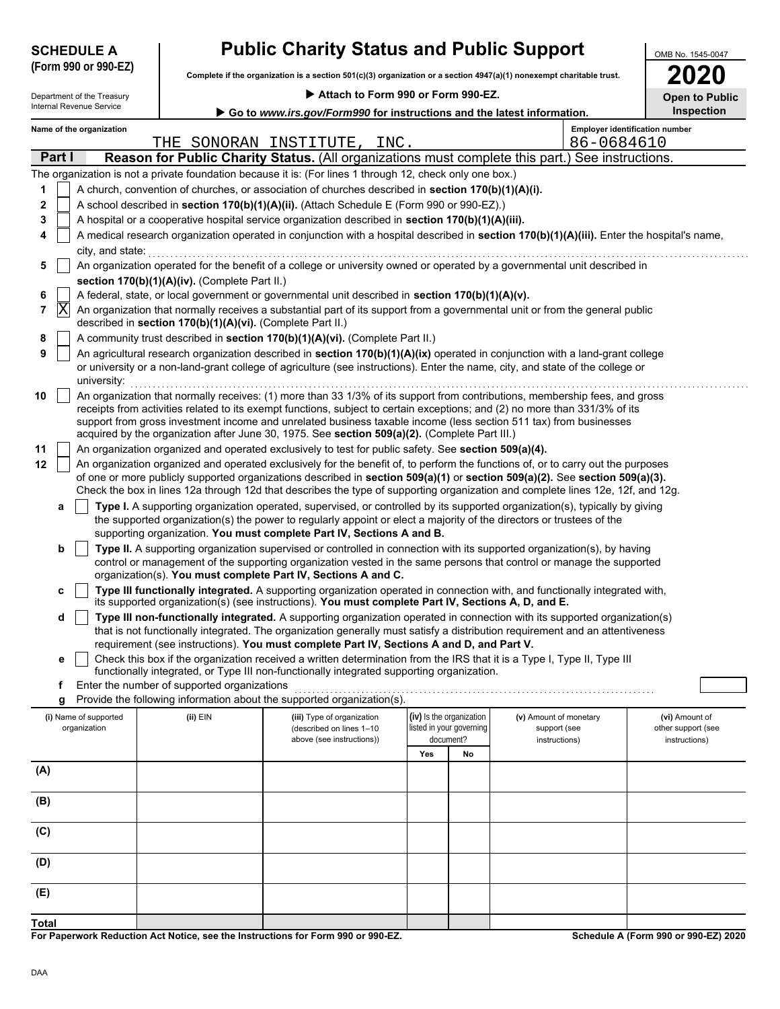|                                                                                                    | <b>SCHEDULE A</b>                                                                                                                          |  |                                                                                                                          | <b>Public Charity Status and Public Support</b>                                                                                                                                                                                                                 |                                                             |                                                      |                                        | OMB No. 1545-0047                     |  |  |  |  |  |
|----------------------------------------------------------------------------------------------------|--------------------------------------------------------------------------------------------------------------------------------------------|--|--------------------------------------------------------------------------------------------------------------------------|-----------------------------------------------------------------------------------------------------------------------------------------------------------------------------------------------------------------------------------------------------------------|-------------------------------------------------------------|------------------------------------------------------|----------------------------------------|---------------------------------------|--|--|--|--|--|
|                                                                                                    | (Form 990 or 990-EZ)                                                                                                                       |  | Complete if the organization is a section $501(c)(3)$ organization or a section $4947(a)(1)$ nonexempt charitable trust. |                                                                                                                                                                                                                                                                 |                                                             |                                                      |                                        |                                       |  |  |  |  |  |
|                                                                                                    | Department of the Treasury                                                                                                                 |  |                                                                                                                          |                                                                                                                                                                                                                                                                 | Attach to Form 990 or Form 990-EZ.<br><b>Open to Public</b> |                                                      |                                        |                                       |  |  |  |  |  |
| Internal Revenue Service<br>Go to www.irs.gov/Form990 for instructions and the latest information. |                                                                                                                                            |  |                                                                                                                          |                                                                                                                                                                                                                                                                 |                                                             |                                                      |                                        |                                       |  |  |  |  |  |
|                                                                                                    | Name of the organization                                                                                                                   |  |                                                                                                                          |                                                                                                                                                                                                                                                                 |                                                             |                                                      |                                        | <b>Employer identification number</b> |  |  |  |  |  |
|                                                                                                    |                                                                                                                                            |  | THE SONORAN INSTITUTE,                                                                                                   | INC.                                                                                                                                                                                                                                                            |                                                             |                                                      | 86-0684610                             |                                       |  |  |  |  |  |
|                                                                                                    | Part I                                                                                                                                     |  |                                                                                                                          | Reason for Public Charity Status. (All organizations must complete this part.) See instructions.                                                                                                                                                                |                                                             |                                                      |                                        |                                       |  |  |  |  |  |
| 1                                                                                                  |                                                                                                                                            |  |                                                                                                                          | The organization is not a private foundation because it is: (For lines 1 through 12, check only one box.)<br>A church, convention of churches, or association of churches described in section 170(b)(1)(A)(i).                                                 |                                                             |                                                      |                                        |                                       |  |  |  |  |  |
| 2                                                                                                  | A school described in section 170(b)(1)(A)(ii). (Attach Schedule E (Form 990 or 990-EZ).)                                                  |  |                                                                                                                          |                                                                                                                                                                                                                                                                 |                                                             |                                                      |                                        |                                       |  |  |  |  |  |
| 3                                                                                                  | A hospital or a cooperative hospital service organization described in section 170(b)(1)(A)(iii).                                          |  |                                                                                                                          |                                                                                                                                                                                                                                                                 |                                                             |                                                      |                                        |                                       |  |  |  |  |  |
| 4                                                                                                  | A medical research organization operated in conjunction with a hospital described in section 170(b)(1)(A)(iii). Enter the hospital's name, |  |                                                                                                                          |                                                                                                                                                                                                                                                                 |                                                             |                                                      |                                        |                                       |  |  |  |  |  |
|                                                                                                    | city, and state:                                                                                                                           |  |                                                                                                                          |                                                                                                                                                                                                                                                                 |                                                             |                                                      |                                        |                                       |  |  |  |  |  |
| 5                                                                                                  |                                                                                                                                            |  |                                                                                                                          | An organization operated for the benefit of a college or university owned or operated by a governmental unit described in                                                                                                                                       |                                                             |                                                      |                                        |                                       |  |  |  |  |  |
| 6                                                                                                  |                                                                                                                                            |  | section 170(b)(1)(A)(iv). (Complete Part II.)                                                                            | A federal, state, or local government or governmental unit described in section 170(b)(1)(A)(v).                                                                                                                                                                |                                                             |                                                      |                                        |                                       |  |  |  |  |  |
| 7                                                                                                  | ΙX                                                                                                                                         |  |                                                                                                                          | An organization that normally receives a substantial part of its support from a governmental unit or from the general public                                                                                                                                    |                                                             |                                                      |                                        |                                       |  |  |  |  |  |
|                                                                                                    |                                                                                                                                            |  | described in section 170(b)(1)(A)(vi). (Complete Part II.)                                                               |                                                                                                                                                                                                                                                                 |                                                             |                                                      |                                        |                                       |  |  |  |  |  |
| 8<br>9                                                                                             |                                                                                                                                            |  |                                                                                                                          | A community trust described in section 170(b)(1)(A)(vi). (Complete Part II.)                                                                                                                                                                                    |                                                             |                                                      |                                        |                                       |  |  |  |  |  |
|                                                                                                    | university:                                                                                                                                |  |                                                                                                                          | An agricultural research organization described in section 170(b)(1)(A)(ix) operated in conjunction with a land-grant college<br>or university or a non-land-grant college of agriculture (see instructions). Enter the name, city, and state of the college or |                                                             |                                                      |                                        |                                       |  |  |  |  |  |
| 10                                                                                                 |                                                                                                                                            |  |                                                                                                                          | An organization that normally receives: (1) more than 33 1/3% of its support from contributions, membership fees, and gross                                                                                                                                     |                                                             |                                                      |                                        |                                       |  |  |  |  |  |
|                                                                                                    |                                                                                                                                            |  |                                                                                                                          | receipts from activities related to its exempt functions, subject to certain exceptions; and (2) no more than 331/3% of its<br>support from gross investment income and unrelated business taxable income (less section 511 tax) from businesses                |                                                             |                                                      |                                        |                                       |  |  |  |  |  |
|                                                                                                    |                                                                                                                                            |  |                                                                                                                          | acquired by the organization after June 30, 1975. See section 509(a)(2). (Complete Part III.)                                                                                                                                                                   |                                                             |                                                      |                                        |                                       |  |  |  |  |  |
| 11                                                                                                 |                                                                                                                                            |  |                                                                                                                          | An organization organized and operated exclusively to test for public safety. See section 509(a)(4).                                                                                                                                                            |                                                             |                                                      |                                        |                                       |  |  |  |  |  |
| 12                                                                                                 |                                                                                                                                            |  |                                                                                                                          | An organization organized and operated exclusively for the benefit of, to perform the functions of, or to carry out the purposes                                                                                                                                |                                                             |                                                      |                                        |                                       |  |  |  |  |  |
|                                                                                                    |                                                                                                                                            |  |                                                                                                                          | of one or more publicly supported organizations described in section 509(a)(1) or section 509(a)(2). See section 509(a)(3).<br>Check the box in lines 12a through 12d that describes the type of supporting organization and complete lines 12e, 12f, and 12g.  |                                                             |                                                      |                                        |                                       |  |  |  |  |  |
|                                                                                                    | а                                                                                                                                          |  |                                                                                                                          | Type I. A supporting organization operated, supervised, or controlled by its supported organization(s), typically by giving                                                                                                                                     |                                                             |                                                      |                                        |                                       |  |  |  |  |  |
|                                                                                                    |                                                                                                                                            |  |                                                                                                                          | the supported organization(s) the power to regularly appoint or elect a majority of the directors or trustees of the                                                                                                                                            |                                                             |                                                      |                                        |                                       |  |  |  |  |  |
|                                                                                                    | b                                                                                                                                          |  |                                                                                                                          | supporting organization. You must complete Part IV, Sections A and B.<br>Type II. A supporting organization supervised or controlled in connection with its supported organization(s), by having                                                                |                                                             |                                                      |                                        |                                       |  |  |  |  |  |
|                                                                                                    |                                                                                                                                            |  |                                                                                                                          | control or management of the supporting organization vested in the same persons that control or manage the supported                                                                                                                                            |                                                             |                                                      |                                        |                                       |  |  |  |  |  |
|                                                                                                    |                                                                                                                                            |  |                                                                                                                          | organization(s). You must complete Part IV, Sections A and C.                                                                                                                                                                                                   |                                                             |                                                      |                                        |                                       |  |  |  |  |  |
|                                                                                                    | c                                                                                                                                          |  |                                                                                                                          | Type III functionally integrated. A supporting organization operated in connection with, and functionally integrated with,<br>its supported organization(s) (see instructions). You must complete Part IV, Sections A, D, and E.                                |                                                             |                                                      |                                        |                                       |  |  |  |  |  |
|                                                                                                    | d                                                                                                                                          |  |                                                                                                                          | Type III non-functionally integrated. A supporting organization operated in connection with its supported organization(s)                                                                                                                                       |                                                             |                                                      |                                        |                                       |  |  |  |  |  |
|                                                                                                    |                                                                                                                                            |  |                                                                                                                          | that is not functionally integrated. The organization generally must satisfy a distribution requirement and an attentiveness                                                                                                                                    |                                                             |                                                      |                                        |                                       |  |  |  |  |  |
|                                                                                                    | е                                                                                                                                          |  |                                                                                                                          | requirement (see instructions). You must complete Part IV, Sections A and D, and Part V.<br>Check this box if the organization received a written determination from the IRS that it is a Type I, Type II, Type III                                             |                                                             |                                                      |                                        |                                       |  |  |  |  |  |
|                                                                                                    |                                                                                                                                            |  |                                                                                                                          | functionally integrated, or Type III non-functionally integrated supporting organization.                                                                                                                                                                       |                                                             |                                                      |                                        |                                       |  |  |  |  |  |
|                                                                                                    | f                                                                                                                                          |  | Enter the number of supported organizations                                                                              |                                                                                                                                                                                                                                                                 |                                                             |                                                      |                                        |                                       |  |  |  |  |  |
|                                                                                                    | g                                                                                                                                          |  |                                                                                                                          | Provide the following information about the supported organization(s).                                                                                                                                                                                          |                                                             |                                                      |                                        |                                       |  |  |  |  |  |
|                                                                                                    | (i) Name of supported<br>organization                                                                                                      |  | (ii) EIN                                                                                                                 | (iii) Type of organization<br>(described on lines 1-10                                                                                                                                                                                                          |                                                             | (iv) Is the organization<br>listed in your governing | (v) Amount of monetary<br>support (see | (vi) Amount of<br>other support (see  |  |  |  |  |  |
|                                                                                                    |                                                                                                                                            |  |                                                                                                                          | above (see instructions))                                                                                                                                                                                                                                       |                                                             | document?                                            | instructions)                          | instructions)                         |  |  |  |  |  |
|                                                                                                    |                                                                                                                                            |  |                                                                                                                          |                                                                                                                                                                                                                                                                 | Yes                                                         | No                                                   |                                        |                                       |  |  |  |  |  |
| (A)                                                                                                |                                                                                                                                            |  |                                                                                                                          |                                                                                                                                                                                                                                                                 |                                                             |                                                      |                                        |                                       |  |  |  |  |  |
| (B)                                                                                                |                                                                                                                                            |  |                                                                                                                          |                                                                                                                                                                                                                                                                 |                                                             |                                                      |                                        |                                       |  |  |  |  |  |
| (C)                                                                                                |                                                                                                                                            |  |                                                                                                                          |                                                                                                                                                                                                                                                                 |                                                             |                                                      |                                        |                                       |  |  |  |  |  |
| (D)                                                                                                |                                                                                                                                            |  |                                                                                                                          |                                                                                                                                                                                                                                                                 |                                                             |                                                      |                                        |                                       |  |  |  |  |  |
| (E)                                                                                                |                                                                                                                                            |  |                                                                                                                          |                                                                                                                                                                                                                                                                 |                                                             |                                                      |                                        |                                       |  |  |  |  |  |
| <b>Total</b>                                                                                       |                                                                                                                                            |  |                                                                                                                          |                                                                                                                                                                                                                                                                 |                                                             |                                                      |                                        |                                       |  |  |  |  |  |

**For Paperwork Reduction Act Notice, see the Instructions for Form 990 or 990-EZ.**

**Schedule A (Form 990 or 990-EZ) 2020**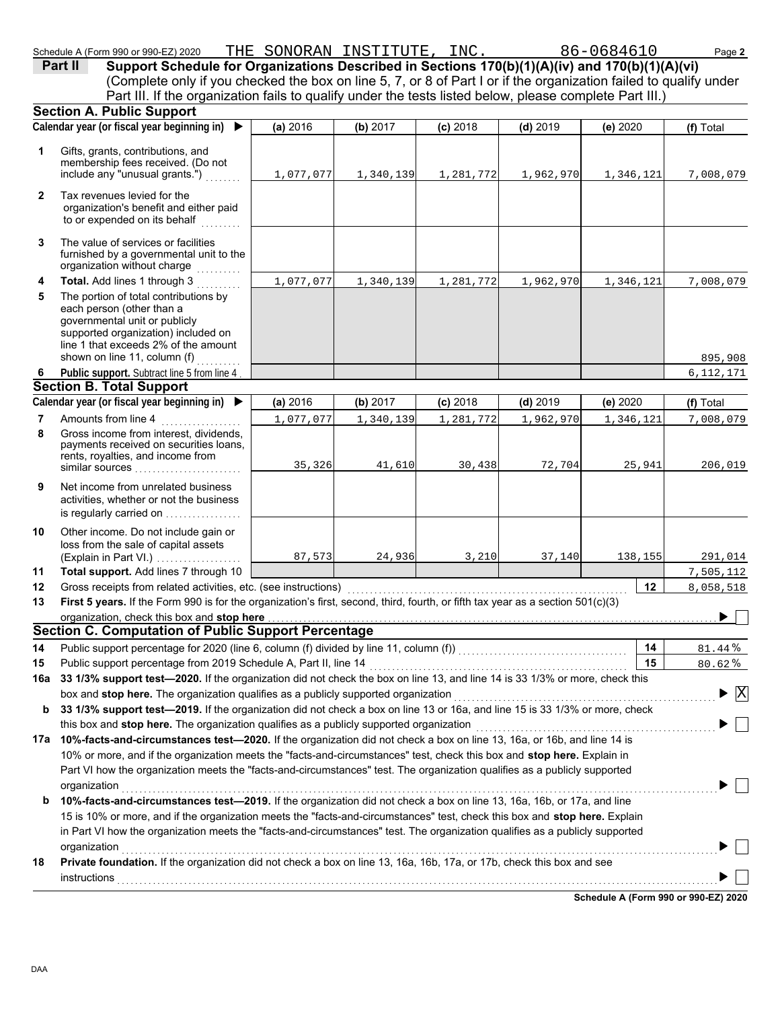|              | Schedule A (Form 990 or 990-EZ) 2020                                                                                                                                                                                                                       | THE SONORAN INSTITUTE, INC. 86-0684610 |           |            |            |           | Page 2       |
|--------------|------------------------------------------------------------------------------------------------------------------------------------------------------------------------------------------------------------------------------------------------------------|----------------------------------------|-----------|------------|------------|-----------|--------------|
|              | Support Schedule for Organizations Described in Sections 170(b)(1)(A)(iv) and 170(b)(1)(A)(vi)<br>Part II                                                                                                                                                  |                                        |           |            |            |           |              |
|              | (Complete only if you checked the box on line 5, 7, or 8 of Part I or if the organization failed to qualify under                                                                                                                                          |                                        |           |            |            |           |              |
|              | Part III. If the organization fails to qualify under the tests listed below, please complete Part III.)                                                                                                                                                    |                                        |           |            |            |           |              |
|              | <b>Section A. Public Support</b>                                                                                                                                                                                                                           |                                        |           |            |            |           |              |
|              | Calendar year (or fiscal year beginning in) $\blacktriangleright$                                                                                                                                                                                          | (a) 2016                               | (b) 2017  | $(c)$ 2018 | $(d)$ 2019 | (e) 2020  | (f) Total    |
| 1            | Gifts, grants, contributions, and<br>membership fees received. (Do not<br>include any "unusual grants.")                                                                                                                                                   | 1,077,077                              | 1,340,139 | 1,281,772  | 1,962,970  | 1,346,121 | 7,008,079    |
| $\mathbf{2}$ | Tax revenues levied for the<br>organization's benefit and either paid<br>to or expended on its behalf                                                                                                                                                      |                                        |           |            |            |           |              |
| 3            | The value of services or facilities<br>furnished by a governmental unit to the<br>organization without charge                                                                                                                                              |                                        |           |            |            |           |              |
| 4            | Total. Add lines 1 through 3<br>.                                                                                                                                                                                                                          | 1,077,077                              | 1,340,139 | 1,281,772  | 1,962,970  | 1,346,121 | 7,008,079    |
| 5            | The portion of total contributions by<br>each person (other than a<br>governmental unit or publicly<br>supported organization) included on<br>line 1 that exceeds 2% of the amount<br>shown on line 11, column (f)                                         |                                        |           |            |            |           | 895,908      |
| 6            | Public support. Subtract line 5 from line 4                                                                                                                                                                                                                |                                        |           |            |            |           | 6, 112, 171  |
|              | <b>Section B. Total Support</b>                                                                                                                                                                                                                            |                                        |           |            |            |           |              |
|              | Calendar year (or fiscal year beginning in) ▶                                                                                                                                                                                                              | (a) 2016                               | (b) 2017  | $(c)$ 2018 | $(d)$ 2019 | (e) 2020  | (f) Total    |
| 7            | Amounts from line 4                                                                                                                                                                                                                                        | 1,077,077                              | 1,340,139 | 1,281,772  | 1,962,970  | 1,346,121 | 7,008,079    |
| 8            | Gross income from interest, dividends,<br>payments received on securities loans,<br>rents, royalties, and income from<br>similar sources                                                                                                                   | 35,326                                 | 41,610    | 30,438     | 72,704     | 25,941    | 206,019      |
| 9            | Net income from unrelated business<br>activities, whether or not the business<br>is regularly carried on                                                                                                                                                   |                                        |           |            |            |           |              |
| 10           | Other income. Do not include gain or<br>loss from the sale of capital assets<br>(Explain in Part VI.)                                                                                                                                                      | 87,573                                 | 24,936    | 3,210      | 37,140     | 138,155   | 291,014      |
| 11           | Total support. Add lines 7 through 10                                                                                                                                                                                                                      |                                        |           |            |            |           | 7,505,112    |
| 12           | Gross receipts from related activities, etc. (see instructions)                                                                                                                                                                                            |                                        |           |            |            | 12        | 8,058,518    |
| 13           | First 5 years. If the Form 990 is for the organization's first, second, third, fourth, or fifth tax year as a section 501(c)(3)                                                                                                                            |                                        |           |            |            |           |              |
|              | organization, check this box and stop here                                                                                                                                                                                                                 |                                        |           |            |            |           |              |
|              | <b>Section C. Computation of Public Support Percentage</b>                                                                                                                                                                                                 |                                        |           |            |            |           |              |
| 14           | Public support percentage for 2020 (line 6, column (f) divided by line 11, column (f)) [[[[[[[[[[[[[[[[[[[[[[                                                                                                                                              |                                        |           |            |            | 14        | 81.44%       |
| 15           | Public support percentage from 2019 Schedule A, Part II, line 14                                                                                                                                                                                           |                                        |           |            |            | 15        | 80.62%       |
| 16a          | 33 1/3% support test-2020. If the organization did not check the box on line 13, and line 14 is 33 1/3% or more, check this                                                                                                                                |                                        |           |            |            |           |              |
|              | box and stop here. The organization qualifies as a publicly supported organization                                                                                                                                                                         |                                        |           |            |            |           | $\mathbf{X}$ |
| b            | 33 1/3% support test-2019. If the organization did not check a box on line 13 or 16a, and line 15 is 33 1/3% or more, check                                                                                                                                |                                        |           |            |            |           |              |
|              | this box and stop here. The organization qualifies as a publicly supported organization                                                                                                                                                                    |                                        |           |            |            |           |              |
|              | 17a 10%-facts-and-circumstances test-2020. If the organization did not check a box on line 13, 16a, or 16b, and line 14 is                                                                                                                                 |                                        |           |            |            |           |              |
|              | 10% or more, and if the organization meets the "facts-and-circumstances" test, check this box and stop here. Explain in                                                                                                                                    |                                        |           |            |            |           |              |
|              | Part VI how the organization meets the "facts-and-circumstances" test. The organization qualifies as a publicly supported<br>organization                                                                                                                  |                                        |           |            |            |           |              |
| b            | 10%-facts-and-circumstances test-2019. If the organization did not check a box on line 13, 16a, 16b, or 17a, and line                                                                                                                                      |                                        |           |            |            |           |              |
|              | 15 is 10% or more, and if the organization meets the "facts-and-circumstances" test, check this box and stop here. Explain<br>in Part VI how the organization meets the "facts-and-circumstances" test. The organization qualifies as a publicly supported |                                        |           |            |            |           |              |
|              | organization with the contract of the contract of the contract of the contract of the contract of the contract of the contract of the contract of the contract of the contract of the contract of the contract of the contract                             |                                        |           |            |            |           |              |

**18 Private foundation.** If the organization did not check a box on line 13, 16a, 16b, 17a, or 17b, check this box and see instructions . . . . . . . . . . . . . . . . . . . . . . . . . . . . . . . . . . . . . . . . . . . . . . . . . . . . . . . . . . . . . . . . . . . . . . . . . . . . . . . . . . . . . . . . . . . . . . . . . . . . . . . . . . . . . . . . . . . . . . . . . . . . . . . . . . . . . . .

**Schedule A (Form 990 or 990-EZ) 2020**

 $\overline{\phantom{a}}$  $\blacktriangleright$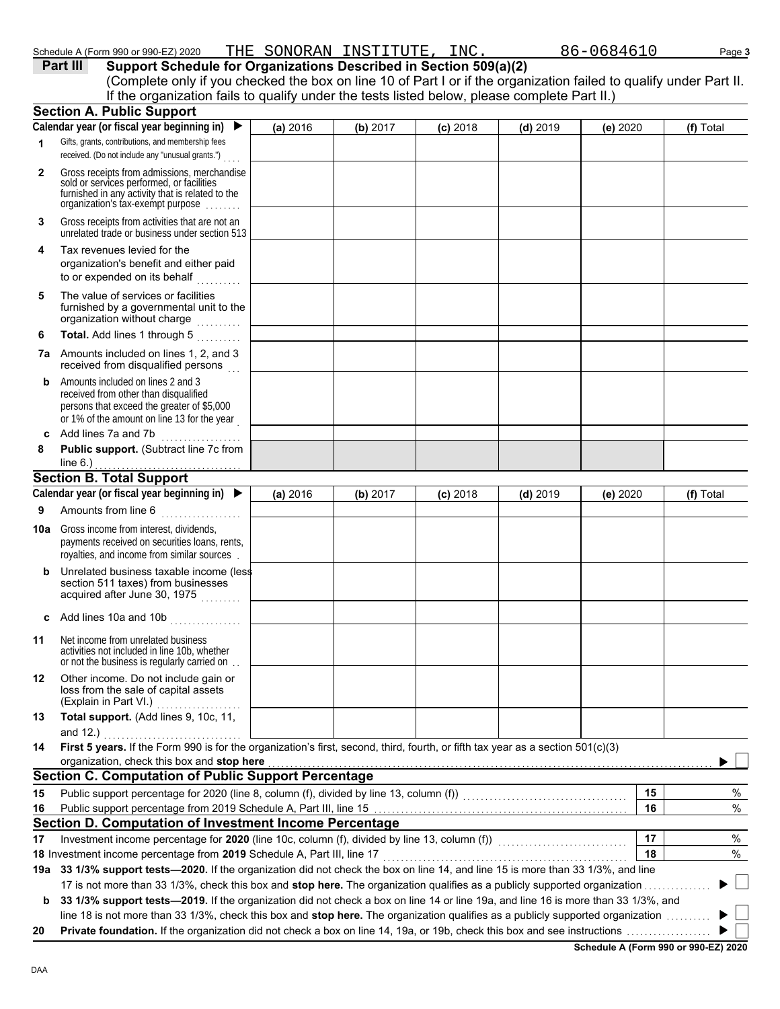| Schedule A (Form 990 or 990-EZ) 2020 | THE | SONORAN | TMOTTTTTTT<br>INSTITUIL | INC. | ـ د<br>``^846⊥J | Page 3 |
|--------------------------------------|-----|---------|-------------------------|------|-----------------|--------|
|                                      |     |         |                         |      |                 |        |

**Part III Support Schedule for Organizations Described in Section 509(a)(2)**

|              | (Complete only if you checked the box on line 10 of Part I or if the organization failed to qualify under Part II.<br>If the organization fails to qualify under the tests listed below, please complete Part II.)                                              |          |          |            |            |          |           |
|--------------|-----------------------------------------------------------------------------------------------------------------------------------------------------------------------------------------------------------------------------------------------------------------|----------|----------|------------|------------|----------|-----------|
|              | <b>Section A. Public Support</b>                                                                                                                                                                                                                                |          |          |            |            |          |           |
|              | Calendar year (or fiscal year beginning in) $\blacktriangleright$                                                                                                                                                                                               | (a) 2016 | (b) 2017 | $(c)$ 2018 | $(d)$ 2019 | (e) 2020 | (f) Total |
| 1            | Gifts, grants, contributions, and membership fees<br>received. (Do not include any "unusual grants.")                                                                                                                                                           |          |          |            |            |          |           |
| $\mathbf{2}$ | Gross receipts from admissions, merchandise<br>sold or services performed, or facilities<br>furnished in any activity that is related to the<br>organization's tax-exempt purpose                                                                               |          |          |            |            |          |           |
| 3            | Gross receipts from activities that are not an<br>unrelated trade or business under section 513                                                                                                                                                                 |          |          |            |            |          |           |
| 4            | Tax revenues levied for the<br>organization's benefit and either paid<br>to or expended on its behalf                                                                                                                                                           |          |          |            |            |          |           |
| 5            | The value of services or facilities<br>furnished by a governmental unit to the<br>organization without charge                                                                                                                                                   |          |          |            |            |          |           |
| 6            | Total. Add lines 1 through 5<br>a a a a a a a a .                                                                                                                                                                                                               |          |          |            |            |          |           |
|              | 7a Amounts included on lines 1, 2, and 3<br>received from disqualified persons                                                                                                                                                                                  |          |          |            |            |          |           |
| b            | Amounts included on lines 2 and 3<br>received from other than disqualified<br>persons that exceed the greater of \$5,000<br>or 1% of the amount on line 13 for the year                                                                                         |          |          |            |            |          |           |
|              | c Add lines 7a and 7b                                                                                                                                                                                                                                           |          |          |            |            |          |           |
| 8            | Public support. (Subtract line 7c from<br>line $6.$ )                                                                                                                                                                                                           |          |          |            |            |          |           |
|              | <b>Section B. Total Support</b>                                                                                                                                                                                                                                 |          |          |            |            |          |           |
|              | Calendar year (or fiscal year beginning in) $\blacktriangleright$                                                                                                                                                                                               | (a) 2016 | (b) 2017 | $(c)$ 2018 | $(d)$ 2019 | (e) 2020 | (f) Total |
| 9            | Amounts from line 6                                                                                                                                                                                                                                             |          |          |            |            |          |           |
| 10a          | Gross income from interest, dividends,<br>payments received on securities loans, rents,<br>royalties, and income from similar sources.                                                                                                                          |          |          |            |            |          |           |
| b            | Unrelated business taxable income (less<br>section 511 taxes) from businesses<br>acquired after June 30, 1975                                                                                                                                                   |          |          |            |            |          |           |
|              | c Add lines 10a and 10b $\ldots$                                                                                                                                                                                                                                |          |          |            |            |          |           |
| 11           | Net income from unrelated business<br>activities not included in line 10b, whether<br>or not the business is regularly carried on.                                                                                                                              |          |          |            |            |          |           |
| 12           | Other income. Do not include gain or<br>loss from the sale of capital assets<br>(Explain in Part VI.)                                                                                                                                                           |          |          |            |            |          |           |
| 13           | Total support. (Add lines 9, 10c, 11,                                                                                                                                                                                                                           |          |          |            |            |          |           |
|              | and $12.$ )                                                                                                                                                                                                                                                     |          |          |            |            |          |           |
| 14           | First 5 years. If the Form 990 is for the organization's first, second, third, fourth, or fifth tax year as a section 501(c)(3)<br>organization, check this box and stop here                                                                                   |          |          |            |            |          |           |
|              | <b>Section C. Computation of Public Support Percentage</b>                                                                                                                                                                                                      |          |          |            |            |          |           |
| 15           |                                                                                                                                                                                                                                                                 |          |          |            |            | 15       | %         |
| 16           |                                                                                                                                                                                                                                                                 |          |          |            |            | 16       | %         |
|              | Section D. Computation of Investment Income Percentage                                                                                                                                                                                                          |          |          |            |            |          |           |
| 17           | Investment income percentage for 2020 (line 10c, column (f), divided by line 13, column (f)) [[[[[[[[[[[[[[[[                                                                                                                                                   |          |          |            |            | 17       | $\%$      |
|              | 18 Investment income percentage from 2019 Schedule A, Part III, line 17                                                                                                                                                                                         |          |          |            |            | 18       | $\%$      |
|              | 19a 33 1/3% support tests—2020. If the organization did not check the box on line 14, and line 15 is more than 33 1/3%, and line                                                                                                                                |          |          |            |            |          |           |
|              | 17 is not more than 33 1/3%, check this box and stop here. The organization qualifies as a publicly supported organization<br>33 1/3% support tests-2019. If the organization did not check a box on line 14 or line 19a, and line 16 is more than 33 1/3%, and |          |          |            |            |          |           |
| b            | line 18 is not more than 33 1/3%, check this box and stop here. The organization qualifies as a publicly supported organization                                                                                                                                 |          |          |            |            |          |           |
| 20           |                                                                                                                                                                                                                                                                 |          |          |            |            |          |           |

**Schedule A (Form 990 or 990-EZ) 2020**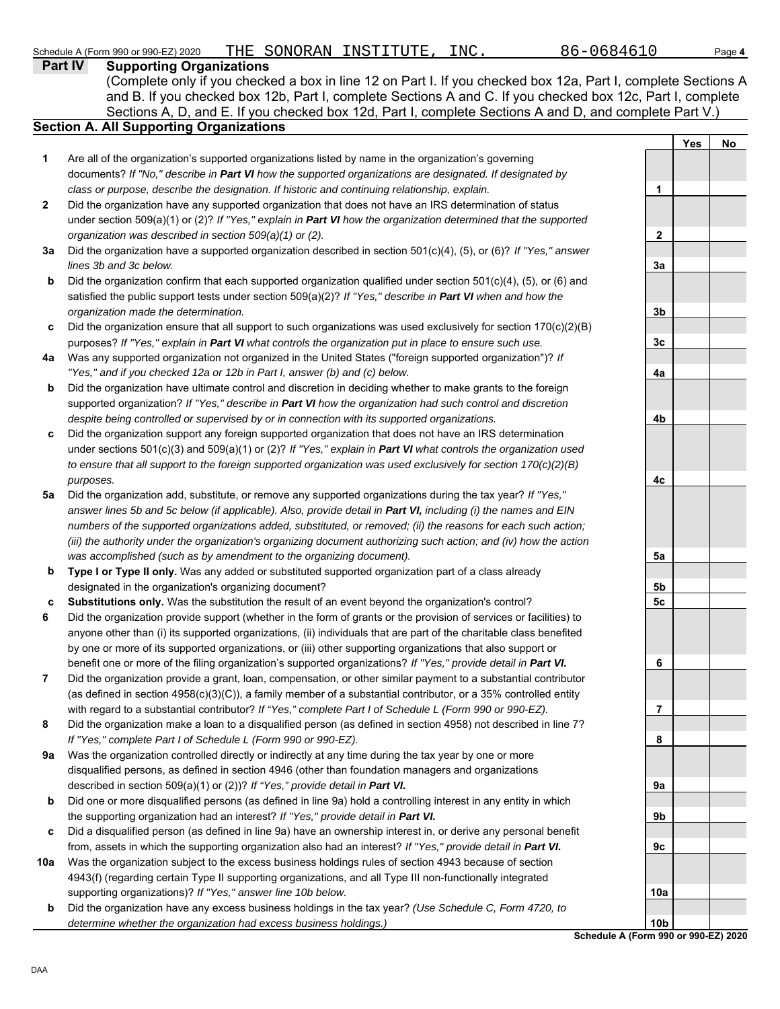|              | Part IV<br><b>Supporting Organizations</b>                                                                                                                                                           |                 |            |    |
|--------------|------------------------------------------------------------------------------------------------------------------------------------------------------------------------------------------------------|-----------------|------------|----|
|              | (Complete only if you checked a box in line 12 on Part I. If you checked box 12a, Part I, complete Sections A                                                                                        |                 |            |    |
|              | and B. If you checked box 12b, Part I, complete Sections A and C. If you checked box 12c, Part I, complete                                                                                           |                 |            |    |
|              | Sections A, D, and E. If you checked box 12d, Part I, complete Sections A and D, and complete Part V.)                                                                                               |                 |            |    |
|              | <b>Section A. All Supporting Organizations</b>                                                                                                                                                       |                 |            |    |
|              |                                                                                                                                                                                                      |                 | <b>Yes</b> | No |
| 1            | Are all of the organization's supported organizations listed by name in the organization's governing                                                                                                 |                 |            |    |
|              | documents? If "No," describe in Part VI how the supported organizations are designated. If designated by                                                                                             |                 |            |    |
|              | class or purpose, describe the designation. If historic and continuing relationship, explain.                                                                                                        | 1               |            |    |
| $\mathbf{2}$ | Did the organization have any supported organization that does not have an IRS determination of status                                                                                               |                 |            |    |
|              | under section 509(a)(1) or (2)? If "Yes," explain in Part VI how the organization determined that the supported                                                                                      |                 |            |    |
|              | organization was described in section 509(a)(1) or (2).                                                                                                                                              | $\mathbf{2}$    |            |    |
| За           | Did the organization have a supported organization described in section $501(c)(4)$ , (5), or (6)? If "Yes," answer                                                                                  |                 |            |    |
|              | lines 3b and 3c below.                                                                                                                                                                               | 3a              |            |    |
| b            | Did the organization confirm that each supported organization qualified under section 501(c)(4), (5), or (6) and                                                                                     |                 |            |    |
|              | satisfied the public support tests under section $509(a)(2)?$ If "Yes," describe in Part VI when and how the                                                                                         |                 |            |    |
|              | organization made the determination.                                                                                                                                                                 | 3b              |            |    |
| c            | Did the organization ensure that all support to such organizations was used exclusively for section $170(c)(2)(B)$                                                                                   |                 |            |    |
|              | purposes? If "Yes," explain in Part VI what controls the organization put in place to ensure such use.                                                                                               | 3c              |            |    |
| 4a           | Was any supported organization not organized in the United States ("foreign supported organization")? If                                                                                             |                 |            |    |
|              | "Yes," and if you checked 12a or 12b in Part I, answer (b) and (c) below.                                                                                                                            | 4a              |            |    |
| b            | Did the organization have ultimate control and discretion in deciding whether to make grants to the foreign                                                                                          |                 |            |    |
|              | supported organization? If "Yes," describe in Part VI how the organization had such control and discretion                                                                                           |                 |            |    |
|              | despite being controlled or supervised by or in connection with its supported organizations.                                                                                                         | 4b              |            |    |
| c            | Did the organization support any foreign supported organization that does not have an IRS determination                                                                                              |                 |            |    |
|              | under sections 501(c)(3) and 509(a)(1) or (2)? If "Yes," explain in Part VI what controls the organization used                                                                                      |                 |            |    |
|              | to ensure that all support to the foreign supported organization was used exclusively for section $170(c)(2)(B)$                                                                                     |                 |            |    |
|              | purposes.                                                                                                                                                                                            | 4с              |            |    |
| 5a           | Did the organization add, substitute, or remove any supported organizations during the tax year? If "Yes,"                                                                                           |                 |            |    |
|              | answer lines 5b and 5c below (if applicable). Also, provide detail in Part VI, including (i) the names and EIN                                                                                       |                 |            |    |
|              | numbers of the supported organizations added, substituted, or removed; (ii) the reasons for each such action;                                                                                        |                 |            |    |
|              | (iii) the authority under the organization's organizing document authorizing such action; and (iv) how the action                                                                                    |                 |            |    |
|              | was accomplished (such as by amendment to the organizing document).                                                                                                                                  | 5a              |            |    |
| b            | Type I or Type II only. Was any added or substituted supported organization part of a class already                                                                                                  |                 |            |    |
|              | designated in the organization's organizing document?                                                                                                                                                | 5b              |            |    |
| c            | Substitutions only. Was the substitution the result of an event beyond the organization's control?                                                                                                   | 5 <sub>c</sub>  |            |    |
| 6            | Did the organization provide support (whether in the form of grants or the provision of services or facilities) to                                                                                   |                 |            |    |
|              | anyone other than (i) its supported organizations, (ii) individuals that are part of the charitable class benefited                                                                                  |                 |            |    |
|              | by one or more of its supported organizations, or (iii) other supporting organizations that also support or                                                                                          |                 |            |    |
|              | benefit one or more of the filing organization's supported organizations? If "Yes," provide detail in Part VI.                                                                                       | 6               |            |    |
| 7            | Did the organization provide a grant, loan, compensation, or other similar payment to a substantial contributor                                                                                      |                 |            |    |
|              | (as defined in section $4958(c)(3)(C)$ ), a family member of a substantial contributor, or a 35% controlled entity                                                                                   |                 |            |    |
|              | with regard to a substantial contributor? If "Yes," complete Part I of Schedule L (Form 990 or 990-EZ).                                                                                              | 7               |            |    |
| 8            | Did the organization make a loan to a disqualified person (as defined in section 4958) not described in line 7?                                                                                      |                 |            |    |
|              | If "Yes," complete Part I of Schedule L (Form 990 or 990-EZ).                                                                                                                                        | 8               |            |    |
| 9a           | Was the organization controlled directly or indirectly at any time during the tax year by one or more                                                                                                |                 |            |    |
|              | disqualified persons, as defined in section 4946 (other than foundation managers and organizations<br>described in section 509(a)(1) or (2))? If "Yes," provide detail in Part VI.                   |                 |            |    |
| b            |                                                                                                                                                                                                      | 9а              |            |    |
|              | Did one or more disqualified persons (as defined in line 9a) hold a controlling interest in any entity in which<br>the supporting organization had an interest? If "Yes," provide detail in Part VI. | 9b              |            |    |
| c            | Did a disqualified person (as defined in line 9a) have an ownership interest in, or derive any personal benefit                                                                                      |                 |            |    |
|              | from, assets in which the supporting organization also had an interest? If "Yes," provide detail in Part VI.                                                                                         | 9c              |            |    |
| 10a          | Was the organization subject to the excess business holdings rules of section 4943 because of section                                                                                                |                 |            |    |
|              | 4943(f) (regarding certain Type II supporting organizations, and all Type III non-functionally integrated                                                                                            |                 |            |    |
|              | supporting organizations)? If "Yes," answer line 10b below.                                                                                                                                          | 10a             |            |    |
| b            | Did the organization have any excess business holdings in the tax year? (Use Schedule C, Form 4720, to                                                                                               |                 |            |    |
|              | determine whether the organization had excess business holdings.)                                                                                                                                    | 10 <sub>b</sub> |            |    |

**Schedule A (Form 990 or 990-EZ) 2020**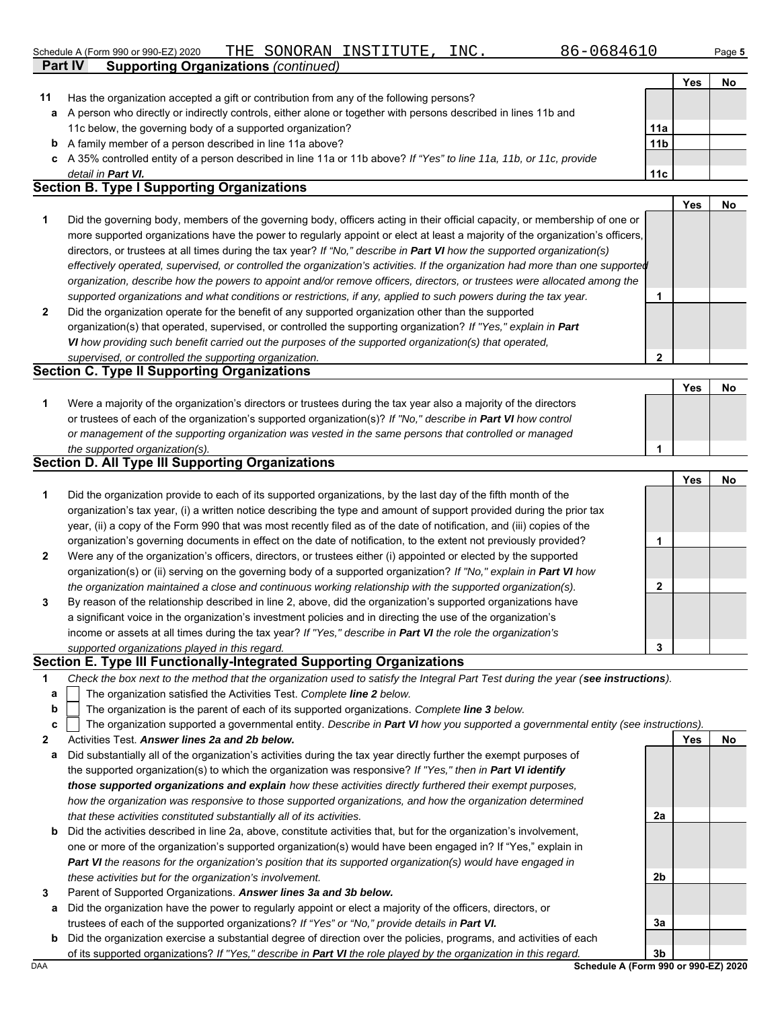#### Schedule A (Form 990 or 990-EZ) 2020 Page **5** THE SONORAN INSTITUTE, INC. 86-0684610

| 86-068461 |  |  |  |  |  |  |  |
|-----------|--|--|--|--|--|--|--|
|-----------|--|--|--|--|--|--|--|

**2**

|                | SCILEDULE A (FOITH 990 OF 990-EZ) ZUZU<br>THE OUNURAN INDITIOIE, INC.<br>ou−uuo −uu                                            |                 |     | raye ə |
|----------------|--------------------------------------------------------------------------------------------------------------------------------|-----------------|-----|--------|
| <b>Part IV</b> | <b>Supporting Organizations (continued)</b>                                                                                    |                 |     |        |
|                |                                                                                                                                |                 | Yes | No.    |
| 11             | Has the organization accepted a gift or contribution from any of the following persons?                                        |                 |     |        |
| a              | A person who directly or indirectly controls, either alone or together with persons described in lines 11b and                 |                 |     |        |
|                | 11c below, the governing body of a supported organization?                                                                     | 11a             |     |        |
| b              | A family member of a person described in line 11a above?                                                                       | 11 <sub>b</sub> |     |        |
| c              | A 35% controlled entity of a person described in line 11a or 11b above? If "Yes" to line 11a, 11b, or 11c, provide             |                 |     |        |
|                | detail in Part VI.                                                                                                             | 11c             |     |        |
|                | <b>Section B. Type I Supporting Organizations</b>                                                                              |                 |     |        |
|                |                                                                                                                                |                 | Yes | No.    |
| 1              | Did the governing body, members of the governing body, officers acting in their official capacity, or membership of one or     |                 |     |        |
|                | more supported organizations have the power to regularly appoint or elect at least a majority of the organization's officers,  |                 |     |        |
|                | directors, or trustees at all times during the tax year? If "No," describe in <b>Part VI</b> how the supported organization(s) |                 |     |        |
|                | effectively operated, supervised, or controlled the organization's activities. If the organization had more than one supported |                 |     |        |
|                | organization, describe how the powers to appoint and/or remove officers, directors, or trustees were allocated among the       |                 |     |        |
|                | supported organizations and what conditions or restrictions, if any, applied to such powers during the tax year.               |                 |     |        |
| $\mathbf{2}$   | Did the organization operate for the benefit of any supported organization other than the supported                            |                 |     |        |
|                | organization(s) that operated, supervised, or controlled the supporting organization? If "Yes," explain in Part                |                 |     |        |
|                | VI how providing such benefit carried out the purposes of the supported organization(s) that operated,                         |                 |     |        |

| Section C. Type if Supporting Organizations                                                                      |  |  |           |  |  |  |  |
|------------------------------------------------------------------------------------------------------------------|--|--|-----------|--|--|--|--|
|                                                                                                                  |  |  | <b>No</b> |  |  |  |  |
| Were a majority of the organization's directors or trustees during the tax year also a majority of the directors |  |  |           |  |  |  |  |
| or trustees of each of the organization's supported organization(s)? If "No," describe in Part VI how control    |  |  |           |  |  |  |  |
| or management of the supporting organization was vested in the same persons that controlled or managed           |  |  |           |  |  |  |  |
| the supported organization(s).                                                                                   |  |  |           |  |  |  |  |

## **Section D. All Type III Supporting Organizations**

*supervised, or controlled the supporting organization.* **Section C. Type II Supporting Organizations**

|                |                                                                                                                        |   | Yes | No |
|----------------|------------------------------------------------------------------------------------------------------------------------|---|-----|----|
| 1              | Did the organization provide to each of its supported organizations, by the last day of the fifth month of the         |   |     |    |
|                | organization's tax year, (i) a written notice describing the type and amount of support provided during the prior tax  |   |     |    |
|                | year, (ii) a copy of the Form 990 that was most recently filed as of the date of notification, and (iii) copies of the |   |     |    |
|                | organization's governing documents in effect on the date of notification, to the extent not previously provided?       |   |     |    |
| $\overline{2}$ | Were any of the organization's officers, directors, or trustees either (i) appointed or elected by the supported       |   |     |    |
|                | organization(s) or (ii) serving on the governing body of a supported organization? If "No," explain in Part VI how     |   |     |    |
|                | the organization maintained a close and continuous working relationship with the supported organization(s).            | າ |     |    |
| 3              | By reason of the relationship described in line 2, above, did the organization's supported organizations have          |   |     |    |
|                | a significant voice in the organization's investment policies and in directing the use of the organization's           |   |     |    |
|                | income or assets at all times during the tax year? If "Yes," describe in Part VI the role the organization's           |   |     |    |
|                | supported organizations played in this regard.                                                                         | 3 |     |    |

## **Section E. Type III Functionally-Integrated Supporting Organizations**

| Check the box next to the method that the organization used to satisfy the Integral Part Test during the year (see instructions). |  |
|-----------------------------------------------------------------------------------------------------------------------------------|--|
|                                                                                                                                   |  |

- The organization satisfied the Activities Test. *Complete line 2 below.* **a**
- The organization is the parent of each of its supported organizations. *Complete line 3 below.* **b**

|  | c $\vert$ The organization supported a governmental entity. Describe in Part VI how you supported a governmental entity (see instructions). |  |
|--|---------------------------------------------------------------------------------------------------------------------------------------------|--|
|  |                                                                                                                                             |  |

**2** Activities Test. *Answer lines 2a and 2b below.*

- **a** Did substantially all of the organization's activities during the tax year directly further the exempt purposes of the supported organization(s) to which the organization was responsive? *If "Yes," then in Part VI identify those supported organizations and explain how these activities directly furthered their exempt purposes, how the organization was responsive to those supported organizations, and how the organization determined that these activities constituted substantially all of its activities.*
- **b** Did the activities described in line 2a, above, constitute activities that, but for the organization's involvement, one or more of the organization's supported organization(s) would have been engaged in? If "Yes," explain in *Part VI the reasons for the organization's position that its supported organization(s) would have engaged in these activities but for the organization's involvement.*
- **3** Parent of Supported Organizations. *Answer lines 3a and 3b below.*
	- **a** Did the organization have the power to regularly appoint or elect a majority of the officers, directors, or trustees of each of the supported organizations? *If "Yes" or "No," provide details in Part VI.*
	- **b** Did the organization exercise a substantial degree of direction over the policies, programs, and activities of each of its supported organizations? *If "Yes," describe in Part VI the role played by the organization in this regard.*

DAA **Schedule A (Form 990 or 990-EZ) 2020 3b**

**2a**

**2b**

**3a**

**Yes No**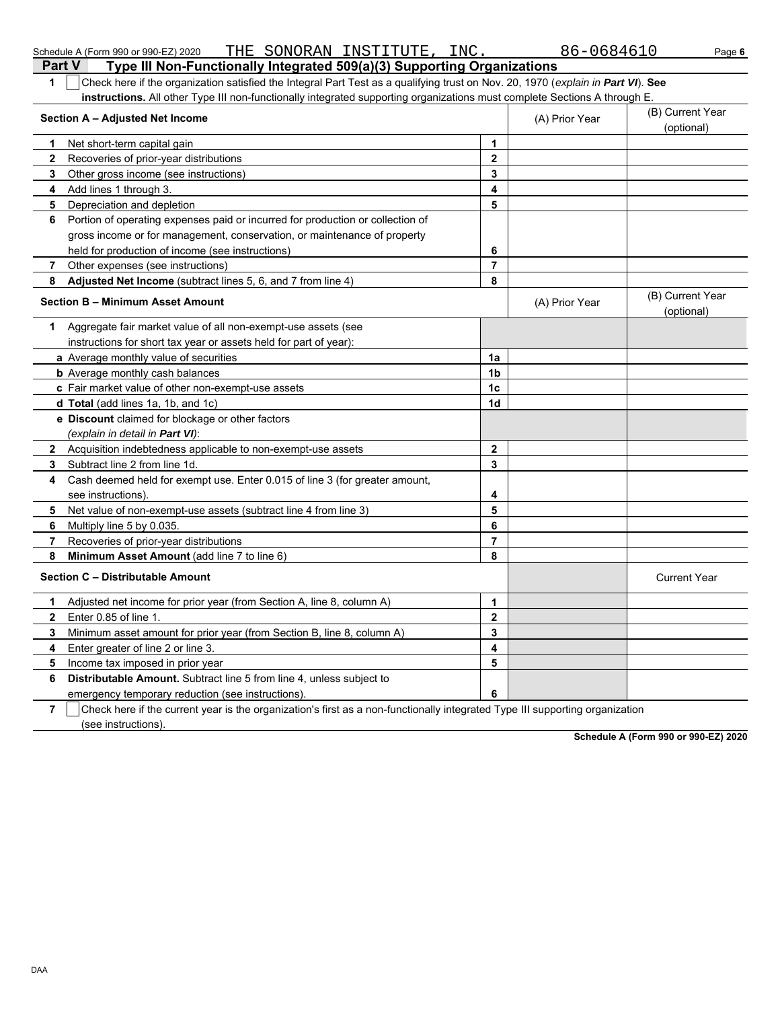| Check here if the organization satisfied the Integral Part Test as a qualifying trust on Nov. 20, 1970 (explain in Part VI). See<br>1 |                |                |                                |  |  |  |
|---------------------------------------------------------------------------------------------------------------------------------------|----------------|----------------|--------------------------------|--|--|--|
| <b>instructions.</b> All other Type III non-functionally integrated supporting organizations must complete Sections A through E.      |                |                | (B) Current Year               |  |  |  |
| Section A - Adjusted Net Income                                                                                                       |                |                |                                |  |  |  |
| Net short-term capital gain<br>1                                                                                                      | $\mathbf{1}$   |                |                                |  |  |  |
| $\mathbf{2}$<br>Recoveries of prior-year distributions                                                                                | $\overline{2}$ |                |                                |  |  |  |
| 3<br>Other gross income (see instructions)                                                                                            | 3              |                |                                |  |  |  |
| Add lines 1 through 3.<br>4                                                                                                           | 4              |                |                                |  |  |  |
| Depreciation and depletion<br>5                                                                                                       | 5              |                |                                |  |  |  |
| Portion of operating expenses paid or incurred for production or collection of<br>6                                                   |                |                |                                |  |  |  |
| gross income or for management, conservation, or maintenance of property                                                              |                |                |                                |  |  |  |
| held for production of income (see instructions)                                                                                      | 6              |                |                                |  |  |  |
| Other expenses (see instructions)<br>7                                                                                                | $\overline{7}$ |                |                                |  |  |  |
| Adjusted Net Income (subtract lines 5, 6, and 7 from line 4)<br>8                                                                     | 8              |                |                                |  |  |  |
| Section B - Minimum Asset Amount                                                                                                      |                | (A) Prior Year | (B) Current Year<br>(optional) |  |  |  |
| Aggregate fair market value of all non-exempt-use assets (see<br>1.                                                                   |                |                |                                |  |  |  |
| instructions for short tax year or assets held for part of year):                                                                     |                |                |                                |  |  |  |
| a Average monthly value of securities                                                                                                 | 1a             |                |                                |  |  |  |
| <b>b</b> Average monthly cash balances                                                                                                | 1 <sub>b</sub> |                |                                |  |  |  |
| c Fair market value of other non-exempt-use assets                                                                                    | 1 <sub>c</sub> |                |                                |  |  |  |
| d Total (add lines 1a, 1b, and 1c)                                                                                                    | 1 <sub>d</sub> |                |                                |  |  |  |
| <b>e</b> Discount claimed for blockage or other factors                                                                               |                |                |                                |  |  |  |
| (explain in detail in Part VI):                                                                                                       |                |                |                                |  |  |  |
| $\mathbf{2}$<br>Acquisition indebtedness applicable to non-exempt-use assets                                                          | $\mathbf{2}$   |                |                                |  |  |  |
| 3<br>Subtract line 2 from line 1d.                                                                                                    | 3              |                |                                |  |  |  |
| Cash deemed held for exempt use. Enter 0.015 of line 3 (for greater amount,<br>4                                                      |                |                |                                |  |  |  |
| see instructions)                                                                                                                     | 4              |                |                                |  |  |  |
| 5<br>Net value of non-exempt-use assets (subtract line 4 from line 3)                                                                 | 5              |                |                                |  |  |  |
| 6<br>Multiply line 5 by 0.035.                                                                                                        | 6              |                |                                |  |  |  |
| 7<br>Recoveries of prior-year distributions                                                                                           | $\overline{7}$ |                |                                |  |  |  |
| 8<br>Minimum Asset Amount (add line 7 to line 6)                                                                                      | 8              |                |                                |  |  |  |
| Section C - Distributable Amount                                                                                                      |                |                | <b>Current Year</b>            |  |  |  |
| Adjusted net income for prior year (from Section A, line 8, column A)<br>1.                                                           | $\mathbf{1}$   |                |                                |  |  |  |
| Enter 0.85 of line 1.<br>$\mathbf{2}$                                                                                                 | $\mathbf 2$    |                |                                |  |  |  |
| Minimum asset amount for prior year (from Section B, line 8, column A)<br>3                                                           | $\mathbf{3}$   |                |                                |  |  |  |
| 4<br>Enter greater of line 2 or line 3.                                                                                               | 4              |                |                                |  |  |  |
| Income tax imposed in prior year<br>5                                                                                                 | 5              |                |                                |  |  |  |
| <b>Distributable Amount.</b> Subtract line 5 from line 4, unless subject to<br>6                                                      |                |                |                                |  |  |  |
| emergency temporary reduction (see instructions).                                                                                     | 6              |                |                                |  |  |  |
| 7<br>Check here if the current year is the organization's first as a non-functionally integrated Type III supporting organization     |                |                |                                |  |  |  |

Schedule A (Form 990 or 990-EZ) 2020 THE SONORAN INSTITUTE , INC .  $86-0684610$  Page **6** 

**Part V** Type III Non-Functionally Integrated 509(a)(3) Supporting Organizations

(see instructions).

**Schedule A (Form 990 or 990-EZ) 2020**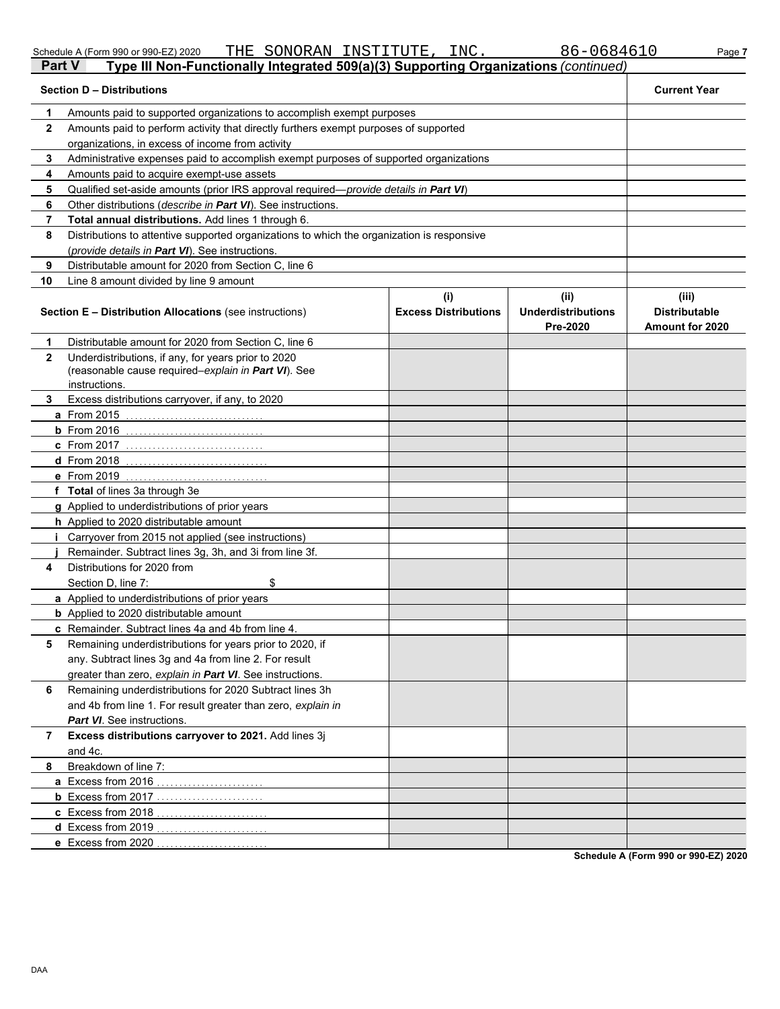DAA

|   | 86-0684610<br>THE SONORAN INSTITUTE, INC.<br>Schedule A (Form 990 or 990-EZ) 2020                    | Page 7              |
|---|------------------------------------------------------------------------------------------------------|---------------------|
|   | Type III Non-Functionally Integrated 509(a)(3) Supporting Organizations (continued)<br><b>Part V</b> |                     |
|   | <b>Section D - Distributions</b>                                                                     | <b>Current Year</b> |
|   | Amounts paid to supported organizations to accomplish exempt purposes                                |                     |
| 2 | Amounts paid to perform activity that directly furthers exempt purposes of supported                 |                     |
|   | organizations, in excess of income from activity                                                     |                     |
|   | Administrative expenses paid to accomplish exempt purposes of supported organizations                |                     |
|   | Amounts paid to acquire exempt-use assets                                                            |                     |
|   | Qualified set-aside amounts (prior IRS approval required— <i>provide details in <b>Part VI</b></i> ) |                     |
| 6 | Other distributions ( <i>describe in Part VI</i> ). See instructions.                                |                     |

|                | Qualified oot dolde arribanto (prior into approvan required                                                                 | $P1$ or not about the means $P1$   |                                               |                                                         |  |  |
|----------------|-----------------------------------------------------------------------------------------------------------------------------|------------------------------------|-----------------------------------------------|---------------------------------------------------------|--|--|
| 6              | Other distributions (describe in Part VI). See instructions.                                                                |                                    |                                               |                                                         |  |  |
| 7              | Total annual distributions. Add lines 1 through 6.                                                                          |                                    |                                               |                                                         |  |  |
| 8              | Distributions to attentive supported organizations to which the organization is responsive                                  |                                    |                                               |                                                         |  |  |
|                | (provide details in Part VI). See instructions.                                                                             |                                    |                                               |                                                         |  |  |
| 9              | Distributable amount for 2020 from Section C, line 6                                                                        |                                    |                                               |                                                         |  |  |
| 10             | Line 8 amount divided by line 9 amount                                                                                      |                                    |                                               |                                                         |  |  |
|                | <b>Section E - Distribution Allocations</b> (see instructions)                                                              | (i)<br><b>Excess Distributions</b> | (ii)<br><b>Underdistributions</b><br>Pre-2020 | (iii)<br><b>Distributable</b><br><b>Amount for 2020</b> |  |  |
| 1              | Distributable amount for 2020 from Section C, line 6                                                                        |                                    |                                               |                                                         |  |  |
| $\mathbf{2}$   | Underdistributions, if any, for years prior to 2020<br>(reasonable cause required–explain in Part VI). See<br>instructions. |                                    |                                               |                                                         |  |  |
| 3              | Excess distributions carryover, if any, to 2020                                                                             |                                    |                                               |                                                         |  |  |
|                | <b>a</b> From 2015                                                                                                          |                                    |                                               |                                                         |  |  |
|                | <b>b</b> From 2016                                                                                                          |                                    |                                               |                                                         |  |  |
|                |                                                                                                                             |                                    |                                               |                                                         |  |  |
|                | <b>d</b> From 2018                                                                                                          |                                    |                                               |                                                         |  |  |
|                | e From 2019                                                                                                                 |                                    |                                               |                                                         |  |  |
|                | f Total of lines 3a through 3e                                                                                              |                                    |                                               |                                                         |  |  |
|                | g Applied to underdistributions of prior years                                                                              |                                    |                                               |                                                         |  |  |
|                | <b>h</b> Applied to 2020 distributable amount                                                                               |                                    |                                               |                                                         |  |  |
|                | i Carryover from 2015 not applied (see instructions)                                                                        |                                    |                                               |                                                         |  |  |
|                | Remainder. Subtract lines 3g, 3h, and 3i from line 3f.                                                                      |                                    |                                               |                                                         |  |  |
| 4              | Distributions for 2020 from                                                                                                 |                                    |                                               |                                                         |  |  |
|                | \$<br>Section D, line 7:                                                                                                    |                                    |                                               |                                                         |  |  |
|                | <b>a</b> Applied to underdistributions of prior years                                                                       |                                    |                                               |                                                         |  |  |
|                | <b>b</b> Applied to 2020 distributable amount                                                                               |                                    |                                               |                                                         |  |  |
|                | c Remainder. Subtract lines 4a and 4b from line 4.                                                                          |                                    |                                               |                                                         |  |  |
| 5              | Remaining underdistributions for years prior to 2020, if                                                                    |                                    |                                               |                                                         |  |  |
|                | any. Subtract lines 3g and 4a from line 2. For result                                                                       |                                    |                                               |                                                         |  |  |
|                | greater than zero, explain in Part VI. See instructions.                                                                    |                                    |                                               |                                                         |  |  |
| 6              | Remaining underdistributions for 2020 Subtract lines 3h                                                                     |                                    |                                               |                                                         |  |  |
|                | and 4b from line 1. For result greater than zero, explain in                                                                |                                    |                                               |                                                         |  |  |
|                | <b>Part VI</b> See instructions.                                                                                            |                                    |                                               |                                                         |  |  |
| $\overline{7}$ | Excess distributions carryover to 2021. Add lines 3j                                                                        |                                    |                                               |                                                         |  |  |
|                | and 4c.                                                                                                                     |                                    |                                               |                                                         |  |  |
| 8              | Breakdown of line 7:                                                                                                        |                                    |                                               |                                                         |  |  |
|                | a Excess from 2016                                                                                                          |                                    |                                               |                                                         |  |  |
|                | <b>b</b> Excess from 2017                                                                                                   |                                    |                                               |                                                         |  |  |
|                | c Excess from 2018                                                                                                          |                                    |                                               |                                                         |  |  |
|                | d Excess from 2019                                                                                                          |                                    |                                               |                                                         |  |  |
|                | e Excess from 2020                                                                                                          |                                    |                                               |                                                         |  |  |

**Schedule A (Form 990 or 990-EZ) 2020**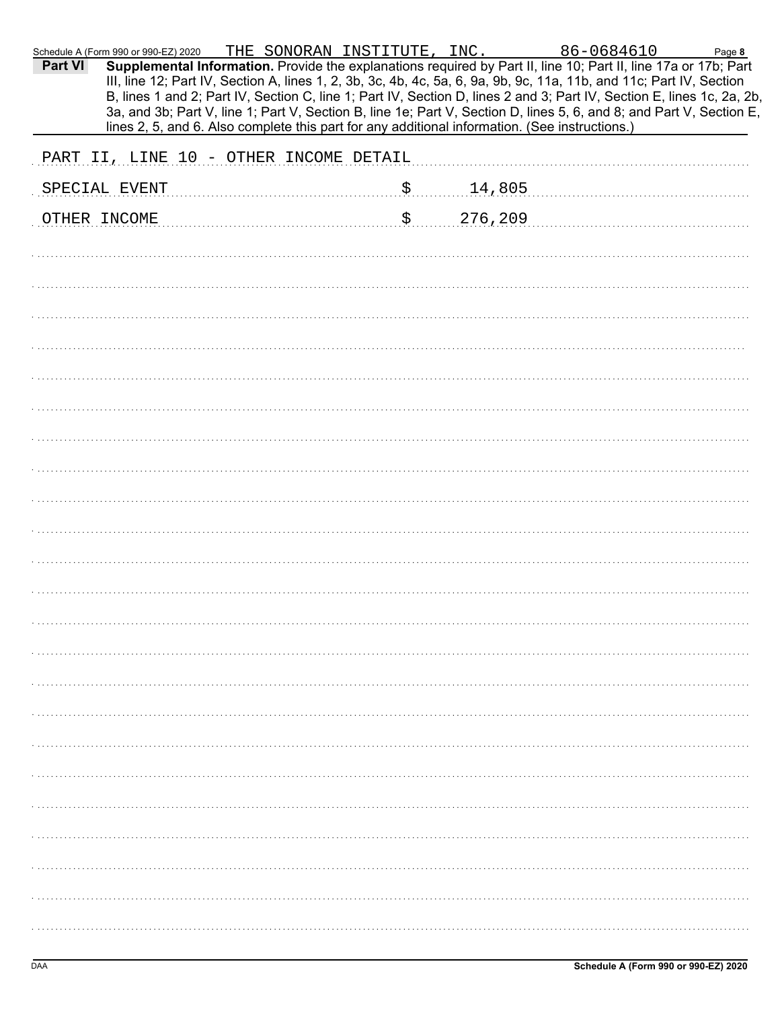| Part VI | Schedule A (Form 990 or 990-EZ) 2020<br>Supplemental Information. Provide the explanations required by Part II, line 10; Part II, line 17a or 17b; Part<br>III, line 12; Part IV, Section A, lines 1, 2, 3b, 3c, 4b, 4c, 5a, 6, 9a, 9b, 9c, 11a, 11b, and 11c; Part IV, Section<br>B, lines 1 and 2; Part IV, Section C, line 1; Part IV, Section D, lines 2 and 3; Part IV, Section E, lines 1c, 2a, 2b,<br>3a, and 3b; Part V, line 1; Part V, Section B, line 1e; Part V, Section D, lines 5, 6, and 8; and Part V, Section E,<br>lines 2, 5, and 6. Also complete this part for any additional information. (See instructions.) |  |    |         | THE SONORAN INSTITUTE, INC. 86-0684610 | Page 8 |
|---------|-------------------------------------------------------------------------------------------------------------------------------------------------------------------------------------------------------------------------------------------------------------------------------------------------------------------------------------------------------------------------------------------------------------------------------------------------------------------------------------------------------------------------------------------------------------------------------------------------------------------------------------|--|----|---------|----------------------------------------|--------|
|         | PART II, LINE 10 - OTHER INCOME DETAIL                                                                                                                                                                                                                                                                                                                                                                                                                                                                                                                                                                                              |  |    |         |                                        |        |
|         | SPECIAL EVENT                                                                                                                                                                                                                                                                                                                                                                                                                                                                                                                                                                                                                       |  | \$ | 14,805  |                                        |        |
|         | OTHER INCOME                                                                                                                                                                                                                                                                                                                                                                                                                                                                                                                                                                                                                        |  | \$ | 276,209 |                                        |        |
|         |                                                                                                                                                                                                                                                                                                                                                                                                                                                                                                                                                                                                                                     |  |    |         |                                        |        |
|         |                                                                                                                                                                                                                                                                                                                                                                                                                                                                                                                                                                                                                                     |  |    |         |                                        |        |
|         |                                                                                                                                                                                                                                                                                                                                                                                                                                                                                                                                                                                                                                     |  |    |         |                                        |        |
|         |                                                                                                                                                                                                                                                                                                                                                                                                                                                                                                                                                                                                                                     |  |    |         |                                        |        |
|         |                                                                                                                                                                                                                                                                                                                                                                                                                                                                                                                                                                                                                                     |  |    |         |                                        |        |
|         |                                                                                                                                                                                                                                                                                                                                                                                                                                                                                                                                                                                                                                     |  |    |         |                                        |        |
|         |                                                                                                                                                                                                                                                                                                                                                                                                                                                                                                                                                                                                                                     |  |    |         |                                        |        |
|         |                                                                                                                                                                                                                                                                                                                                                                                                                                                                                                                                                                                                                                     |  |    |         |                                        |        |
|         |                                                                                                                                                                                                                                                                                                                                                                                                                                                                                                                                                                                                                                     |  |    |         |                                        |        |
|         |                                                                                                                                                                                                                                                                                                                                                                                                                                                                                                                                                                                                                                     |  |    |         |                                        |        |
|         |                                                                                                                                                                                                                                                                                                                                                                                                                                                                                                                                                                                                                                     |  |    |         |                                        |        |
|         |                                                                                                                                                                                                                                                                                                                                                                                                                                                                                                                                                                                                                                     |  |    |         |                                        |        |
|         |                                                                                                                                                                                                                                                                                                                                                                                                                                                                                                                                                                                                                                     |  |    |         |                                        |        |
|         |                                                                                                                                                                                                                                                                                                                                                                                                                                                                                                                                                                                                                                     |  |    |         |                                        |        |
|         |                                                                                                                                                                                                                                                                                                                                                                                                                                                                                                                                                                                                                                     |  |    |         |                                        |        |
|         |                                                                                                                                                                                                                                                                                                                                                                                                                                                                                                                                                                                                                                     |  |    |         |                                        |        |
|         |                                                                                                                                                                                                                                                                                                                                                                                                                                                                                                                                                                                                                                     |  |    |         |                                        |        |
|         |                                                                                                                                                                                                                                                                                                                                                                                                                                                                                                                                                                                                                                     |  |    |         |                                        |        |
|         |                                                                                                                                                                                                                                                                                                                                                                                                                                                                                                                                                                                                                                     |  |    |         |                                        |        |
|         |                                                                                                                                                                                                                                                                                                                                                                                                                                                                                                                                                                                                                                     |  |    |         |                                        |        |
|         |                                                                                                                                                                                                                                                                                                                                                                                                                                                                                                                                                                                                                                     |  |    |         |                                        |        |
|         |                                                                                                                                                                                                                                                                                                                                                                                                                                                                                                                                                                                                                                     |  |    |         |                                        |        |
|         |                                                                                                                                                                                                                                                                                                                                                                                                                                                                                                                                                                                                                                     |  |    |         |                                        |        |
|         |                                                                                                                                                                                                                                                                                                                                                                                                                                                                                                                                                                                                                                     |  |    |         |                                        |        |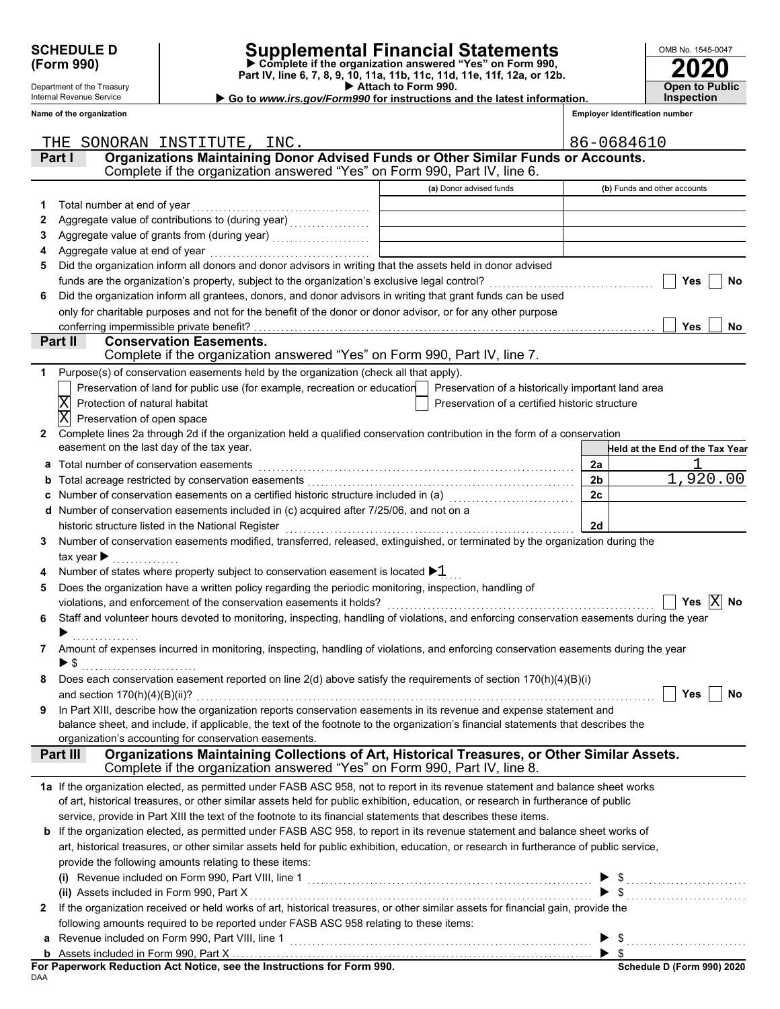Department of the Treasury Internal Revenue Service **Name of the organization**

# **SCHEDULE D Supplemental Financial Statements**

 **Attach to Form 990. (Form 990) Part IV, line 6, 7, 8, 9, 10, 11a, 11b, 11c, 11d, 11e, 11f, 12a, or 12b. Complete if the organization answered "Yes" on Form 990,**

 **Go to** *www.irs.gov/Form990* **for instructions and the latest information.**

| OMB No. 1545-0047     |
|-----------------------|
| 2020                  |
|                       |
| <b>Open to Public</b> |
| <b>Inspection</b>     |

**Employer identification number**

|   | SONORAN INSTITUTE, INC.<br>THE                                                                                                                                                                                   |                                                | 86-0684610                                         |
|---|------------------------------------------------------------------------------------------------------------------------------------------------------------------------------------------------------------------|------------------------------------------------|----------------------------------------------------|
|   | Organizations Maintaining Donor Advised Funds or Other Similar Funds or Accounts.<br>Part I                                                                                                                      |                                                |                                                    |
|   | Complete if the organization answered "Yes" on Form 990, Part IV, line 6.                                                                                                                                        |                                                |                                                    |
|   |                                                                                                                                                                                                                  | (a) Donor advised funds                        | (b) Funds and other accounts                       |
| 1 | Total number at end of year                                                                                                                                                                                      |                                                |                                                    |
| 2 |                                                                                                                                                                                                                  |                                                |                                                    |
| 3 |                                                                                                                                                                                                                  |                                                |                                                    |
| 4 | Aggregate value at end of year                                                                                                                                                                                   |                                                |                                                    |
| 5 | Did the organization inform all donors and donor advisors in writing that the assets held in donor advised                                                                                                       |                                                |                                                    |
|   | funds are the organization's property, subject to the organization's exclusive legal control?                                                                                                                    |                                                | Yes<br>No                                          |
| 6 | Did the organization inform all grantees, donors, and donor advisors in writing that grant funds can be used                                                                                                     |                                                |                                                    |
|   | only for charitable purposes and not for the benefit of the donor or donor advisor, or for any other purpose                                                                                                     |                                                |                                                    |
|   | conferring impermissible private benefit?                                                                                                                                                                        |                                                | <b>Yes</b><br>No                                   |
|   | <b>Conservation Easements.</b><br>Part II                                                                                                                                                                        |                                                |                                                    |
|   | Complete if the organization answered "Yes" on Form 990, Part IV, line 7.                                                                                                                                        |                                                |                                                    |
| 1 | Purpose(s) of conservation easements held by the organization (check all that apply).                                                                                                                            |                                                |                                                    |
|   | Preservation of land for public use (for example, recreation or education                                                                                                                                        |                                                | Preservation of a historically important land area |
|   | Protection of natural habitat                                                                                                                                                                                    | Preservation of a certified historic structure |                                                    |
|   | Preservation of open space                                                                                                                                                                                       |                                                |                                                    |
| 2 | Complete lines 2a through 2d if the organization held a qualified conservation contribution in the form of a conservation                                                                                        |                                                |                                                    |
|   | easement on the last day of the tax year.                                                                                                                                                                        |                                                | Held at the End of the Tax Year                    |
| а | Total number of conservation easements                                                                                                                                                                           |                                                | 2a                                                 |
|   |                                                                                                                                                                                                                  |                                                | 1,920.00<br>2 <sub>b</sub>                         |
|   | Number of conservation easements on a certified historic structure included in (a) [11] Number of conservation                                                                                                   |                                                | 2c                                                 |
|   | Number of conservation easements included in (c) acquired after 7/25/06, and not on a                                                                                                                            |                                                |                                                    |
|   | historic structure listed in the National Register                                                                                                                                                               |                                                | 2d                                                 |
| 3 | Number of conservation easements modified, transferred, released, extinguished, or terminated by the organization during the                                                                                     |                                                |                                                    |
|   | tax year $\blacktriangleright$                                                                                                                                                                                   |                                                |                                                    |
|   | Number of states where property subject to conservation easement is located $\blacktriangleright 1$                                                                                                              |                                                |                                                    |
| 5 | Does the organization have a written policy regarding the periodic monitoring, inspection, handling of                                                                                                           |                                                | $ {\rm X} $<br>No<br>Yes                           |
| 6 | violations, and enforcement of the conservation easements it holds?<br>Staff and volunteer hours devoted to monitoring, inspecting, handling of violations, and enforcing conservation easements during the year |                                                |                                                    |
|   |                                                                                                                                                                                                                  |                                                |                                                    |
| 7 | Amount of expenses incurred in monitoring, inspecting, handling of violations, and enforcing conservation easements during the year                                                                              |                                                |                                                    |
|   |                                                                                                                                                                                                                  |                                                |                                                    |
|   | Does each conservation easement reported on line $2(d)$ above satisfy the requirements of section $170(h)(4)(B)(i)$                                                                                              |                                                |                                                    |
|   |                                                                                                                                                                                                                  |                                                | $\Box$ Yes $\Box$ No                               |
| 9 | In Part XIII, describe how the organization reports conservation easements in its revenue and expense statement and                                                                                              |                                                |                                                    |
|   | balance sheet, and include, if applicable, the text of the footnote to the organization's financial statements that describes the                                                                                |                                                |                                                    |
|   | organization's accounting for conservation easements.                                                                                                                                                            |                                                |                                                    |
|   | Organizations Maintaining Collections of Art, Historical Treasures, or Other Similar Assets.<br>Part III                                                                                                         |                                                |                                                    |
|   | Complete if the organization answered "Yes" on Form 990, Part IV, line 8.                                                                                                                                        |                                                |                                                    |
|   | 1a If the organization elected, as permitted under FASB ASC 958, not to report in its revenue statement and balance sheet works                                                                                  |                                                |                                                    |
|   | of art, historical treasures, or other similar assets held for public exhibition, education, or research in furtherance of public                                                                                |                                                |                                                    |
|   | service, provide in Part XIII the text of the footnote to its financial statements that describes these items.                                                                                                   |                                                |                                                    |
|   | b If the organization elected, as permitted under FASB ASC 958, to report in its revenue statement and balance sheet works of                                                                                    |                                                |                                                    |
|   | art, historical treasures, or other similar assets held for public exhibition, education, or research in furtherance of public service,                                                                          |                                                |                                                    |
|   | provide the following amounts relating to these items:                                                                                                                                                           |                                                |                                                    |
|   |                                                                                                                                                                                                                  |                                                |                                                    |
|   | (ii) Assets included in Form 990, Part X                                                                                                                                                                         |                                                | $\blacktriangleright$ \$                           |
| 2 | If the organization received or held works of art, historical treasures, or other similar assets for financial gain, provide the                                                                                 |                                                |                                                    |
|   | following amounts required to be reported under FASB ASC 958 relating to these items:                                                                                                                            |                                                |                                                    |
|   |                                                                                                                                                                                                                  |                                                |                                                    |
|   |                                                                                                                                                                                                                  |                                                | $\blacktriangleright$ s                            |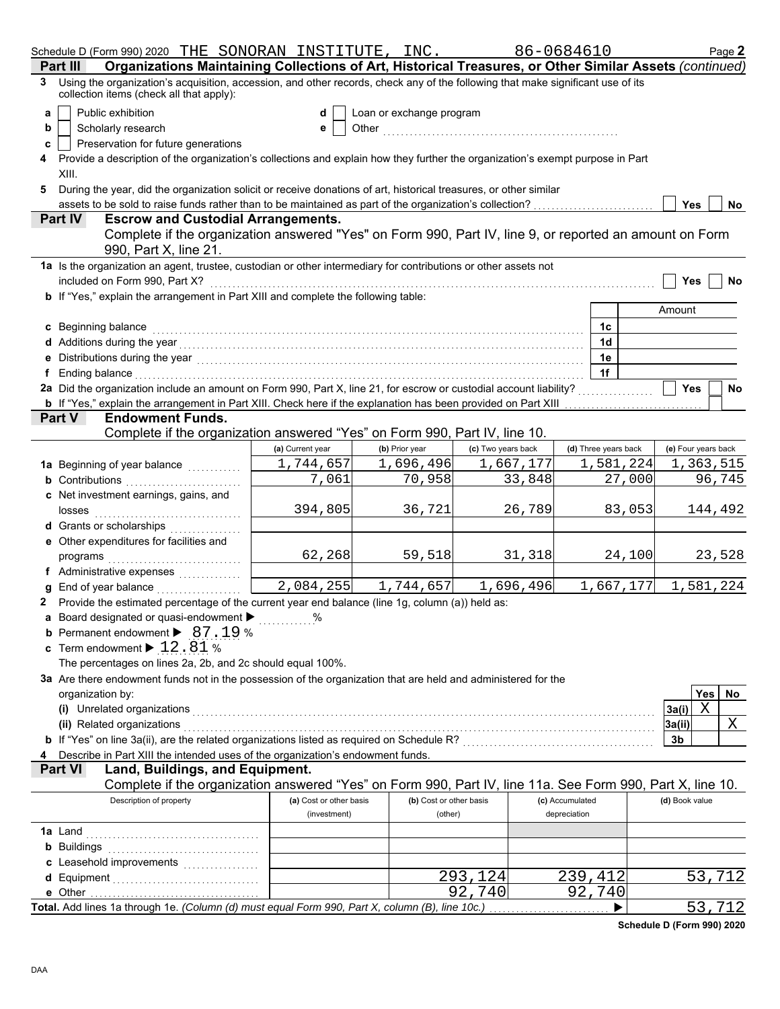|   |                  | Schedule D (Form 990) 2020 THE SONORAN INSTITUTE, INC.                                                                                                                                                                              |                         |                          |                    | 86-0684610           |           |                     |            | Page 2 |
|---|------------------|-------------------------------------------------------------------------------------------------------------------------------------------------------------------------------------------------------------------------------------|-------------------------|--------------------------|--------------------|----------------------|-----------|---------------------|------------|--------|
|   | Part II          | Organizations Maintaining Collections of Art, Historical Treasures, or Other Similar Assets (continued)                                                                                                                             |                         |                          |                    |                      |           |                     |            |        |
| 3 |                  | Using the organization's acquisition, accession, and other records, check any of the following that make significant use of its<br>collection items (check all that apply):                                                         |                         |                          |                    |                      |           |                     |            |        |
| a |                  | Public exhibition                                                                                                                                                                                                                   | d                       | Loan or exchange program |                    |                      |           |                     |            |        |
| b |                  | Scholarly research                                                                                                                                                                                                                  | е                       |                          |                    |                      |           |                     |            |        |
| c |                  | Preservation for future generations                                                                                                                                                                                                 |                         |                          |                    |                      |           |                     |            |        |
|   |                  | Provide a description of the organization's collections and explain how they further the organization's exempt purpose in Part                                                                                                      |                         |                          |                    |                      |           |                     |            |        |
|   | XIII.            |                                                                                                                                                                                                                                     |                         |                          |                    |                      |           |                     |            |        |
| 5 |                  | During the year, did the organization solicit or receive donations of art, historical treasures, or other similar                                                                                                                   |                         |                          |                    |                      |           |                     |            |        |
|   |                  | assets to be sold to raise funds rather than to be maintained as part of the organization's collection?                                                                                                                             |                         |                          |                    |                      |           | <b>Yes</b>          |            | No     |
|   | <b>Part IV</b>   | <b>Escrow and Custodial Arrangements.</b>                                                                                                                                                                                           |                         |                          |                    |                      |           |                     |            |        |
|   |                  | Complete if the organization answered "Yes" on Form 990, Part IV, line 9, or reported an amount on Form                                                                                                                             |                         |                          |                    |                      |           |                     |            |        |
|   |                  | 990, Part X, line 21.                                                                                                                                                                                                               |                         |                          |                    |                      |           |                     |            |        |
|   |                  | 1a Is the organization an agent, trustee, custodian or other intermediary for contributions or other assets not                                                                                                                     |                         |                          |                    |                      |           |                     |            |        |
|   |                  | included on Form 990, Part X?                                                                                                                                                                                                       |                         |                          |                    |                      |           | Yes                 |            | No     |
|   |                  | b If "Yes," explain the arrangement in Part XIII and complete the following table:                                                                                                                                                  |                         |                          |                    |                      |           |                     |            |        |
|   |                  |                                                                                                                                                                                                                                     |                         |                          |                    |                      |           | Amount              |            |        |
|   |                  | c Beginning balance                                                                                                                                                                                                                 |                         |                          |                    | 1c                   |           |                     |            |        |
|   |                  |                                                                                                                                                                                                                                     |                         |                          |                    | 1 <sub>d</sub>       |           |                     |            |        |
|   |                  | e Distributions during the year [1, 1, 2010] with the control of the state of the state of the state of the state of the state of the state of the state of the state of the state of the state of the state of the state of t      |                         |                          |                    | 1e                   |           |                     |            |        |
|   | f Ending balance |                                                                                                                                                                                                                                     |                         |                          |                    | 1f                   |           |                     |            |        |
|   |                  | 2a Did the organization include an amount on Form 990, Part X, line 21, for escrow or custodial account liability?                                                                                                                  |                         |                          |                    |                      |           | <b>Yes</b>          |            | No     |
|   |                  | <b>b</b> If "Yes," explain the arrangement in Part XIII. Check here if the explanation has been provided on Part XIII                                                                                                               |                         |                          |                    |                      |           |                     |            |        |
|   | Part V           | <b>Endowment Funds.</b>                                                                                                                                                                                                             |                         |                          |                    |                      |           |                     |            |        |
|   |                  | Complete if the organization answered "Yes" on Form 990, Part IV, line 10.                                                                                                                                                          |                         |                          |                    |                      |           |                     |            |        |
|   |                  |                                                                                                                                                                                                                                     | (a) Current year        | (b) Prior year           | (c) Two years back | (d) Three years back |           | (e) Four years back |            |        |
|   |                  | 1a Beginning of year balance                                                                                                                                                                                                        | 1,744,657               | 1,696,496                | 1,667,177          |                      | 1,581,224 | 1,363,515           |            |        |
|   |                  | <b>b</b> Contributions <b>contributions</b>                                                                                                                                                                                         | 7,061                   | 70,958                   | 33,848             |                      | 27,000    |                     | 96,745     |        |
|   |                  | c Net investment earnings, gains, and                                                                                                                                                                                               |                         |                          |                    |                      |           |                     |            |        |
|   | losses           |                                                                                                                                                                                                                                     | 394,805                 | 36,721                   | 26,789             |                      | 83,053    |                     | 144,492    |        |
|   |                  | d Grants or scholarships                                                                                                                                                                                                            |                         |                          |                    |                      |           |                     |            |        |
|   |                  | e Other expenditures for facilities and                                                                                                                                                                                             |                         |                          |                    |                      |           |                     |            |        |
|   |                  |                                                                                                                                                                                                                                     | 62,268                  | 59,518                   | 31,318             |                      | 24,100    |                     | 23,528     |        |
|   |                  | f Administrative expenses                                                                                                                                                                                                           |                         |                          |                    |                      |           |                     |            |        |
|   |                  | <b>g</b> End of year balance $\ldots$                                                                                                                                                                                               | 2,084,255               | 1,744,657                | 1,696,496          |                      | 1,667,177 | 1,581,224           |            |        |
|   |                  | 2 Provide the estimated percentage of the current year end balance (line 1g, column (a)) held as:                                                                                                                                   |                         |                          |                    |                      |           |                     |            |        |
|   |                  | <b>a</b> Board designated or quasi-endowment $\blacktriangleright$                                                                                                                                                                  |                         |                          |                    |                      |           |                     |            |        |
|   |                  | <b>b</b> Permanent endowment $\triangleright$ 87.19 %                                                                                                                                                                               |                         |                          |                    |                      |           |                     |            |        |
|   |                  | c Term endowment $\blacktriangleright$ 12.81 %                                                                                                                                                                                      |                         |                          |                    |                      |           |                     |            |        |
|   |                  | The percentages on lines 2a, 2b, and 2c should equal 100%.                                                                                                                                                                          |                         |                          |                    |                      |           |                     |            |        |
|   |                  | 3a Are there endowment funds not in the possession of the organization that are held and administered for the                                                                                                                       |                         |                          |                    |                      |           |                     |            |        |
|   | organization by: |                                                                                                                                                                                                                                     |                         |                          |                    |                      |           |                     | <b>Yes</b> | No.    |
|   |                  | (i) Unrelated organizations <b>contracts</b> and contracts are contracted as a contract of the contract of the contract of the contract of the contract of the contract of the contract of the contract of the contract of the cont |                         |                          |                    |                      |           | 3a(i)               | X          |        |
|   |                  | (ii) Related organizations                                                                                                                                                                                                          |                         |                          |                    |                      |           | 3a(ii)              |            | Χ      |
|   |                  | b If "Yes" on line 3a(ii), are the related organizations listed as required on Schedule R? [[[[[[[[[[[[[[[[[[[                                                                                                                      |                         |                          |                    |                      |           | 3b                  |            |        |
|   |                  | Describe in Part XIII the intended uses of the organization's endowment funds.                                                                                                                                                      |                         |                          |                    |                      |           |                     |            |        |
|   | <b>Part VI</b>   | Land, Buildings, and Equipment.                                                                                                                                                                                                     |                         |                          |                    |                      |           |                     |            |        |
|   |                  | Complete if the organization answered "Yes" on Form 990, Part IV, line 11a. See Form 990, Part X, line 10.                                                                                                                          |                         |                          |                    |                      |           |                     |            |        |
|   |                  | Description of property                                                                                                                                                                                                             | (a) Cost or other basis | (b) Cost or other basis  |                    | (c) Accumulated      |           | (d) Book value      |            |        |
|   |                  |                                                                                                                                                                                                                                     | (investment)            | (other)                  |                    | depreciation         |           |                     |            |        |
|   |                  |                                                                                                                                                                                                                                     |                         |                          |                    |                      |           |                     |            |        |
|   |                  |                                                                                                                                                                                                                                     |                         |                          |                    |                      |           |                     |            |        |
|   |                  | c Leasehold improvements                                                                                                                                                                                                            |                         |                          |                    |                      |           |                     |            |        |
|   |                  |                                                                                                                                                                                                                                     |                         |                          | 293,124            | 239,412              |           |                     | 53,712     |        |
|   | e Other          |                                                                                                                                                                                                                                     |                         |                          | 92,740             | 92,740               |           |                     |            |        |
|   |                  | Total. Add lines 1a through 1e. (Column (d) must equal Form 990, Part X, column (B), line 10c.)                                                                                                                                     |                         |                          |                    |                      | ▶         |                     | 53,712     |        |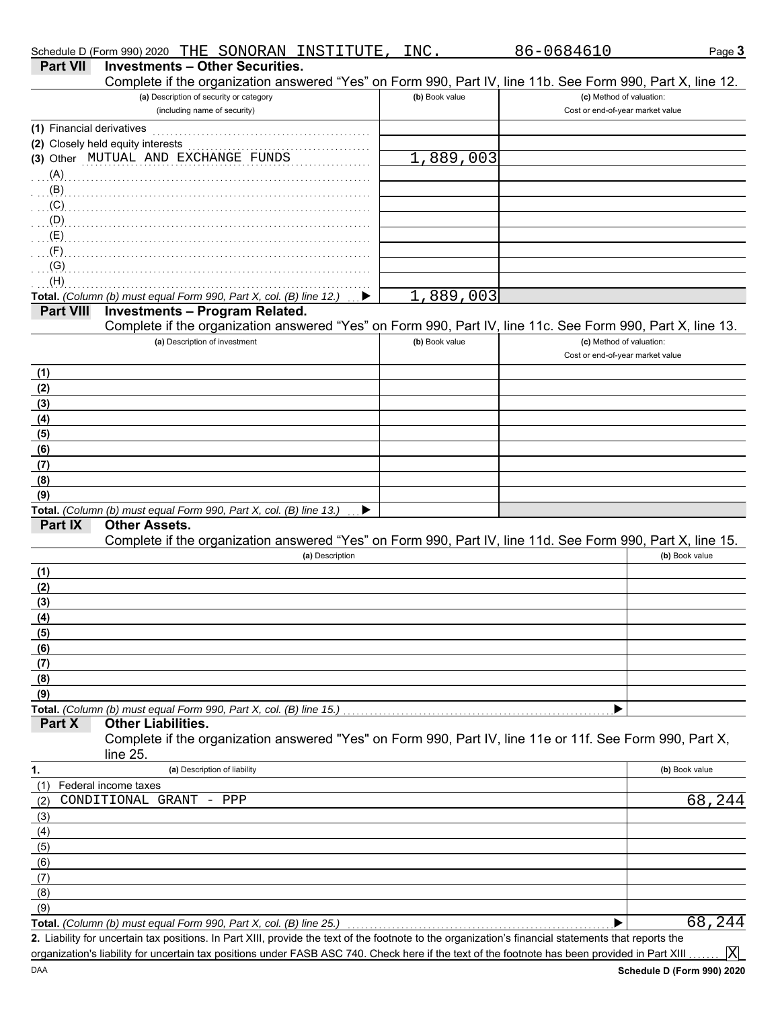| Schedule D (Form 990) 2020 THE SONORAN INSTITUTE,                                                                                                                                                                                                                                                                                  |                 | INC.           | 86-0684610                       | Page 3         |
|------------------------------------------------------------------------------------------------------------------------------------------------------------------------------------------------------------------------------------------------------------------------------------------------------------------------------------|-----------------|----------------|----------------------------------|----------------|
| <b>Investments - Other Securities.</b><br><b>Part VII</b>                                                                                                                                                                                                                                                                          |                 |                |                                  |                |
| Complete if the organization answered "Yes" on Form 990, Part IV, line 11b. See Form 990, Part X, line 12.                                                                                                                                                                                                                         |                 |                |                                  |                |
| (a) Description of security or category                                                                                                                                                                                                                                                                                            |                 | (b) Book value | (c) Method of valuation:         |                |
| (including name of security)                                                                                                                                                                                                                                                                                                       |                 |                | Cost or end-of-year market value |                |
| (1) Financial derivatives                                                                                                                                                                                                                                                                                                          |                 |                |                                  |                |
| (2) Closely held equity interests                                                                                                                                                                                                                                                                                                  |                 |                |                                  |                |
| (3) Other MUTUAL AND EXCHANGE FUNDS                                                                                                                                                                                                                                                                                                |                 | 1,889,003      |                                  |                |
| (A)                                                                                                                                                                                                                                                                                                                                |                 |                |                                  |                |
| (B)                                                                                                                                                                                                                                                                                                                                |                 |                |                                  |                |
| $\overline{a}$ (C) $\overline{a}$ (C) $\overline{a}$ (C) $\overline{a}$ (C) $\overline{a}$ (C) $\overline{a}$ (C) $\overline{a}$ (C) $\overline{a}$ (C) $\overline{a}$ (C) $\overline{a}$ (C) $\overline{a}$ (C) $\overline{a}$ (C) $\overline{a}$ (C) $\overline{a}$ (C) $\overline{a}$ (C) $\overline{a}$ (C) $\overline{a}$ (C) |                 |                |                                  |                |
| $\mathcal{L}(\mathsf{D})$                                                                                                                                                                                                                                                                                                          |                 |                |                                  |                |
| $\mathcal{L}(\mathsf{E})$                                                                                                                                                                                                                                                                                                          |                 |                |                                  |                |
| (F)                                                                                                                                                                                                                                                                                                                                |                 |                |                                  |                |
| (G)                                                                                                                                                                                                                                                                                                                                |                 |                |                                  |                |
| (H)                                                                                                                                                                                                                                                                                                                                |                 |                |                                  |                |
| Total. (Column (b) must equal Form 990, Part X, col. (B) line 12.)                                                                                                                                                                                                                                                                 |                 | 1,889,003      |                                  |                |
| <b>Investments - Program Related.</b><br><b>Part VIII</b>                                                                                                                                                                                                                                                                          |                 |                |                                  |                |
| Complete if the organization answered "Yes" on Form 990, Part IV, line 11c. See Form 990, Part X, line 13.                                                                                                                                                                                                                         |                 |                |                                  |                |
| (a) Description of investment                                                                                                                                                                                                                                                                                                      |                 | (b) Book value | (c) Method of valuation:         |                |
|                                                                                                                                                                                                                                                                                                                                    |                 |                | Cost or end-of-year market value |                |
|                                                                                                                                                                                                                                                                                                                                    |                 |                |                                  |                |
| (1)                                                                                                                                                                                                                                                                                                                                |                 |                |                                  |                |
| (2)                                                                                                                                                                                                                                                                                                                                |                 |                |                                  |                |
| (3)                                                                                                                                                                                                                                                                                                                                |                 |                |                                  |                |
| (4)                                                                                                                                                                                                                                                                                                                                |                 |                |                                  |                |
| (5)                                                                                                                                                                                                                                                                                                                                |                 |                |                                  |                |
| (6)                                                                                                                                                                                                                                                                                                                                |                 |                |                                  |                |
| (7)                                                                                                                                                                                                                                                                                                                                |                 |                |                                  |                |
| (8)                                                                                                                                                                                                                                                                                                                                |                 |                |                                  |                |
| (9)                                                                                                                                                                                                                                                                                                                                |                 |                |                                  |                |
| Total. (Column (b) must equal Form 990, Part X, col. (B) line 13.)                                                                                                                                                                                                                                                                 | ▶               |                |                                  |                |
| Part IX<br><b>Other Assets.</b>                                                                                                                                                                                                                                                                                                    |                 |                |                                  |                |
| Complete if the organization answered "Yes" on Form 990, Part IV, line 11d. See Form 990, Part X, line 15.                                                                                                                                                                                                                         |                 |                |                                  |                |
|                                                                                                                                                                                                                                                                                                                                    | (a) Description |                |                                  | (b) Book value |
| (1)                                                                                                                                                                                                                                                                                                                                |                 |                |                                  |                |
| (2)                                                                                                                                                                                                                                                                                                                                |                 |                |                                  |                |
| (3)                                                                                                                                                                                                                                                                                                                                |                 |                |                                  |                |
| (4)                                                                                                                                                                                                                                                                                                                                |                 |                |                                  |                |
| (5)                                                                                                                                                                                                                                                                                                                                |                 |                |                                  |                |
| (6)                                                                                                                                                                                                                                                                                                                                |                 |                |                                  |                |
| (7)                                                                                                                                                                                                                                                                                                                                |                 |                |                                  |                |
| (8)                                                                                                                                                                                                                                                                                                                                |                 |                |                                  |                |
| (9)                                                                                                                                                                                                                                                                                                                                |                 |                |                                  |                |
| Total. (Column (b) must equal Form 990, Part X, col. (B) line 15.)                                                                                                                                                                                                                                                                 |                 |                |                                  |                |
| Other Liabilities.<br>Part X                                                                                                                                                                                                                                                                                                       |                 |                |                                  |                |
| Complete if the organization answered "Yes" on Form 990, Part IV, line 11e or 11f. See Form 990, Part X,                                                                                                                                                                                                                           |                 |                |                                  |                |
| line 25.                                                                                                                                                                                                                                                                                                                           |                 |                |                                  |                |
| (a) Description of liability<br>1.                                                                                                                                                                                                                                                                                                 |                 |                |                                  | (b) Book value |
| Federal income taxes<br>(1)                                                                                                                                                                                                                                                                                                        |                 |                |                                  |                |
| CONDITIONAL GRANT<br>(2)<br>PPP<br>$\overline{\phantom{0}}$                                                                                                                                                                                                                                                                        |                 |                |                                  | 68,244         |
| (3)                                                                                                                                                                                                                                                                                                                                |                 |                |                                  |                |
| (4)                                                                                                                                                                                                                                                                                                                                |                 |                |                                  |                |
| (5)                                                                                                                                                                                                                                                                                                                                |                 |                |                                  |                |
| (6)                                                                                                                                                                                                                                                                                                                                |                 |                |                                  |                |
| (7)                                                                                                                                                                                                                                                                                                                                |                 |                |                                  |                |
| (8)                                                                                                                                                                                                                                                                                                                                |                 |                |                                  |                |
| (9)                                                                                                                                                                                                                                                                                                                                |                 |                |                                  |                |
| Total. (Column (b) must equal Form 990, Part X, col. (B) line 25.)                                                                                                                                                                                                                                                                 |                 |                |                                  | 68,244         |
| 2. Liability for uncertain tax positions. In Part XIII, provide the text of the footnote to the organization's financial statements that reports the                                                                                                                                                                               |                 |                |                                  |                |
| organization's liability for uncertain tax positions under FASB ASC 740. Check here if the text of the footnote has been provided in Part XIII.                                                                                                                                                                                    |                 |                |                                  | $ {\rm X} $    |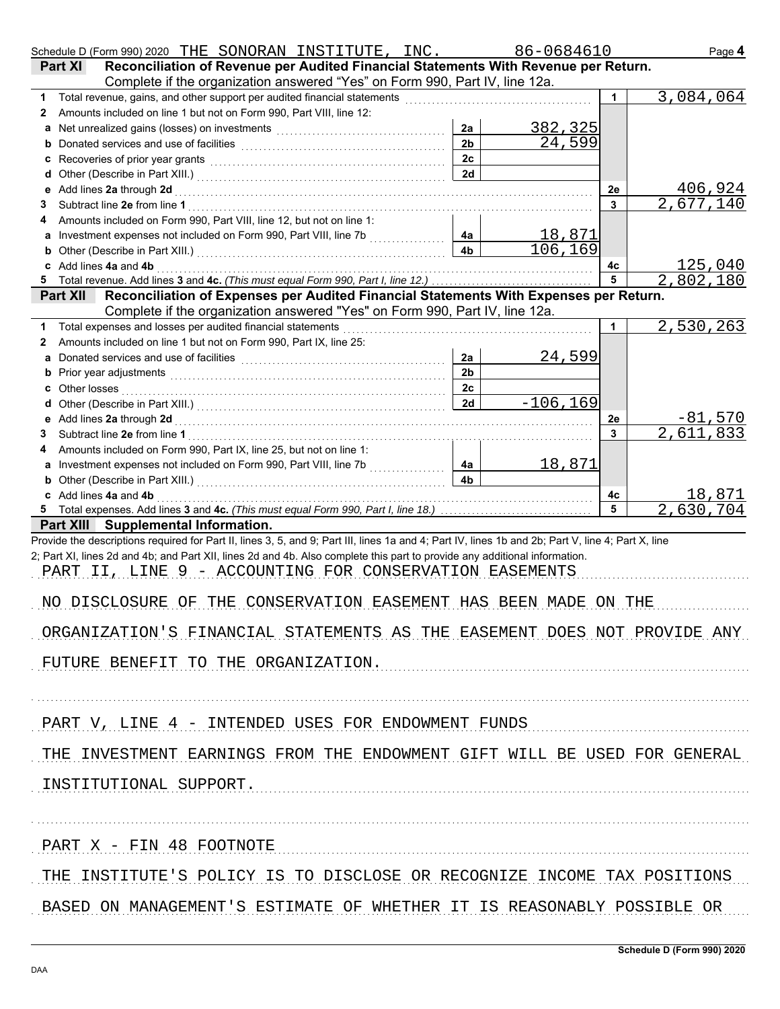| Schedule D (Form 990) 2020 THE SONORAN INSTITUTE , INC .                                                                                                                                                                            |                | 86-0684610                 |    | Page 4                        |
|-------------------------------------------------------------------------------------------------------------------------------------------------------------------------------------------------------------------------------------|----------------|----------------------------|----|-------------------------------|
| Reconciliation of Revenue per Audited Financial Statements With Revenue per Return.<br>Part XI                                                                                                                                      |                |                            |    |                               |
| Complete if the organization answered "Yes" on Form 990, Part IV, line 12a.                                                                                                                                                         |                |                            |    |                               |
| 1                                                                                                                                                                                                                                   |                |                            |    | 3,084,064                     |
| Amounts included on line 1 but not on Form 990, Part VIII, line 12:<br>2                                                                                                                                                            |                |                            |    |                               |
|                                                                                                                                                                                                                                     | 2a             | <u>382, 325</u><br>24, 599 |    |                               |
|                                                                                                                                                                                                                                     | 2 <sub>b</sub> |                            |    |                               |
| c Recoveries of prior year grants <b>contained a container and property</b> Recoveries of prior year grants                                                                                                                         | 2c             |                            |    |                               |
|                                                                                                                                                                                                                                     | 2d             |                            |    |                               |
| e Add lines 2a through 2d [11] [12] [12] And The Add lines 2a through the Add lines 2a through 2d [11] [12] $\sim$                                                                                                                  |                |                            | 2e | $\frac{406,924}{2,677,140}$   |
| 3                                                                                                                                                                                                                                   |                |                            | 3  |                               |
| Amounts included on Form 990, Part VIII, line 12, but not on line 1:                                                                                                                                                                |                |                            |    |                               |
|                                                                                                                                                                                                                                     | 4a             | $\frac{18,871}{106,169}$   |    |                               |
|                                                                                                                                                                                                                                     | 4 <sub>b</sub> |                            |    |                               |
| c Add lines 4a and 4b <b>contract and 4</b> b and 20 and 20 and 20 and 20 and 20 and 20 and 20 and 20 and 20 and 20 and 20 and 20 and 20 and 20 and 20 and 20 and 20 and 20 and 20 and 20 and 20 and 20 and 20 and 20 and 20 and 20 |                |                            | 4с | <u>125,040</u>                |
|                                                                                                                                                                                                                                     |                |                            | 5  | 2,802,180                     |
| Reconciliation of Expenses per Audited Financial Statements With Expenses per Return.<br><b>Part XII</b>                                                                                                                            |                |                            |    |                               |
| Complete if the organization answered "Yes" on Form 990, Part IV, line 12a.                                                                                                                                                         |                |                            |    |                               |
| Total expenses and losses per audited financial statements<br>1<br>Amounts included on line 1 but not on Form 990, Part IX, line 25:                                                                                                |                |                            |    | 2,530,263                     |
| 2                                                                                                                                                                                                                                   | 2a             |                            |    |                               |
| Donated services and use of facilities [[11] with an intervention of the service of facilities [[11] with an intervention of the service of the service of the service of the service of the service of the service of the ser<br>a | 2 <sub>b</sub> | <u>24,599</u>              |    |                               |
|                                                                                                                                                                                                                                     | 2c             |                            |    |                               |
|                                                                                                                                                                                                                                     | 2d             | $-106, 169$                |    |                               |
|                                                                                                                                                                                                                                     |                |                            | 2e |                               |
| 3                                                                                                                                                                                                                                   |                |                            | 3  | <u>81,570 - </u><br>2,611,833 |
| Amounts included on Form 990, Part IX, line 25, but not on line 1:                                                                                                                                                                  |                |                            |    |                               |
| a Investment expenses not included on Form 990, Part VIII, line 7b [[[[[[[[[[[[[[[[[[[[[[[[[[[[[[[[[                                                                                                                                | 4a             | <u> 18,871</u>             |    |                               |
| <b>b</b> Other (Describe in Part XIII.) <b>CONSERVING (2018)</b>                                                                                                                                                                    | 4 <sub>b</sub> |                            |    |                               |
| c Add lines 4a and 4b <b>contract and 4</b> hours and 4 hours and 4 hours and 4 hours and 4 hours and 4 hours and 4 hours and 4 hours and 4 hours and 4 hours and 4 hours and 4 hours and 4 hours and 4 hours and 4 hours and 4 hou |                |                            | 4c | <u> 18,871</u>                |
|                                                                                                                                                                                                                                     |                |                            | 5  | 2,630,704                     |
| Part XIII Supplemental Information.                                                                                                                                                                                                 |                |                            |    |                               |
| Provide the descriptions required for Part II, lines 3, 5, and 9; Part III, lines 1a and 4; Part IV, lines 1b and 2b; Part V, line 4; Part X, line                                                                                  |                |                            |    |                               |
| 2; Part XI, lines 2d and 4b; and Part XII, lines 2d and 4b. Also complete this part to provide any additional information.                                                                                                          |                |                            |    |                               |
| PART II, LINE 9 - ACCOUNTING FOR CONSERVATION EASEMENTS                                                                                                                                                                             |                |                            |    |                               |
|                                                                                                                                                                                                                                     |                |                            |    |                               |
| NO DISCLOSURE OF THE CONSERVATION EASEMENT HAS BEEN MADE ON THE                                                                                                                                                                     |                |                            |    |                               |
|                                                                                                                                                                                                                                     |                |                            |    |                               |
| ORGANIZATION'S FINANCIAL STATEMENTS AS THE EASEMENT DOES NOT PROVIDE ANY                                                                                                                                                            |                |                            |    |                               |
|                                                                                                                                                                                                                                     |                |                            |    |                               |
| FUTURE BENEFIT TO THE ORGANIZATION.                                                                                                                                                                                                 |                |                            |    |                               |
|                                                                                                                                                                                                                                     |                |                            |    |                               |
|                                                                                                                                                                                                                                     |                |                            |    |                               |
|                                                                                                                                                                                                                                     |                |                            |    |                               |
| PART V, LINE 4 - INTENDED USES FOR ENDOWMENT FUNDS                                                                                                                                                                                  |                |                            |    |                               |
|                                                                                                                                                                                                                                     |                |                            |    |                               |
| THE INVESTMENT EARNINGS FROM THE ENDOWMENT GIFT WILL BE USED FOR GENERAL                                                                                                                                                            |                |                            |    |                               |
|                                                                                                                                                                                                                                     |                |                            |    |                               |
| INSTITUTIONAL SUPPORT.                                                                                                                                                                                                              |                |                            |    |                               |
|                                                                                                                                                                                                                                     |                |                            |    |                               |
|                                                                                                                                                                                                                                     |                |                            |    |                               |
| PART X - FIN 48 FOOTNOTE                                                                                                                                                                                                            |                |                            |    |                               |
|                                                                                                                                                                                                                                     |                |                            |    |                               |
| THE INSTITUTE'S POLICY IS TO DISCLOSE OR RECOGNIZE INCOME TAX POSITIONS                                                                                                                                                             |                |                            |    |                               |
|                                                                                                                                                                                                                                     |                |                            |    |                               |
| BASED ON MANAGEMENT'S ESTIMATE OF WHETHER IT IS REASONABLY POSSIBLE OR                                                                                                                                                              |                |                            |    |                               |
|                                                                                                                                                                                                                                     |                |                            |    |                               |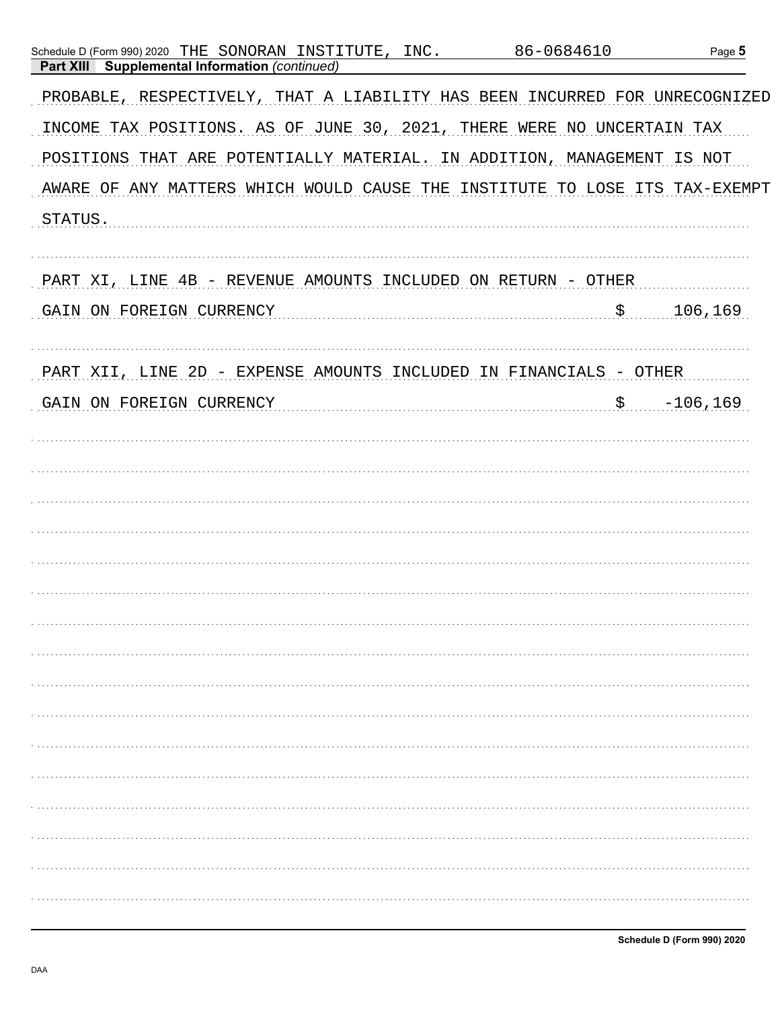| Schedule D (Form 990) 2020 THE SONORAN INSTITUTE, INC.<br><b>Supplemental Information (continued)</b><br>Part XIII | 86-0684610                  | Page 5      |
|--------------------------------------------------------------------------------------------------------------------|-----------------------------|-------------|
| PROBABLE, RESPECTIVELY, THAT A LIABILITY HAS BEEN INCURRED FOR UNRECOGNIZED                                        |                             |             |
| INCOME TAX POSITIONS. AS OF JUNE 30, 2021,                                                                         | THERE WERE NO UNCERTAIN TAX |             |
| POSITIONS THAT ARE POTENTIALLY MATERIAL. IN ADDITION, MANAGEMENT IS NOT                                            |                             |             |
| AWARE OF ANY MATTERS WHICH WOULD CAUSE THE INSTITUTE TO LOSE ITS TAX-EXEMPT                                        |                             |             |
| STATUS.                                                                                                            |                             |             |
|                                                                                                                    |                             |             |
| PART XI, LINE 4B - REVENUE AMOUNTS INCLUDED ON RETURN - OTHER                                                      |                             |             |
| GAIN ON FOREIGN CURRENCY                                                                                           | \$                          | 106,169     |
|                                                                                                                    |                             |             |
| PART XII, LINE 2D - EXPENSE AMOUNTS INCLUDED IN FINANCIALS - OTHER                                                 |                             |             |
| GAIN ON FOREIGN CURRENCY                                                                                           | $\uparrow$                  | $-106, 169$ |
|                                                                                                                    |                             |             |
|                                                                                                                    |                             |             |
|                                                                                                                    |                             |             |
|                                                                                                                    |                             |             |
|                                                                                                                    |                             |             |
|                                                                                                                    |                             |             |
|                                                                                                                    |                             |             |
|                                                                                                                    |                             |             |
|                                                                                                                    |                             |             |
|                                                                                                                    |                             |             |
|                                                                                                                    |                             |             |
|                                                                                                                    |                             |             |
|                                                                                                                    |                             |             |
|                                                                                                                    |                             |             |
|                                                                                                                    |                             |             |
|                                                                                                                    |                             |             |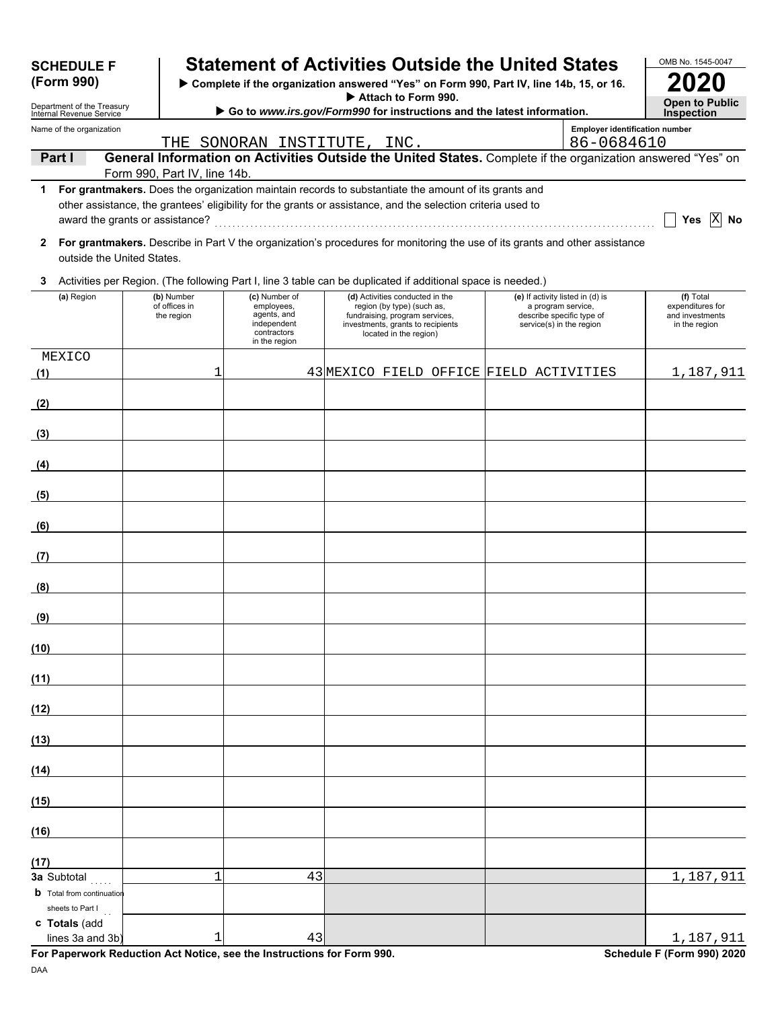| <b>SCHEDULE F</b>                                                                                                                                       |  |                                           | <b>Statement of Activities Outside the United States</b>                                                                                                                                                             |  |                                                                                                                                                                |  |                                                                                                                 |                                       | OMB No. 1545-0047                                                                                           |
|---------------------------------------------------------------------------------------------------------------------------------------------------------|--|-------------------------------------------|----------------------------------------------------------------------------------------------------------------------------------------------------------------------------------------------------------------------|--|----------------------------------------------------------------------------------------------------------------------------------------------------------------|--|-----------------------------------------------------------------------------------------------------------------|---------------------------------------|-------------------------------------------------------------------------------------------------------------|
| (Form 990)                                                                                                                                              |  |                                           | > Complete if the organization answered "Yes" on Form 990, Part IV, line 14b, 15, or 16.                                                                                                                             |  |                                                                                                                                                                |  |                                                                                                                 |                                       |                                                                                                             |
| Attach to Form 990.<br>Department of the Treasury<br>Go to www.irs.gov/Form990 for instructions and the latest information.<br>Internal Revenue Service |  |                                           |                                                                                                                                                                                                                      |  |                                                                                                                                                                |  |                                                                                                                 |                                       |                                                                                                             |
| Name of the organization                                                                                                                                |  |                                           |                                                                                                                                                                                                                      |  |                                                                                                                                                                |  |                                                                                                                 | <b>Employer identification number</b> |                                                                                                             |
| Part I                                                                                                                                                  |  |                                           | THE SONORAN INSTITUTE, INC.                                                                                                                                                                                          |  |                                                                                                                                                                |  |                                                                                                                 | 86-0684610                            | General Information on Activities Outside the United States. Complete if the organization answered "Yes" on |
|                                                                                                                                                         |  | Form 990, Part IV, line 14b.              |                                                                                                                                                                                                                      |  |                                                                                                                                                                |  |                                                                                                                 |                                       |                                                                                                             |
| award the grants or assistance?                                                                                                                         |  |                                           | For grantmakers. Does the organization maintain records to substantiate the amount of its grants and<br>other assistance, the grantees' eligibility for the grants or assistance, and the selection criteria used to |  |                                                                                                                                                                |  |                                                                                                                 |                                       | Yes $ X $<br>No                                                                                             |
| $\mathbf{2}$<br>outside the United States.                                                                                                              |  |                                           | For grantmakers. Describe in Part V the organization's procedures for monitoring the use of its grants and other assistance                                                                                          |  |                                                                                                                                                                |  |                                                                                                                 |                                       |                                                                                                             |
| 3                                                                                                                                                       |  |                                           | Activities per Region. (The following Part I, line 3 table can be duplicated if additional space is needed.)                                                                                                         |  |                                                                                                                                                                |  |                                                                                                                 |                                       |                                                                                                             |
| (a) Region                                                                                                                                              |  | (b) Number<br>of offices in<br>the region | (c) Number of<br>employees,<br>agents, and<br>independent<br>contractors<br>in the region                                                                                                                            |  | (d) Activities conducted in the<br>region (by type) (such as,<br>fundraising, program services,<br>investments, grants to recipients<br>located in the region) |  | (e) If activity listed in (d) is<br>a program service,<br>describe specific type of<br>service(s) in the region |                                       | (f) Total<br>expenditures for<br>and investments<br>in the region                                           |
| MEXICO<br>(1)                                                                                                                                           |  | 1                                         |                                                                                                                                                                                                                      |  |                                                                                                                                                                |  | 43 MEXICO FIELD OFFICE FIELD ACTIVITIES                                                                         |                                       | 1,187,911                                                                                                   |
| (2)                                                                                                                                                     |  |                                           |                                                                                                                                                                                                                      |  |                                                                                                                                                                |  |                                                                                                                 |                                       |                                                                                                             |
| (3)                                                                                                                                                     |  |                                           |                                                                                                                                                                                                                      |  |                                                                                                                                                                |  |                                                                                                                 |                                       |                                                                                                             |
| (4)                                                                                                                                                     |  |                                           |                                                                                                                                                                                                                      |  |                                                                                                                                                                |  |                                                                                                                 |                                       |                                                                                                             |
| (5)                                                                                                                                                     |  |                                           |                                                                                                                                                                                                                      |  |                                                                                                                                                                |  |                                                                                                                 |                                       |                                                                                                             |
| (6)                                                                                                                                                     |  |                                           |                                                                                                                                                                                                                      |  |                                                                                                                                                                |  |                                                                                                                 |                                       |                                                                                                             |
| (7)                                                                                                                                                     |  |                                           |                                                                                                                                                                                                                      |  |                                                                                                                                                                |  |                                                                                                                 |                                       |                                                                                                             |
| (8)                                                                                                                                                     |  |                                           |                                                                                                                                                                                                                      |  |                                                                                                                                                                |  |                                                                                                                 |                                       |                                                                                                             |
| (9)                                                                                                                                                     |  |                                           |                                                                                                                                                                                                                      |  |                                                                                                                                                                |  |                                                                                                                 |                                       |                                                                                                             |
| (10)                                                                                                                                                    |  |                                           |                                                                                                                                                                                                                      |  |                                                                                                                                                                |  |                                                                                                                 |                                       |                                                                                                             |
| (11)                                                                                                                                                    |  |                                           |                                                                                                                                                                                                                      |  |                                                                                                                                                                |  |                                                                                                                 |                                       |                                                                                                             |
| (12)                                                                                                                                                    |  |                                           |                                                                                                                                                                                                                      |  |                                                                                                                                                                |  |                                                                                                                 |                                       |                                                                                                             |
| (13)                                                                                                                                                    |  |                                           |                                                                                                                                                                                                                      |  |                                                                                                                                                                |  |                                                                                                                 |                                       |                                                                                                             |
| (14)                                                                                                                                                    |  |                                           |                                                                                                                                                                                                                      |  |                                                                                                                                                                |  |                                                                                                                 |                                       |                                                                                                             |
| (15)                                                                                                                                                    |  |                                           |                                                                                                                                                                                                                      |  |                                                                                                                                                                |  |                                                                                                                 |                                       |                                                                                                             |
| (16)                                                                                                                                                    |  |                                           |                                                                                                                                                                                                                      |  |                                                                                                                                                                |  |                                                                                                                 |                                       |                                                                                                             |
| (17)<br>3a Subtotal                                                                                                                                     |  | 1                                         | 43                                                                                                                                                                                                                   |  |                                                                                                                                                                |  |                                                                                                                 |                                       | 1,187,911                                                                                                   |
| <b>b</b> Total from continuation<br>sheets to Part I                                                                                                    |  |                                           |                                                                                                                                                                                                                      |  |                                                                                                                                                                |  |                                                                                                                 |                                       |                                                                                                             |
| c Totals (add<br>lines 3a and 3b                                                                                                                        |  | 1                                         | 43                                                                                                                                                                                                                   |  |                                                                                                                                                                |  |                                                                                                                 |                                       | 1,187,911                                                                                                   |

**For Paperwork Reduction Act Notice, see the Instructions for Form 990.** Schedule F (Form 990) 2020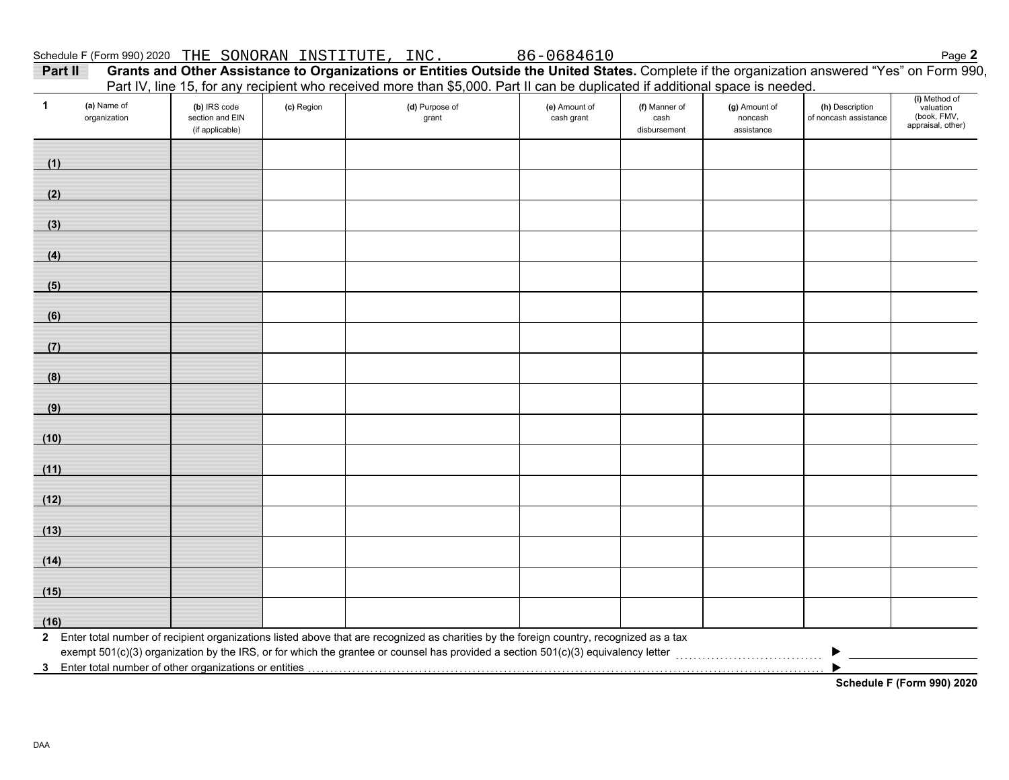| INSTITUTE<br>SONORAN<br>THE<br>(Form 990) 2020<br>Schedule F | INC. | $\sim$ $\sim$<br>0684610<br>86- | Page |
|--------------------------------------------------------------|------|---------------------------------|------|
|--------------------------------------------------------------|------|---------------------------------|------|

| Part II | Grants and Other Assistance to Organizations or Entities Outside the United States. Complete if the organization answered "Yes" on Form 990, |
|---------|----------------------------------------------------------------------------------------------------------------------------------------------|
|         | Part IV, line 15, for any recipient who received more than \$5,000. Part II can be duplicated if additional space is needed.                 |

| $\mathbf{1}$ | (a) Name of<br>organization | (b) IRS code<br>section and EIN<br>(if applicable)      | (c) Region | r art rv, line 10, ior any recipient who received more than \$0,000. Fart in earl be duplicated in additional space is hecaed.<br>(d) Purpose of<br>grant | (e) Amount of<br>cash grant | (f) Manner of<br>cash<br>disbursement | (g) Amount of<br>noncash<br>assistance | (h) Description<br>of noncash assistance | (i) Method of<br>valuation<br>(book, FMV,<br>appraisal, other) |
|--------------|-----------------------------|---------------------------------------------------------|------------|-----------------------------------------------------------------------------------------------------------------------------------------------------------|-----------------------------|---------------------------------------|----------------------------------------|------------------------------------------|----------------------------------------------------------------|
| (1)          |                             |                                                         |            |                                                                                                                                                           |                             |                                       |                                        |                                          |                                                                |
| (2)          |                             |                                                         |            |                                                                                                                                                           |                             |                                       |                                        |                                          |                                                                |
| (3)          |                             |                                                         |            |                                                                                                                                                           |                             |                                       |                                        |                                          |                                                                |
| (4)          |                             |                                                         |            |                                                                                                                                                           |                             |                                       |                                        |                                          |                                                                |
| (5)          |                             |                                                         |            |                                                                                                                                                           |                             |                                       |                                        |                                          |                                                                |
| (6)          |                             |                                                         |            |                                                                                                                                                           |                             |                                       |                                        |                                          |                                                                |
| (7)          |                             |                                                         |            |                                                                                                                                                           |                             |                                       |                                        |                                          |                                                                |
| (8)          |                             |                                                         |            |                                                                                                                                                           |                             |                                       |                                        |                                          |                                                                |
| (9)          |                             |                                                         |            |                                                                                                                                                           |                             |                                       |                                        |                                          |                                                                |
| (10)         |                             |                                                         |            |                                                                                                                                                           |                             |                                       |                                        |                                          |                                                                |
| (11)         |                             |                                                         |            |                                                                                                                                                           |                             |                                       |                                        |                                          |                                                                |
| (12)         |                             |                                                         |            |                                                                                                                                                           |                             |                                       |                                        |                                          |                                                                |
| (13)         |                             |                                                         |            |                                                                                                                                                           |                             |                                       |                                        |                                          |                                                                |
| (14)         |                             |                                                         |            |                                                                                                                                                           |                             |                                       |                                        |                                          |                                                                |
| (15)         |                             |                                                         |            |                                                                                                                                                           |                             |                                       |                                        |                                          |                                                                |
| (16)         |                             |                                                         |            |                                                                                                                                                           |                             |                                       |                                        |                                          |                                                                |
|              |                             | 3 Enter total number of other organizations or entities |            | 2 Enter total number of recipient organizations listed above that are recognized as charities by the foreign country, recognized as a tax                 |                             |                                       |                                        |                                          |                                                                |

**Schedule F (Form 990) 2020**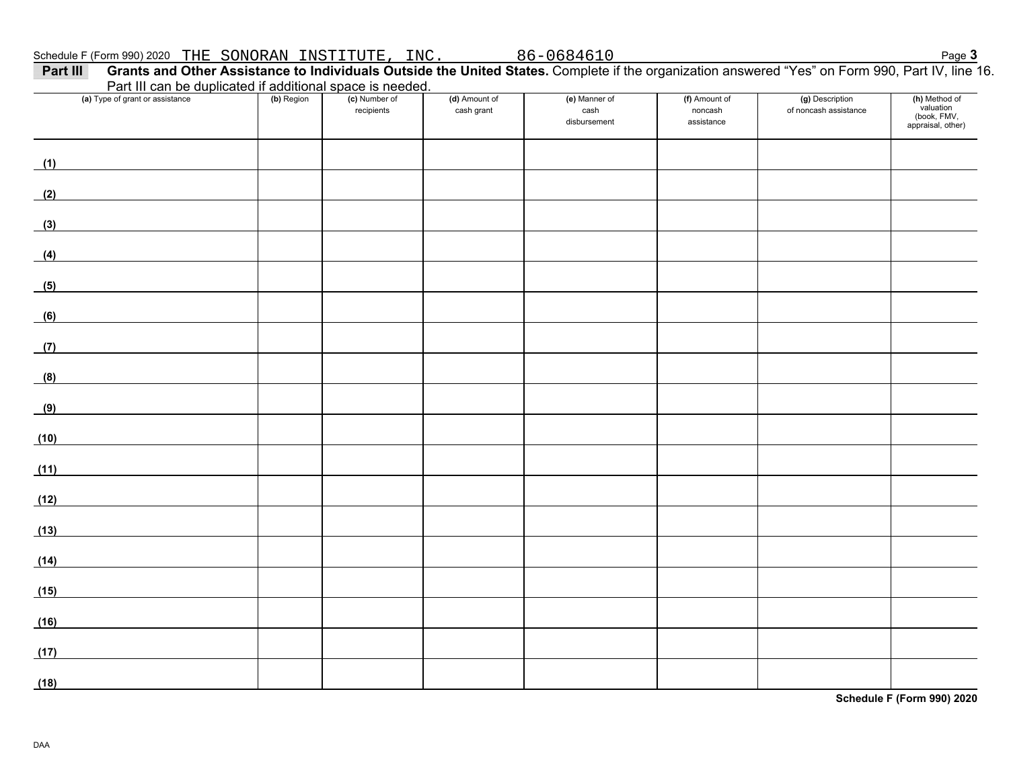| Part III can be duplicated if additional space is needed.<br>(a) Type of grant or assistance | (b) Region | (c) Number of | (d) Amount of | (e) Manner of        | (f) Amount of         | (g) Description       | (h) Method of<br>valuation       |
|----------------------------------------------------------------------------------------------|------------|---------------|---------------|----------------------|-----------------------|-----------------------|----------------------------------|
|                                                                                              |            | recipients    | cash grant    | cash<br>disbursement | noncash<br>assistance | of noncash assistance | (book, FMV,<br>appraisal, other) |
|                                                                                              |            |               |               |                      |                       |                       |                                  |
| (1)                                                                                          |            |               |               |                      |                       |                       |                                  |
| (2)                                                                                          |            |               |               |                      |                       |                       |                                  |
| (3)                                                                                          |            |               |               |                      |                       |                       |                                  |
| (4)                                                                                          |            |               |               |                      |                       |                       |                                  |
| (5)                                                                                          |            |               |               |                      |                       |                       |                                  |
| (6)                                                                                          |            |               |               |                      |                       |                       |                                  |
| (7)                                                                                          |            |               |               |                      |                       |                       |                                  |
| (8)                                                                                          |            |               |               |                      |                       |                       |                                  |
| (9)                                                                                          |            |               |               |                      |                       |                       |                                  |
|                                                                                              |            |               |               |                      |                       |                       |                                  |
| (10)                                                                                         |            |               |               |                      |                       |                       |                                  |
| (11)                                                                                         |            |               |               |                      |                       |                       |                                  |
| (12)                                                                                         |            |               |               |                      |                       |                       |                                  |
| (13)                                                                                         |            |               |               |                      |                       |                       |                                  |
| (14)                                                                                         |            |               |               |                      |                       |                       |                                  |
| (15)                                                                                         |            |               |               |                      |                       |                       |                                  |
| (16)                                                                                         |            |               |               |                      |                       |                       |                                  |
| (17)                                                                                         |            |               |               |                      |                       |                       |                                  |
| (18)                                                                                         |            |               |               |                      |                       |                       |                                  |

**Schedule F (Form 990) 2020**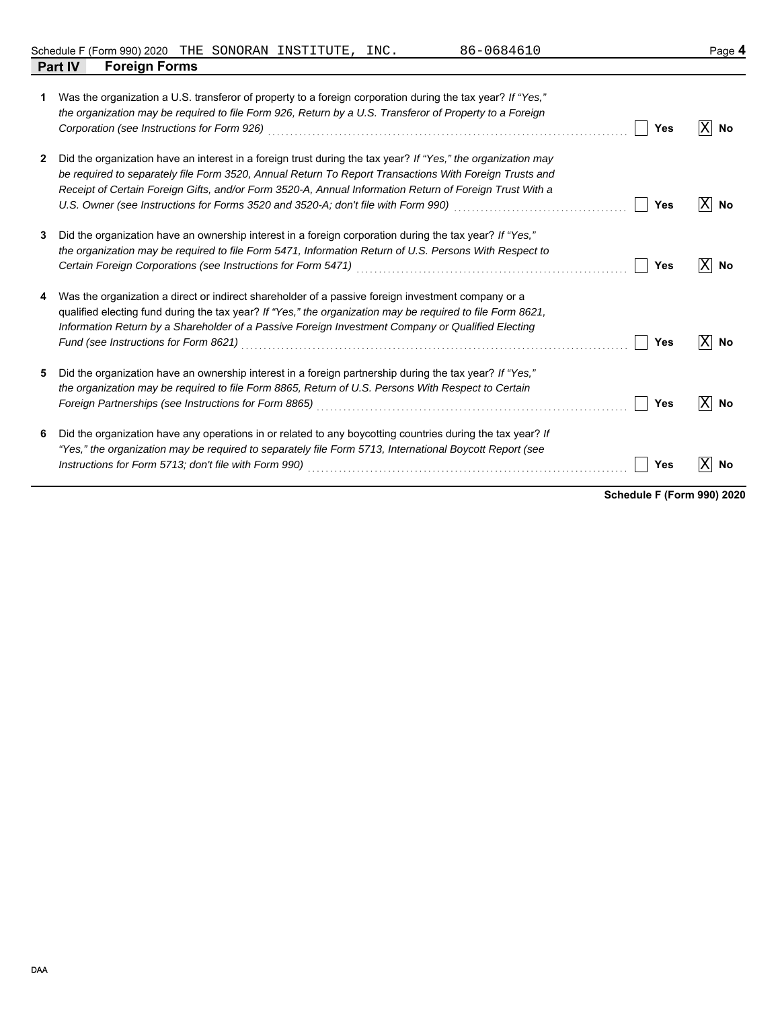Schedule F (Form 990) 2020 Page **4** THE SONORAN INSTITUTE, INC. 86-0684610

|   | <b>Foreign Forms</b><br><b>Part IV</b>                                                                                                                                                                                                                                                                                                                                                                                                             |     |         |
|---|----------------------------------------------------------------------------------------------------------------------------------------------------------------------------------------------------------------------------------------------------------------------------------------------------------------------------------------------------------------------------------------------------------------------------------------------------|-----|---------|
| 1 | Was the organization a U.S. transferor of property to a foreign corporation during the tax year? If "Yes,"<br>the organization may be required to file Form 926, Return by a U.S. Transferor of Property to a Foreign<br>Corporation (see Instructions for Form 926)                                                                                                                                                                               | Yes | X<br>No |
| 2 | Did the organization have an interest in a foreign trust during the tax year? If "Yes," the organization may<br>be required to separately file Form 3520, Annual Return To Report Transactions With Foreign Trusts and<br>Receipt of Certain Foreign Gifts, and/or Form 3520-A, Annual Information Return of Foreign Trust With a<br>U.S. Owner (see Instructions for Forms 3520 and 3520-A; don't file with Form 990) [[[[[[[[[[[[[[[[[[[[[[[[[[[ | Yes | X<br>No |
| 3 | Did the organization have an ownership interest in a foreign corporation during the tax year? If "Yes,"<br>the organization may be required to file Form 5471, Information Return of U.S. Persons With Respect to<br>Certain Foreign Corporations (see Instructions for Form 5471)                                                                                                                                                                 | Yes | X<br>No |
| 4 | Was the organization a direct or indirect shareholder of a passive foreign investment company or a<br>qualified electing fund during the tax year? If "Yes," the organization may be required to file Form 8621,<br>Information Return by a Shareholder of a Passive Foreign Investment Company or Qualified Electing                                                                                                                              | Yes | Χ<br>No |
| 5 | Did the organization have an ownership interest in a foreign partnership during the tax year? If "Yes,"<br>the organization may be required to file Form 8865, Return of U.S. Persons With Respect to Certain<br>Foreign Partnerships (see Instructions for Form 8865)                                                                                                                                                                             | Yes | X<br>No |
| 6 | Did the organization have any operations in or related to any boycotting countries during the tax year? If<br>"Yes," the organization may be required to separately file Form 5713, International Boycott Report (see<br>Instructions for Form 5713; don't file with Form 990)                                                                                                                                                                     | Yes | X<br>No |

**Schedule F (Form 990) 2020**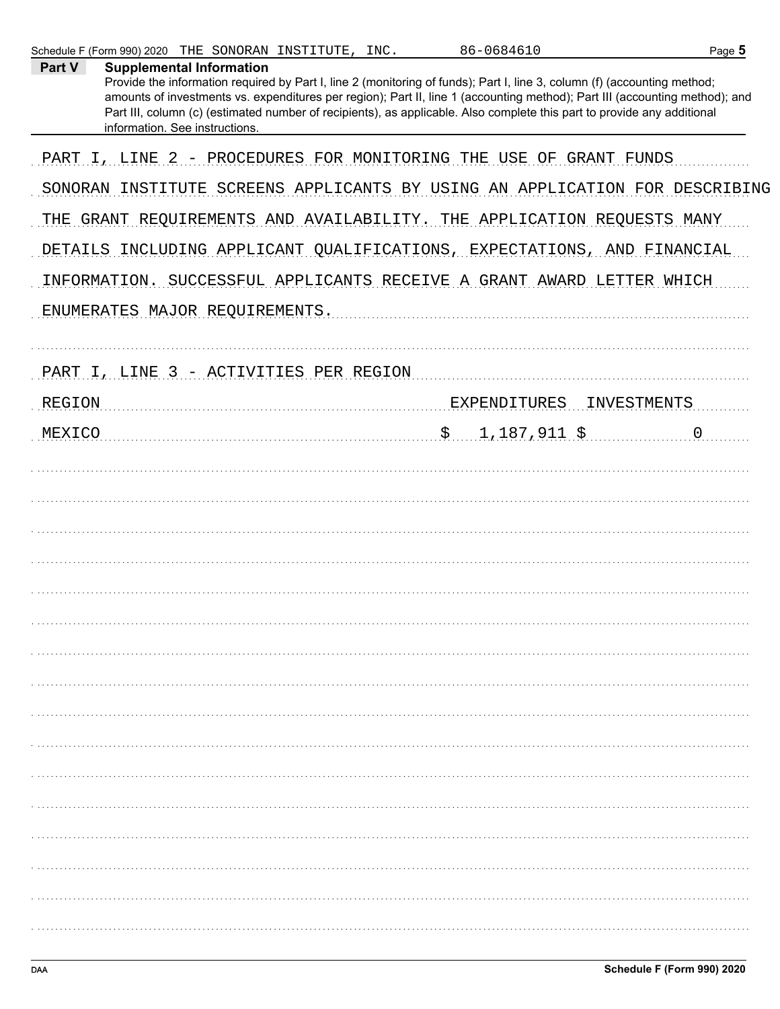| Part V        | <b>Supplemental Information</b><br>Provide the information required by Part I, line 2 (monitoring of funds); Part I, line 3, column (f) (accounting method;<br>amounts of investments vs. expenditures per region); Part II, line 1 (accounting method); Part III (accounting method); and<br>Part III, column (c) (estimated number of recipients), as applicable. Also complete this part to provide any additional<br>information. See instructions. |
|---------------|---------------------------------------------------------------------------------------------------------------------------------------------------------------------------------------------------------------------------------------------------------------------------------------------------------------------------------------------------------------------------------------------------------------------------------------------------------|
|               | PART I, LINE 2 - PROCEDURES FOR MONITORING THE USE<br>OF GRANT FUNDS                                                                                                                                                                                                                                                                                                                                                                                    |
|               | SONORAN INSTITUTE SCREENS APPLICANTS BY USING AN APPLICATION FOR DESCRIBING                                                                                                                                                                                                                                                                                                                                                                             |
|               | THE GRANT REQUIREMENTS AND AVAILABILITY. THE APPLICATION REQUESTS MANY                                                                                                                                                                                                                                                                                                                                                                                  |
|               | DETAILS INCLUDING APPLICANT QUALIFICATIONS, EXPECTATIONS, AND FINANCIAL                                                                                                                                                                                                                                                                                                                                                                                 |
|               | INFORMATION. SUCCESSFUL APPLICANTS RECEIVE A GRANT AWARD LETTER WHICH                                                                                                                                                                                                                                                                                                                                                                                   |
|               | ENUMERATES MAJOR REQUIREMENTS.                                                                                                                                                                                                                                                                                                                                                                                                                          |
|               |                                                                                                                                                                                                                                                                                                                                                                                                                                                         |
|               | PART I, LINE 3 - ACTIVITIES PER REGION                                                                                                                                                                                                                                                                                                                                                                                                                  |
| <b>REGION</b> | <b>EXPENDITURES</b><br>INVESTMENTS                                                                                                                                                                                                                                                                                                                                                                                                                      |
| MEXICO        | $\ddot{S}$<br>$1,187,911$ \$<br>$\overline{0}$                                                                                                                                                                                                                                                                                                                                                                                                          |
|               |                                                                                                                                                                                                                                                                                                                                                                                                                                                         |
|               |                                                                                                                                                                                                                                                                                                                                                                                                                                                         |
|               |                                                                                                                                                                                                                                                                                                                                                                                                                                                         |
|               |                                                                                                                                                                                                                                                                                                                                                                                                                                                         |
|               |                                                                                                                                                                                                                                                                                                                                                                                                                                                         |
|               |                                                                                                                                                                                                                                                                                                                                                                                                                                                         |
|               |                                                                                                                                                                                                                                                                                                                                                                                                                                                         |
|               |                                                                                                                                                                                                                                                                                                                                                                                                                                                         |
|               |                                                                                                                                                                                                                                                                                                                                                                                                                                                         |
|               |                                                                                                                                                                                                                                                                                                                                                                                                                                                         |
|               |                                                                                                                                                                                                                                                                                                                                                                                                                                                         |
|               |                                                                                                                                                                                                                                                                                                                                                                                                                                                         |
|               |                                                                                                                                                                                                                                                                                                                                                                                                                                                         |
|               |                                                                                                                                                                                                                                                                                                                                                                                                                                                         |
|               |                                                                                                                                                                                                                                                                                                                                                                                                                                                         |
|               |                                                                                                                                                                                                                                                                                                                                                                                                                                                         |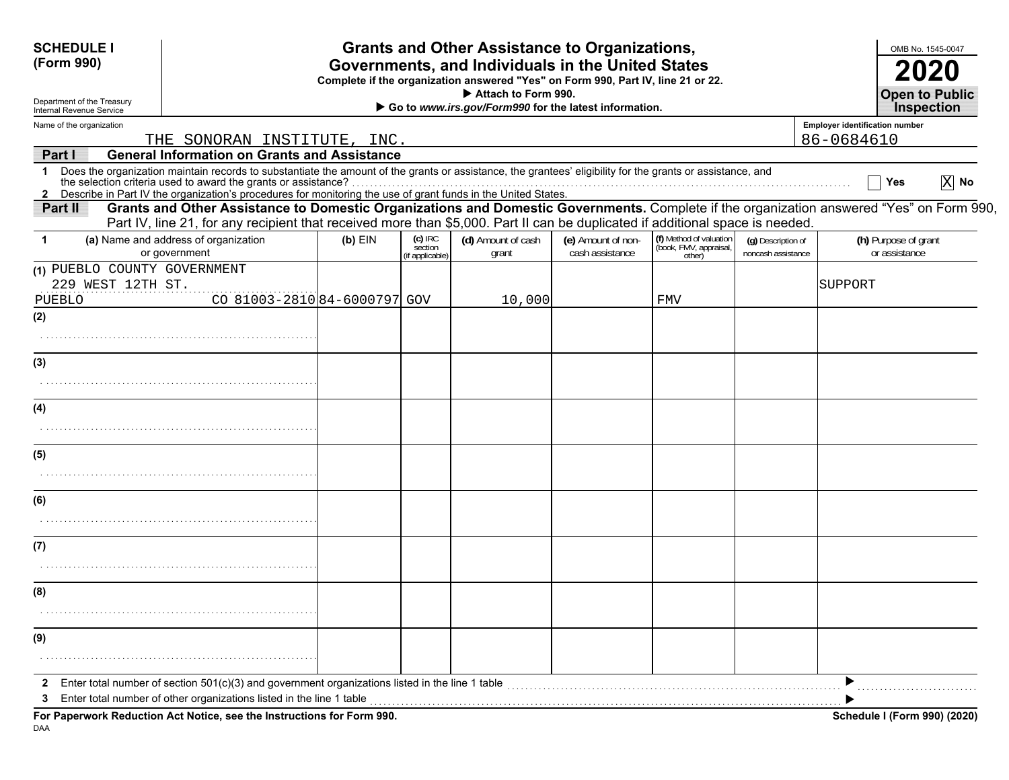| <b>SCHEDULE I</b><br>(Form 990)<br>Department of the Treasury<br>Internal Revenue Service |                                                                                                                                                                                                                                                                                     |           |                                         | <b>Grants and Other Assistance to Organizations,</b><br>Governments, and Individuals in the United States<br>Complete if the organization answered "Yes" on Form 990, Part IV, line 21 or 22.<br>Attach to Form 990.<br>Go to www.irs.gov/Form990 for the latest information. |                                       |                                                             |                                          |                                       | OMB No. 1545-0047<br><b>2020</b><br><b>Open to Public</b><br><b>Inspection</b> |
|-------------------------------------------------------------------------------------------|-------------------------------------------------------------------------------------------------------------------------------------------------------------------------------------------------------------------------------------------------------------------------------------|-----------|-----------------------------------------|-------------------------------------------------------------------------------------------------------------------------------------------------------------------------------------------------------------------------------------------------------------------------------|---------------------------------------|-------------------------------------------------------------|------------------------------------------|---------------------------------------|--------------------------------------------------------------------------------|
| Name of the organization                                                                  |                                                                                                                                                                                                                                                                                     |           |                                         |                                                                                                                                                                                                                                                                               |                                       |                                                             |                                          | <b>Employer identification number</b> |                                                                                |
|                                                                                           | THE SONORAN INSTITUTE, INC.                                                                                                                                                                                                                                                         |           |                                         |                                                                                                                                                                                                                                                                               |                                       |                                                             |                                          | 86-0684610                            |                                                                                |
| Part I<br>$\mathbf 1$<br>$\mathbf{2}$                                                     | <b>General Information on Grants and Assistance</b><br>Does the organization maintain records to substantiate the amount of the grants or assistance, the grantees' eligibility for the grants or assistance, and<br>the selection criteria used to award the grants or assistance? |           |                                         |                                                                                                                                                                                                                                                                               |                                       |                                                             |                                          |                                       | $\overline{X}$ No<br>Yes                                                       |
| Part II                                                                                   | Grants and Other Assistance to Domestic Organizations and Domestic Governments. Complete if the organization answered "Yes" on Form 990,<br>Part IV, line 21, for any recipient that received more than \$5,000. Part II can be duplicated if additional space is needed.           |           |                                         |                                                                                                                                                                                                                                                                               |                                       |                                                             |                                          |                                       |                                                                                |
| -1                                                                                        | (a) Name and address of organization<br>or government                                                                                                                                                                                                                               | $(b)$ EIN | $(c)$ IRC<br>section<br>(if applicable) | (d) Amount of cash<br>grant                                                                                                                                                                                                                                                   | (e) Amount of non-<br>cash assistance | (f) Method of valuation<br>(book, FMV, appraisal,<br>other) | (g) Description of<br>noncash assistance |                                       | (h) Purpose of grant<br>or assistance                                          |
| (1) PUEBLO COUNTY GOVERNMENT<br>229 WEST 12TH ST.<br>PUEBLO                               | CO 81003-281084-6000797 GOV                                                                                                                                                                                                                                                         |           |                                         | 10,000                                                                                                                                                                                                                                                                        |                                       | FMV                                                         |                                          | SUPPORT                               |                                                                                |
| (2)                                                                                       |                                                                                                                                                                                                                                                                                     |           |                                         |                                                                                                                                                                                                                                                                               |                                       |                                                             |                                          |                                       |                                                                                |
| (3)                                                                                       |                                                                                                                                                                                                                                                                                     |           |                                         |                                                                                                                                                                                                                                                                               |                                       |                                                             |                                          |                                       |                                                                                |
| (4)                                                                                       |                                                                                                                                                                                                                                                                                     |           |                                         |                                                                                                                                                                                                                                                                               |                                       |                                                             |                                          |                                       |                                                                                |
| (5)                                                                                       |                                                                                                                                                                                                                                                                                     |           |                                         |                                                                                                                                                                                                                                                                               |                                       |                                                             |                                          |                                       |                                                                                |
| (6)                                                                                       |                                                                                                                                                                                                                                                                                     |           |                                         |                                                                                                                                                                                                                                                                               |                                       |                                                             |                                          |                                       |                                                                                |
|                                                                                           |                                                                                                                                                                                                                                                                                     |           |                                         |                                                                                                                                                                                                                                                                               |                                       |                                                             |                                          |                                       |                                                                                |
| (7)                                                                                       |                                                                                                                                                                                                                                                                                     |           |                                         |                                                                                                                                                                                                                                                                               |                                       |                                                             |                                          |                                       |                                                                                |
| (8)                                                                                       |                                                                                                                                                                                                                                                                                     |           |                                         |                                                                                                                                                                                                                                                                               |                                       |                                                             |                                          |                                       |                                                                                |
|                                                                                           |                                                                                                                                                                                                                                                                                     |           |                                         |                                                                                                                                                                                                                                                                               |                                       |                                                             |                                          |                                       |                                                                                |
| (9)                                                                                       |                                                                                                                                                                                                                                                                                     |           |                                         |                                                                                                                                                                                                                                                                               |                                       |                                                             |                                          |                                       |                                                                                |
| 2<br>3                                                                                    | Enter total number of section $501(c)(3)$ and government organizations listed in the line 1 table<br>Enter total number of other organizations listed in the line 1 table                                                                                                           |           |                                         |                                                                                                                                                                                                                                                                               |                                       |                                                             |                                          |                                       |                                                                                |
|                                                                                           | For Paperwork Reduction Act Notice, see the Instructions for Form 990.                                                                                                                                                                                                              |           |                                         |                                                                                                                                                                                                                                                                               |                                       |                                                             |                                          |                                       | Schedule I (Form 990) (2020)                                                   |

DAA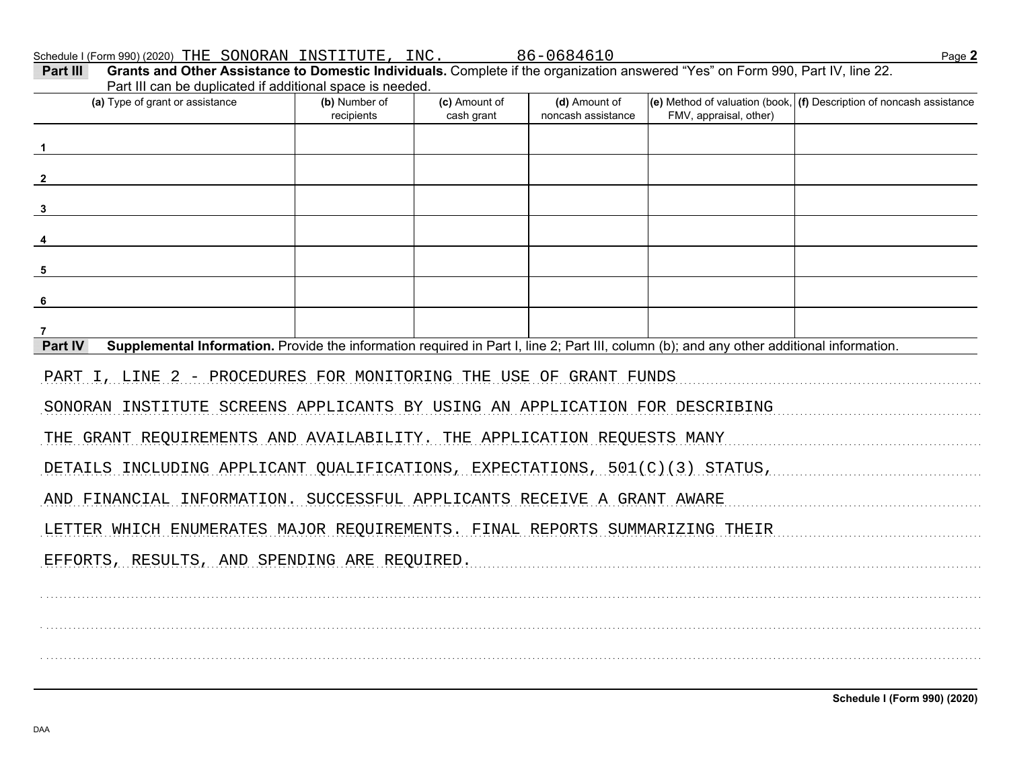Schedule I (Form 990) (2020) THE SONORAN INSTITUTE, INC.<br>**Part III Grants and Other Assistance to Domestic Individuals.** Complete if the organization answered "Yes" on Form 990, Part IV, line 22.

| Part III can be duplicated if additional space is needed.                                                                                            |               |               |                    |                        |                                                                                      |  |  |
|------------------------------------------------------------------------------------------------------------------------------------------------------|---------------|---------------|--------------------|------------------------|--------------------------------------------------------------------------------------|--|--|
| (a) Type of grant or assistance                                                                                                                      | (b) Number of | (c) Amount of | (d) Amount of      |                        | $\vert$ (e) Method of valuation (book, $\vert$ (f) Description of noncash assistance |  |  |
|                                                                                                                                                      | recipients    | cash grant    | noncash assistance | FMV, appraisal, other) |                                                                                      |  |  |
|                                                                                                                                                      |               |               |                    |                        |                                                                                      |  |  |
|                                                                                                                                                      |               |               |                    |                        |                                                                                      |  |  |
|                                                                                                                                                      |               |               |                    |                        |                                                                                      |  |  |
|                                                                                                                                                      |               |               |                    |                        |                                                                                      |  |  |
|                                                                                                                                                      |               |               |                    |                        |                                                                                      |  |  |
|                                                                                                                                                      |               |               |                    |                        |                                                                                      |  |  |
| 5                                                                                                                                                    |               |               |                    |                        |                                                                                      |  |  |
| 6                                                                                                                                                    |               |               |                    |                        |                                                                                      |  |  |
|                                                                                                                                                      |               |               |                    |                        |                                                                                      |  |  |
| Part IV<br>Supplemental Information. Provide the information required in Part I, line 2; Part III, column (b); and any other additional information. |               |               |                    |                        |                                                                                      |  |  |
| PART I, LINE 2 - PROCEDURES FOR MONITORING THE USE OF GRANT FUNDS                                                                                    |               |               |                    |                        |                                                                                      |  |  |
| SONORAN INSTITUTE SCREENS APPLICANTS BY USING AN APPLICATION FOR DESCRIBING                                                                          |               |               |                    |                        |                                                                                      |  |  |
| THE GRANT REQUIREMENTS AND AVAILABILITY. THE APPLICATION REQUESTS MANY                                                                               |               |               |                    |                        |                                                                                      |  |  |
| DETAILS INCLUDING APPLICANT QUALIFICATIONS, EXPECTATIONS, 501(C)(3) STATUS,                                                                          |               |               |                    |                        |                                                                                      |  |  |
| AND FINANCIAL INFORMATION. SUCCESSFUL APPLICANTS RECEIVE A GRANT AWARE                                                                               |               |               |                    |                        |                                                                                      |  |  |
| LETTER WHICH ENUMERATES MAJOR REQUIREMENTS. FINAL REPORTS SUMMARIZING THEIR                                                                          |               |               |                    |                        |                                                                                      |  |  |
| EFFORTS, RESULTS, AND SPENDING ARE REQUIRED.                                                                                                         |               |               |                    |                        |                                                                                      |  |  |
|                                                                                                                                                      |               |               |                    |                        |                                                                                      |  |  |
|                                                                                                                                                      |               |               |                    |                        |                                                                                      |  |  |
|                                                                                                                                                      |               |               |                    |                        |                                                                                      |  |  |
|                                                                                                                                                      |               |               |                    |                        |                                                                                      |  |  |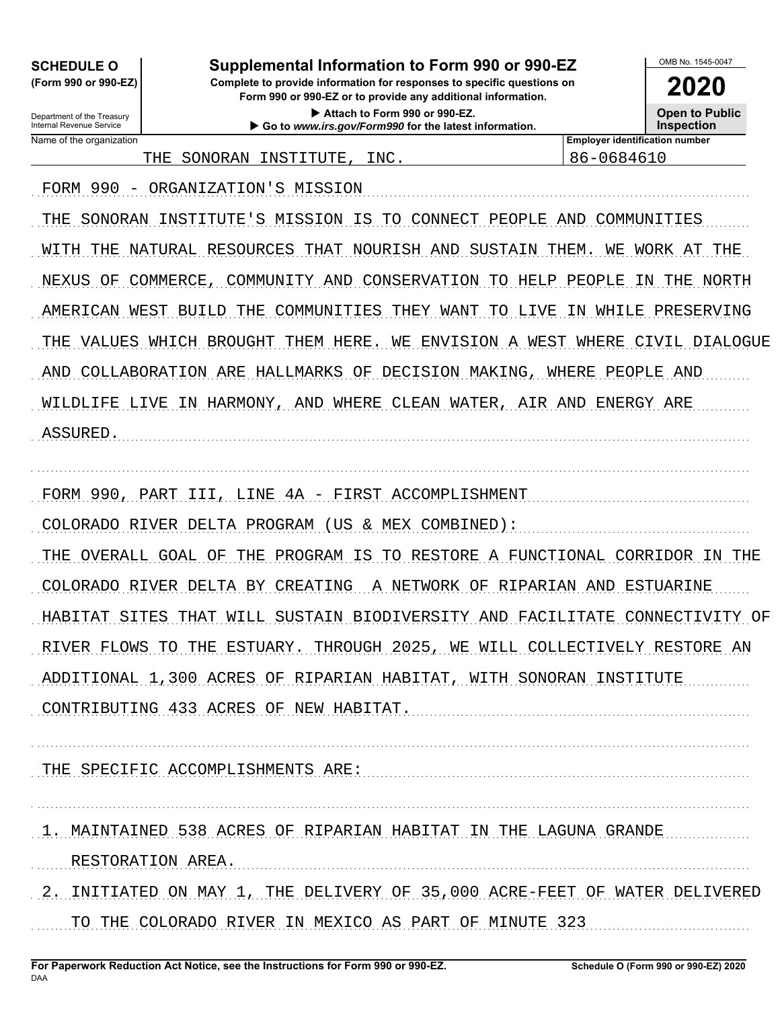**SCHEDULE O** 

(Form 990 or 990-EZ) Department of the Treasury

## Supplemental Information to Form 990 or 990-EZ

Complete to provide information for responses to specific questions on Form 990 or 990-EZ or to provide any additional information.

> Attach to Form 990 or 990-EZ. Go to www.irs.gov/Form990 for the latest information.

> > **INC**

2020 **Open to Public Inspection** 

OMB No. 1545-0047

Internal Revenue Service Name of the organization

**Employer identification number** 86-0684610

FORM 990 - ORGANIZATION'S MISSION

THE SONORAN INSTITUTE

THE SONORAN INSTITUTE'S MISSION IS TO CONNECT PEOPLE AND COMMUNITIES WITH THE NATURAL RESOURCES THAT NOURISH AND SUSTAIN THEM. WE WORK AT THE NEXUS OF COMMERCE, COMMUNITY AND CONSERVATION TO HELP PEOPLE IN THE NORTH AMERICAN WEST BUILD THE COMMUNITIES THEY WANT TO LIVE IN WHILE PRESERVING THE VALUES WHICH BROUGHT THEM HERE. WE ENVISION A WEST WHERE CIVIL DIALOGUE AND COLLABORATION ARE HALLMARKS OF DECISION MAKING, WHERE PEOPLE AND WILDLIFE LIVE IN HARMONY, AND WHERE CLEAN WATER, AIR AND ENERGY ARE ASSURED.

FORM 990, PART III, LINE 4A - FIRST ACCOMPLISHMENT

COLORADO RIVER DELTA PROGRAM (US & MEX COMBINED):

THE OVERALL GOAL OF THE PROGRAM IS TO RESTORE A FUNCTIONAL CORRIDOR IN THE COLORADO RIVER DELTA BY CREATING A NETWORK OF RIPARIAN AND ESTUARINE HABITAT SITES THAT WILL SUSTAIN BIODIVERSITY AND FACILITATE CONNECTIVITY OF RIVER FLOWS TO THE ESTUARY. THROUGH 2025, WE WILL COLLECTIVELY RESTORE AN ADDITIONAL 1,300 ACRES OF RIPARIAN HABITAT, WITH SONORAN INSTITUTE

CONTRIBUTING 433 ACRES OF NEW HABITAT.

THE SPECIFIC ACCOMPLISHMENTS ARE:

1. MAINTAINED 538 ACRES OF RIPARIAN HABITAT IN THE LAGUNA GRANDE

RESTORATION AREA.

2. INITIATED ON MAY 1, THE DELIVERY OF 35,000 ACRE-FEET OF WATER DELIVERED TO THE COLORADO RIVER IN MEXICO AS PART OF MINUTE 323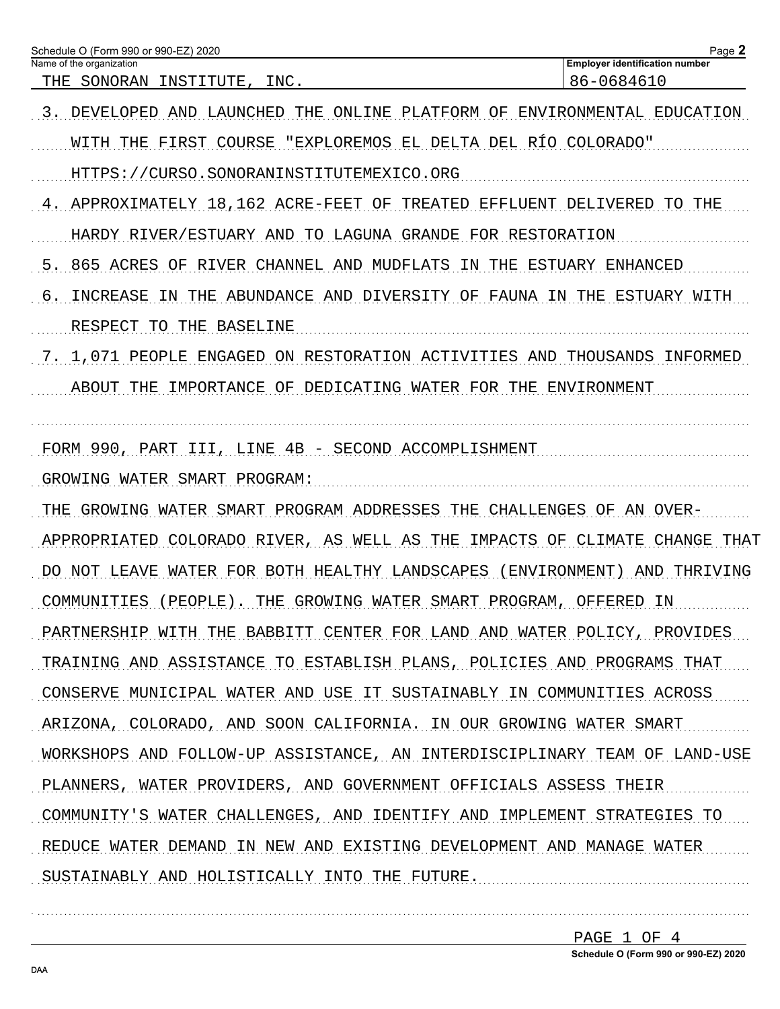| Schedule O (Form 990 or 990-EZ) 2020<br>Name of the organization                   | Page 2<br><b>Employer identification number</b> |
|------------------------------------------------------------------------------------|-------------------------------------------------|
| SONORAN INSTITUTE,<br>INC.<br>THE                                                  | 86-0684610                                      |
| THE ONLINE PLATFORM OF ENVIRONMENTAL EDUCATION<br>3.<br>DEVELOPED AND LAUNCHED     |                                                 |
| "EXPLOREMOS EL DELTA DEL RÍO COLORADO"<br>WITH THE FIRST<br>COURSE                 |                                                 |
| HTTPS://CURSO.SONORANINSTITUTEMEXICO.ORG                                           |                                                 |
| 4. APPROXIMATELY 18,162 ACRE-FEET OF TREATED EFFLUENT DELIVERED TO THE             |                                                 |
| HARDY RIVER/ESTUARY AND TO LAGUNA GRANDE FOR RESTORATION                           |                                                 |
| 5. 865 ACRES OF RIVER CHANNEL AND MUDFLATS IN THE ESTUARY ENHANCED                 |                                                 |
| THE ABUNDANCE AND DIVERSITY OF FAUNA IN THE ESTUARY WITH<br>6.<br>INCREASE<br>- IN |                                                 |
| <b>RESPECT</b><br>TO THE BASELINE                                                  |                                                 |
| 7. 1,071 PEOPLE ENGAGED ON RESTORATION ACTIVITIES AND THOUSANDS INFORMED           |                                                 |
| THE<br>IMPORTANCE OF DEDICATING WATER FOR THE ENVIRONMENT<br>ABOUT                 |                                                 |
| FORM 990, PART<br>III, LINE 4B - SECOND ACCOMPLISHMENT                             |                                                 |
| GROWING WATER SMART PROGRAM:                                                       |                                                 |
| WATER SMART PROGRAM ADDRESSES THE CHALLENGES OF AN OVER-<br>GROWING<br>THE         |                                                 |
| COLORADO RIVER, AS WELL AS THE<br>IMPACTS<br>APPROPRIATED<br>ΟF                    | CHANGE<br>THAT<br>CLIMATE                       |
| WATER FOR BOTH HEALTHY LANDSCAPES<br>NOT LEAVE<br>(ENVIRONMENT)<br>DO.             | AND THRIVING                                    |
| THE GROWING WATER SMART PROGRAM, OFFERED<br>COMMUNITIES<br>$(PEOPLE)$ .            | ΙN                                              |
| PARTNERSHIP WITH THE BABBITT CENTER FOR LAND AND WATER POLICY, PROVIDES            |                                                 |
| TRAINING AND ASSISTANCE TO ESTABLISH PLANS, POLICIES AND PROGRAMS THAT             |                                                 |
| CONSERVE MUNICIPAL WATER AND USE IT SUSTAINABLY IN COMMUNITIES ACROSS              |                                                 |
| ARIZONA, COLORADO, AND SOON CALIFORNIA. IN OUR GROWING WATER SMART                 |                                                 |
| WORKSHOPS AND FOLLOW-UP ASSISTANCE, AN INTERDISCIPLINARY TEAM OF LAND-USE          |                                                 |
| PLANNERS, WATER PROVIDERS, AND GOVERNMENT OFFICIALS ASSESS THEIR                   |                                                 |
| COMMUNITY'S WATER CHALLENGES, AND IDENTIFY AND IMPLEMENT STRATEGIES TO             |                                                 |
| REDUCE WATER DEMAND IN NEW AND EXISTING DEVELOPMENT AND MANAGE WATER               |                                                 |
| SUSTAINABLY AND HOLISTICALLY INTO THE FUTURE.                                      |                                                 |
|                                                                                    |                                                 |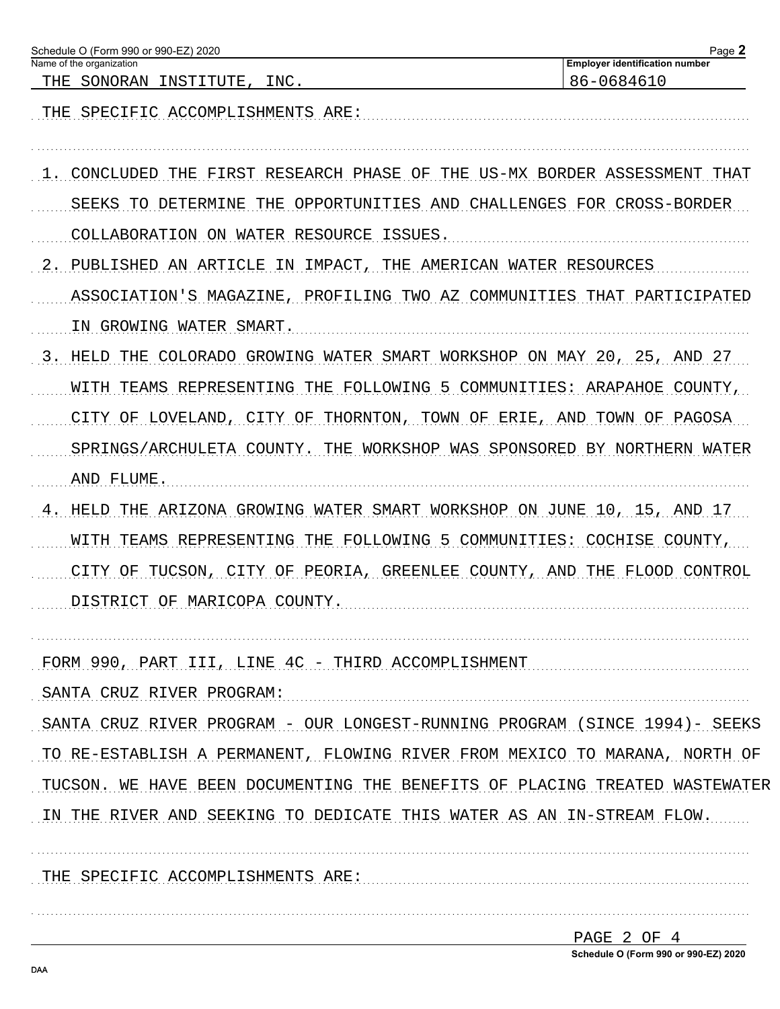| Schedule O (Form 990 or 990-EZ) 2020<br>Name of the organization             | Page $2$<br><b>Employer identification number</b> |
|------------------------------------------------------------------------------|---------------------------------------------------|
| THE SONORAN INSTITUTE.<br>INC.                                               | 86-0684610                                        |
| THE SPECIFIC ACCOMPLISHMENTS ARE:                                            |                                                   |
| CONCLUDED THE FIRST RESEARCH PHASE OF THE US-MX BORDER ASSESSMENT THAT       |                                                   |
| THE OPPORTUNITIES AND CHALLENGES FOR CROSS-BORDER<br>SEEKS TO DETERMINE      |                                                   |
| COLLABORATION ON WATER RESOURCE ISSUES.                                      |                                                   |
| PUBLISHED AN ARTICLE IN IMPACT, THE AMERICAN WATER RESOURCES<br>2.           |                                                   |
| ASSOCIATION'S MAGAZINE, PROFILING TWO AZ COMMUNITIES THAT PARTICIPATED       |                                                   |
| IN GROWING WATER SMART.                                                      |                                                   |
| THE COLORADO GROWING WATER SMART WORKSHOP ON MAY 20, 25, AND 27<br>3. HELD   |                                                   |
| TEAMS REPRESENTING THE FOLLOWING 5 COMMUNITIES: ARAPAHOE COUNTY,<br>WITH     |                                                   |
| CITY OF LOVELAND, CITY OF THORNTON, TOWN OF ERIE, AND TOWN OF PAGOSA         |                                                   |
| SPRINGS/ARCHULETA COUNTY. THE WORKSHOP WAS SPONSORED BY NORTHERN WATER       |                                                   |
| AND FLUME.                                                                   |                                                   |
| THE ARIZONA GROWING WATER SMART WORKSHOP ON JUNE 10, 15, AND 17<br>HELD      |                                                   |
| TEAMS REPRESENTING THE FOLLOWING 5 COMMUNITIES: COCHISE COUNTY,<br>WITH      |                                                   |
| TUCSON, CITY OF PEORIA, GREENLEE COUNTY, AND THE FLOOD CONTROL<br>CITY<br>OF |                                                   |
| DISTRICT OF MARICOPA COUNTY.                                                 |                                                   |
|                                                                              |                                                   |
| FORM 990, PART III, LINE 4C - THIRD ACCOMPLISHMENT                           |                                                   |
| SANTA CRUZ RIVER PROGRAM:                                                    |                                                   |
| SANTA CRUZ RIVER PROGRAM - OUR LONGEST-RUNNING PROGRAM (SINCE 1994)- SEEKS   |                                                   |
| TO RE-ESTABLISH A PERMANENT, FLOWING RIVER FROM MEXICO TO MARANA, NORTH OF   |                                                   |
| TUCSON. WE HAVE BEEN DOCUMENTING THE BENEFITS OF PLACING TREATED WASTEWATER  |                                                   |
| IN THE RIVER AND SEEKING TO DEDICATE THIS WATER AS AN IN-STREAM FLOW.        |                                                   |
|                                                                              |                                                   |
| THE SPECIFIC ACCOMPLISHMENTS ARE:                                            |                                                   |
|                                                                              |                                                   |
|                                                                              |                                                   |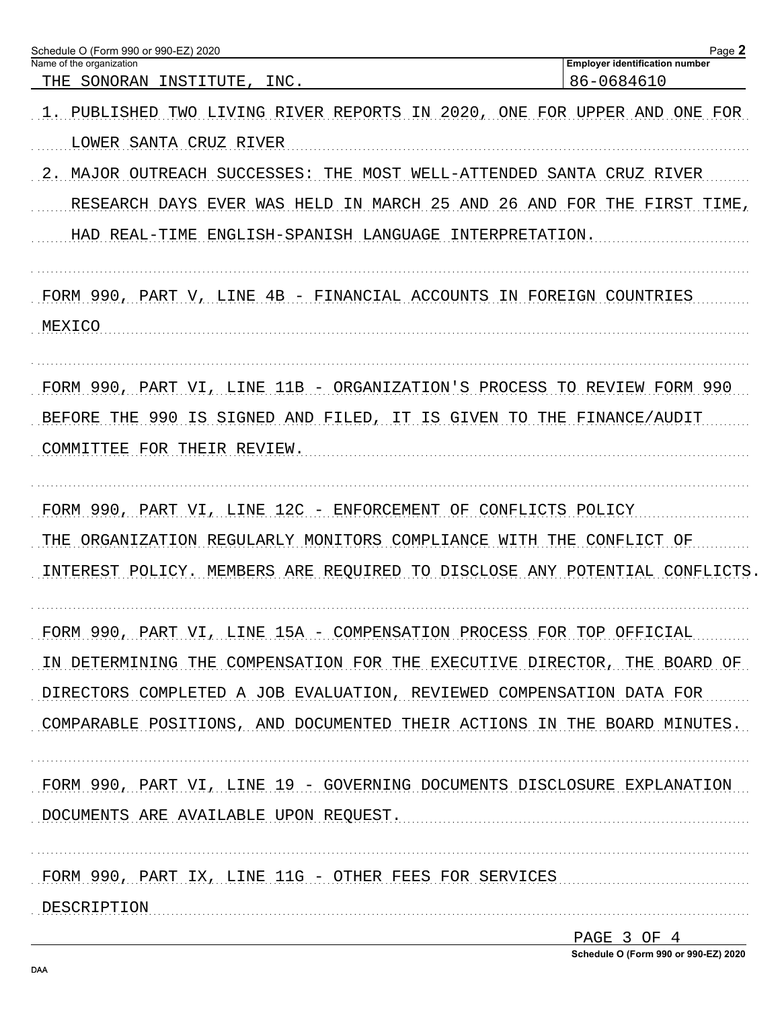| Schedule O (Form 990 or 990-EZ) 2020<br>Name of the organization                                   | Page 2<br><b>Employer identification number</b> |
|----------------------------------------------------------------------------------------------------|-------------------------------------------------|
| THE SONORAN INSTITUTE,<br>INC.                                                                     | 86-0684610                                      |
| TWO LIVING RIVER REPORTS IN 2020, ONE FOR UPPER AND ONE FOR<br>PUBLISHED<br>LOWER SANTA CRUZ RIVER |                                                 |
|                                                                                                    |                                                 |
| MAJOR OUTREACH SUCCESSES: THE MOST WELL-ATTENDED SANTA CRUZ RIVER<br>2.                            |                                                 |
| RESEARCH DAYS EVER WAS HELD IN MARCH 25 AND 26 AND FOR THE FIRST TIME,                             |                                                 |
| HAD REAL-TIME ENGLISH-SPANISH LANGUAGE INTERPRETATION.                                             |                                                 |
| FORM 990, PART V, LINE 4B - FINANCIAL ACCOUNTS IN FOREIGN COUNTRIES                                |                                                 |
| MEXICO                                                                                             |                                                 |
| FORM 990, PART VI, LINE 11B - ORGANIZATION'S PROCESS TO REVIEW FORM 990                            |                                                 |
| 990 IS SIGNED AND FILED, IT IS GIVEN TO THE FINANCE/AUDIT<br>BEFORE THE                            |                                                 |
| COMMITTEE FOR THEIR REVIEW.                                                                        |                                                 |
| FORM 990, PART VI, LINE 12C - ENFORCEMENT OF CONFLICTS POLICY                                      |                                                 |
| THE ORGANIZATION REGULARLY MONITORS COMPLIANCE WITH THE CONFLICT OF                                |                                                 |
| INTEREST POLICY. MEMBERS ARE REQUIRED TO DISCLOSE ANY POTENTIAL CONFLICTS                          |                                                 |
| FORM 990, PART VI, LINE 15A - COMPENSATION PROCESS FOR TOP OFFICIAL                                |                                                 |
| IN DETERMINING THE COMPENSATION FOR THE EXECUTIVE DIRECTOR, THE BOARD OF                           |                                                 |
| DIRECTORS COMPLETED A JOB EVALUATION, REVIEWED COMPENSATION DATA FOR                               |                                                 |
| COMPARABLE POSITIONS, AND DOCUMENTED THEIR ACTIONS IN THE BOARD MINUTES.                           |                                                 |
| FORM 990, PART VI, LINE 19 - GOVERNING DOCUMENTS DISCLOSURE EXPLANATION                            |                                                 |
| DOCUMENTS ARE AVAILABLE UPON REQUEST.                                                              |                                                 |
| FORM 990, PART IX, LINE 11G - OTHER FEES FOR SERVICES                                              |                                                 |
| DESCRIPTION                                                                                        |                                                 |

| PAGE 3 OF 4 |  |                                      |
|-------------|--|--------------------------------------|
|             |  | Schedule O (Form 990 or 990-EZ) 2020 |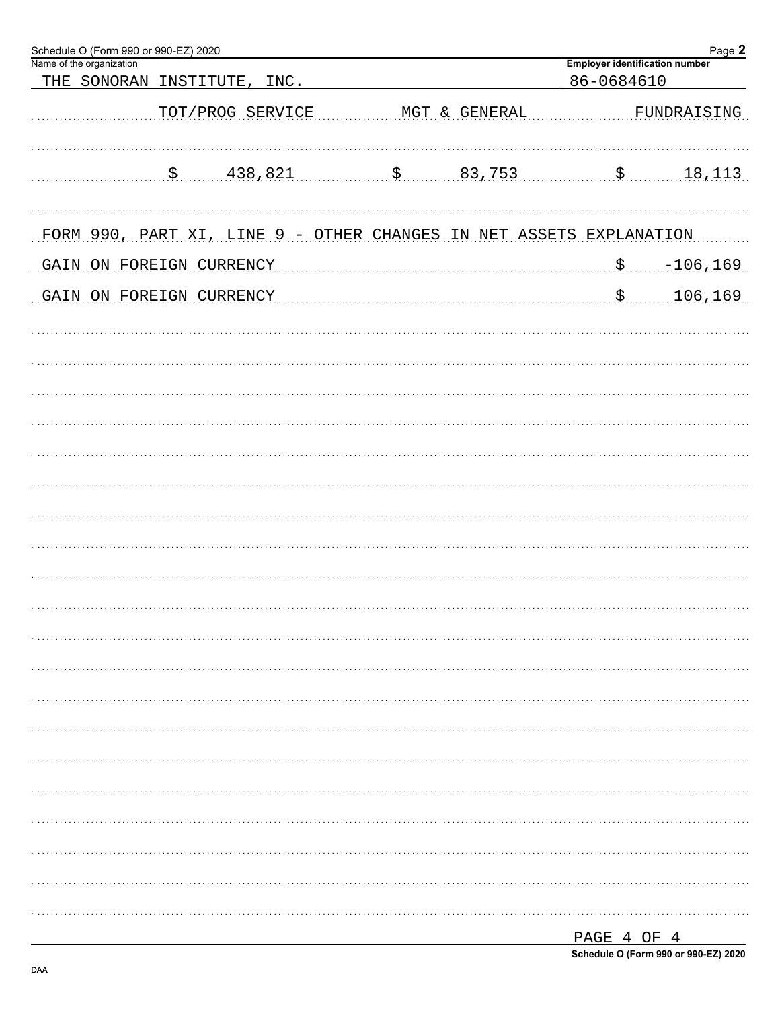| Schedule O (Form 990 or 990-EZ) 2020<br>Name of the organization<br>THE SONORAN INSTITUTE<br>INC. |               | <b>Employer identification number</b><br>86-0684610 | Page 2      |
|---------------------------------------------------------------------------------------------------|---------------|-----------------------------------------------------|-------------|
| TOT/PROG SERVICE                                                                                  | MGT & GENERAL |                                                     | FUNDRAISING |
| \$ 438,821                                                                                        | $$$ 83,753    |                                                     | 18, 113     |
| FORM 990, PART XI, LINE 9 - OTHER CHANGES IN NET ASSETS EXPLANATION                               |               |                                                     |             |
| GAIN ON FOREIGN CURRENCY                                                                          |               | \$.                                                 | $-106, 169$ |
| GAIN ON FOREIGN CURRENCY                                                                          |               | $\boldsymbol{\mathsf{S}}$ .                         | 106, 169    |
|                                                                                                   |               |                                                     |             |
|                                                                                                   |               |                                                     |             |
|                                                                                                   |               |                                                     |             |
|                                                                                                   |               |                                                     |             |
|                                                                                                   |               |                                                     |             |
|                                                                                                   |               |                                                     |             |
|                                                                                                   |               |                                                     |             |
|                                                                                                   |               |                                                     |             |
|                                                                                                   |               |                                                     |             |
|                                                                                                   |               |                                                     |             |
|                                                                                                   |               |                                                     |             |
|                                                                                                   |               |                                                     |             |
|                                                                                                   |               |                                                     |             |
|                                                                                                   |               |                                                     |             |
|                                                                                                   |               |                                                     |             |
|                                                                                                   |               |                                                     |             |
|                                                                                                   |               |                                                     |             |
|                                                                                                   |               |                                                     |             |
|                                                                                                   |               |                                                     |             |

| PAGE 4 OF 4 |  |                                      |
|-------------|--|--------------------------------------|
|             |  | Schedule O (Form 990 or 990-EZ) 2020 |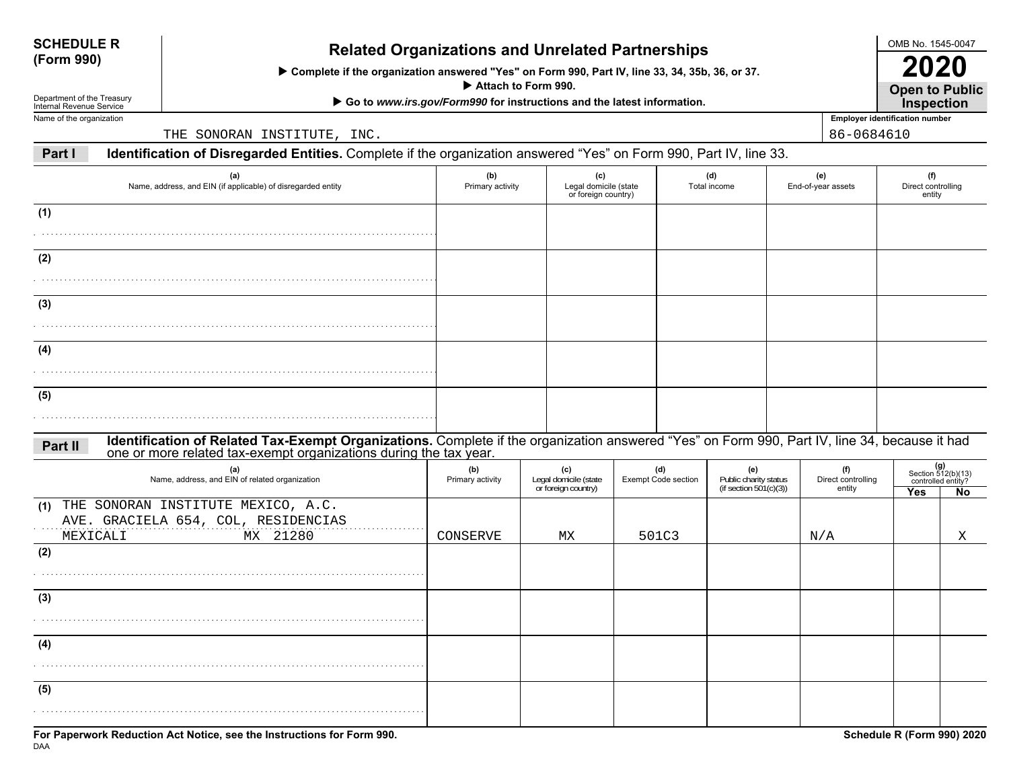| <b>SCHEDULE R</b> |  |
|-------------------|--|
| (Form 990)        |  |

# **(Form 990) Related Organizations and Unrelated Partnerships**

 **Complete if the organization answered "Yes" on Form 990, Part IV, line 33, 34, 35b, 36, or 37.**

 **Attach to Form 990.**

▶ Go to *www.irs.gov/Form990* for instructions and the latest information.

Department of the Treasury Internal Revenue ServiceName of the organization

THE SONORAN INSTITUTE, INC.  $86-0684610$ 

**Part IIdentification of Disregarded Entities.** Complete if the organization answered "Yes" on Form 990, Part IV, line 33.

| (a)<br>Name, address, and EIN (if applicable) of disregarded entity                                                                                                                                                        | (b)<br>Primary activity | (c)<br>Legal domicile (state<br>or foreign country) |                            | (d)<br>Total income                                       | (e)<br>End-of-year assets           | (f)<br>Direct controlling<br>entity |                                                         |
|----------------------------------------------------------------------------------------------------------------------------------------------------------------------------------------------------------------------------|-------------------------|-----------------------------------------------------|----------------------------|-----------------------------------------------------------|-------------------------------------|-------------------------------------|---------------------------------------------------------|
| (1)                                                                                                                                                                                                                        |                         |                                                     |                            |                                                           |                                     |                                     |                                                         |
| (2)<br>.                                                                                                                                                                                                                   |                         |                                                     |                            |                                                           |                                     |                                     |                                                         |
| (3)<br>.                                                                                                                                                                                                                   |                         |                                                     |                            |                                                           |                                     |                                     |                                                         |
| (4)                                                                                                                                                                                                                        |                         |                                                     |                            |                                                           |                                     |                                     |                                                         |
| (5)                                                                                                                                                                                                                        |                         |                                                     |                            |                                                           |                                     |                                     |                                                         |
| Identification of Related Tax-Exempt Organizations. Complete if the organization answered "Yes" on Form 990, Part IV, line 34, because it had one or more related tax-exempt organizations during the tax year.<br>Part II |                         |                                                     |                            |                                                           |                                     |                                     |                                                         |
| (a)<br>Name, address, and EIN of related organization                                                                                                                                                                      | (b)<br>Primary activity | (c)<br>Legal domicile (state<br>or foreign country) | (d)<br>Exempt Code section | (e)<br>Public charity status<br>(if section $501(c)(3)$ ) | (f)<br>Direct controlling<br>entity | <b>Yes</b>                          | $(g)$<br>Section 512(b)(13)<br>controlled entity?<br>No |
| (1) THE SONORAN INSTITUTE MEXICO, A.C.<br>AVE. GRACIELA 654, COL, RESIDENCIAS<br>MX 21280<br>MEXICALI                                                                                                                      | CONSERVE                | МX                                                  | 501C3                      |                                                           | N/A                                 |                                     | X                                                       |
| (2)                                                                                                                                                                                                                        |                         |                                                     |                            |                                                           |                                     |                                     |                                                         |
| (3)                                                                                                                                                                                                                        |                         |                                                     |                            |                                                           |                                     |                                     |                                                         |
| (4)                                                                                                                                                                                                                        |                         |                                                     |                            |                                                           |                                     |                                     |                                                         |
| (5)                                                                                                                                                                                                                        |                         |                                                     |                            |                                                           |                                     |                                     |                                                         |

OMB No. 1545-0047

**Open to Public 2020**

**Employer identification number Inspection**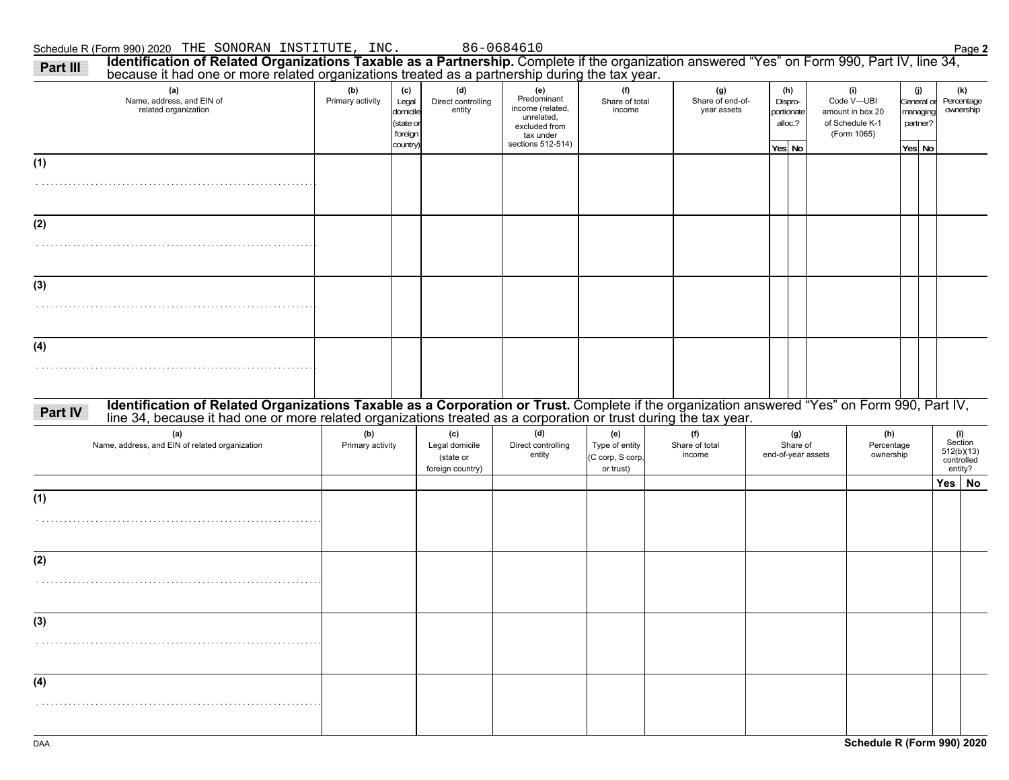|         | because it had one or more related organizations treated as a partnership during the tax year.<br>(a)                                                                                                                          | (b)                     | (c)                                                  | (d)                                                    | (e)                                                                                              | (f)                                                    | (g)                             | (h)                                        | (i)                                                              | (j)                                          | (k)                                                   |
|---------|--------------------------------------------------------------------------------------------------------------------------------------------------------------------------------------------------------------------------------|-------------------------|------------------------------------------------------|--------------------------------------------------------|--------------------------------------------------------------------------------------------------|--------------------------------------------------------|---------------------------------|--------------------------------------------|------------------------------------------------------------------|----------------------------------------------|-------------------------------------------------------|
|         | Name, address, and EIN of<br>related organization                                                                                                                                                                              | Primary activity        | Legal<br>domicile<br>(state or<br>foreign<br>country | Direct controlling<br>entity                           | Predominant<br>income (related,<br>unrelated,<br>excluded from<br>tax under<br>sections 512-514) | Share of total<br>income                               | Share of end-of-<br>year assets | Dispro-<br>portionate<br>alloc.?<br>Yes No | Code V-UBI<br>amount in box 20<br>of Schedule K-1<br>(Form 1065) | General or<br>managing<br>partner?<br>Yes No | Percentage<br>ownership                               |
| (1)     |                                                                                                                                                                                                                                |                         |                                                      |                                                        |                                                                                                  |                                                        |                                 |                                            |                                                                  |                                              |                                                       |
|         |                                                                                                                                                                                                                                |                         |                                                      |                                                        |                                                                                                  |                                                        |                                 |                                            |                                                                  |                                              |                                                       |
| (2)     |                                                                                                                                                                                                                                |                         |                                                      |                                                        |                                                                                                  |                                                        |                                 |                                            |                                                                  |                                              |                                                       |
|         |                                                                                                                                                                                                                                |                         |                                                      |                                                        |                                                                                                  |                                                        |                                 |                                            |                                                                  |                                              |                                                       |
| (3)     |                                                                                                                                                                                                                                |                         |                                                      |                                                        |                                                                                                  |                                                        |                                 |                                            |                                                                  |                                              |                                                       |
|         |                                                                                                                                                                                                                                |                         |                                                      |                                                        |                                                                                                  |                                                        |                                 |                                            |                                                                  |                                              |                                                       |
| (4)     |                                                                                                                                                                                                                                |                         |                                                      |                                                        |                                                                                                  |                                                        |                                 |                                            |                                                                  |                                              |                                                       |
|         |                                                                                                                                                                                                                                |                         |                                                      |                                                        |                                                                                                  |                                                        |                                 |                                            |                                                                  |                                              |                                                       |
| Part IV | Identification of Related Organizations Taxable as a Corporation or Trust. Complete if the organization answered "Yes" on Form 990, Part IV, line 34, because it had one or more related organizations treated as a corporatio |                         |                                                      |                                                        |                                                                                                  |                                                        |                                 |                                            |                                                                  |                                              |                                                       |
|         | (a)<br>Name, address, and EIN of related organization                                                                                                                                                                          | (b)<br>Primary activity |                                                      | (c)<br>Legal domicile<br>(state or<br>foreign country) | (d)<br>Direct controlling<br>entity                                                              | (e)<br>Type of entity<br>(C corp, S corp,<br>or trust) | (f)<br>Share of total<br>income | (g)<br>Share of<br>end-of-year assets      | (h)<br>Percentage<br>ownership                                   |                                              | (i)<br>Section<br>512(b)(13)<br>controlled<br>entity? |
| (1)     |                                                                                                                                                                                                                                |                         |                                                      |                                                        |                                                                                                  |                                                        |                                 |                                            |                                                                  |                                              | Yes   No                                              |
|         |                                                                                                                                                                                                                                |                         |                                                      |                                                        |                                                                                                  |                                                        |                                 |                                            |                                                                  |                                              |                                                       |
| (2)     |                                                                                                                                                                                                                                |                         |                                                      |                                                        |                                                                                                  |                                                        |                                 |                                            |                                                                  |                                              |                                                       |
|         |                                                                                                                                                                                                                                |                         |                                                      |                                                        |                                                                                                  |                                                        |                                 |                                            |                                                                  |                                              |                                                       |
|         |                                                                                                                                                                                                                                |                         |                                                      |                                                        |                                                                                                  |                                                        |                                 |                                            |                                                                  |                                              |                                                       |
| (3)     |                                                                                                                                                                                                                                |                         |                                                      |                                                        |                                                                                                  |                                                        |                                 |                                            |                                                                  |                                              |                                                       |
|         |                                                                                                                                                                                                                                |                         |                                                      |                                                        |                                                                                                  |                                                        |                                 |                                            |                                                                  |                                              |                                                       |
| (4)     |                                                                                                                                                                                                                                |                         |                                                      |                                                        |                                                                                                  |                                                        |                                 |                                            |                                                                  |                                              |                                                       |
|         |                                                                                                                                                                                                                                |                         |                                                      |                                                        |                                                                                                  |                                                        |                                 |                                            |                                                                  |                                              |                                                       |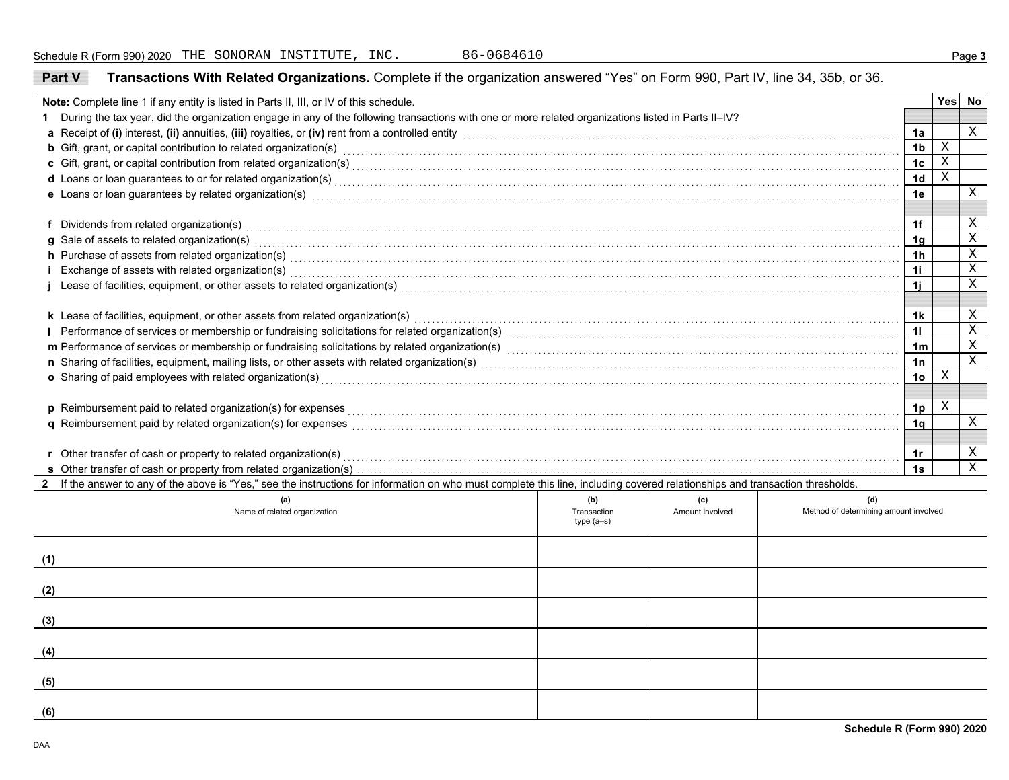| Part V                                                                                                                                                                                                                               | Transactions With Related Organizations. Complete if the organization answered "Yes" on Form 990, Part IV, line 34, 35b, or 36.                                                                                                                                                                                                                       |                            |                 |                                       |                |  |             |  |  |  |
|--------------------------------------------------------------------------------------------------------------------------------------------------------------------------------------------------------------------------------------|-------------------------------------------------------------------------------------------------------------------------------------------------------------------------------------------------------------------------------------------------------------------------------------------------------------------------------------------------------|----------------------------|-----------------|---------------------------------------|----------------|--|-------------|--|--|--|
| Note: Complete line 1 if any entity is listed in Parts II, III, or IV of this schedule.                                                                                                                                              |                                                                                                                                                                                                                                                                                                                                                       |                            |                 |                                       |                |  |             |  |  |  |
|                                                                                                                                                                                                                                      | 1 During the tax year, did the organization engage in any of the following transactions with one or more related organizations listed in Parts II-IV?                                                                                                                                                                                                 |                            |                 |                                       |                |  |             |  |  |  |
| a Receipt of (i) interest, (ii) annuities, (iii) royalties, or (iv) rent from a controlled entity [1] controlled entity controlled entity and controlled entity and controlled entity and content and contain and contained th       |                                                                                                                                                                                                                                                                                                                                                       |                            |                 |                                       |                |  |             |  |  |  |
| <b>b</b> Gift, grant, or capital contribution to related organization(s) encourse contained and contained and contribution to related organization(s) encourse contained and contained and contained and contained and contained an  |                                                                                                                                                                                                                                                                                                                                                       |                            |                 |                                       |                |  |             |  |  |  |
|                                                                                                                                                                                                                                      |                                                                                                                                                                                                                                                                                                                                                       |                            |                 |                                       |                |  |             |  |  |  |
| d Loans or loan guarantees to or for related organization(s) with the contract the contract of contract the contract or contract or contract or contract or contract or contract or contract or contract or contract or contra       |                                                                                                                                                                                                                                                                                                                                                       |                            |                 |                                       |                |  |             |  |  |  |
| e Loans or loan guarantees by related organization(s) encountled and contain an account of the container and container and container and container and container and container and container and container and container and c       |                                                                                                                                                                                                                                                                                                                                                       |                            |                 |                                       |                |  |             |  |  |  |
|                                                                                                                                                                                                                                      |                                                                                                                                                                                                                                                                                                                                                       |                            |                 |                                       |                |  |             |  |  |  |
|                                                                                                                                                                                                                                      | f Dividends from related organization(s) encourance contains a substantial container and container and container and container and container and container and container and container and container and container and contain                                                                                                                        |                            |                 |                                       | 1f             |  | X           |  |  |  |
|                                                                                                                                                                                                                                      |                                                                                                                                                                                                                                                                                                                                                       |                            |                 |                                       | 1 <sub>g</sub> |  | $\mathbf X$ |  |  |  |
|                                                                                                                                                                                                                                      | g Sale of assets to related organization(s) with an example and contact the set of assets to related organization(s)<br>h Purchase of assets from related organization(s) encourance contains a container and container and container and container and container and container and container and container and container and container and container |                            |                 |                                       |                |  |             |  |  |  |
|                                                                                                                                                                                                                                      |                                                                                                                                                                                                                                                                                                                                                       |                            |                 |                                       | 1i             |  | X           |  |  |  |
| Exchange of assets with related organization(s) with an example and contact the control of an experiment of assets with related organization(s)                                                                                      |                                                                                                                                                                                                                                                                                                                                                       |                            |                 |                                       |                |  |             |  |  |  |
|                                                                                                                                                                                                                                      |                                                                                                                                                                                                                                                                                                                                                       |                            |                 |                                       |                |  |             |  |  |  |
| k Lease of facilities, equipment, or other assets from related organization(s) [11] resummation (source in the content of facilities, equipment, or other assets from related organization(s) [11] $\sim$ 0.1] $\sim$ 0.1] $\sim$ 0. |                                                                                                                                                                                                                                                                                                                                                       |                            |                 |                                       |                |  |             |  |  |  |
|                                                                                                                                                                                                                                      |                                                                                                                                                                                                                                                                                                                                                       |                            |                 |                                       |                |  |             |  |  |  |
|                                                                                                                                                                                                                                      | m Performance of services or membership or fundraising solicitations by related organization(s) [11] mechanicano material contents of services or membership or fundraising solicitations by related organization(s) [11] mech                                                                                                                        |                            |                 |                                       |                |  |             |  |  |  |
|                                                                                                                                                                                                                                      |                                                                                                                                                                                                                                                                                                                                                       |                            |                 |                                       | 1n             |  | X           |  |  |  |
| o Sharing of paid employees with related organization(s)                                                                                                                                                                             |                                                                                                                                                                                                                                                                                                                                                       |                            |                 |                                       |                |  |             |  |  |  |
|                                                                                                                                                                                                                                      |                                                                                                                                                                                                                                                                                                                                                       |                            |                 |                                       |                |  |             |  |  |  |
|                                                                                                                                                                                                                                      |                                                                                                                                                                                                                                                                                                                                                       |                            |                 |                                       |                |  |             |  |  |  |
| q Reimbursement paid by related organization(s) for expenses [11, 12] match that the content of the content of the content of the content of the content of the content of the content of the content of the content of the co       |                                                                                                                                                                                                                                                                                                                                                       |                            |                 |                                       |                |  |             |  |  |  |
|                                                                                                                                                                                                                                      |                                                                                                                                                                                                                                                                                                                                                       |                            |                 |                                       |                |  |             |  |  |  |
| r Other transfer of cash or property to related organization(s) encourance contains an example and contained and contained and contained and contained and contained and contained and contained and contained and contained a       |                                                                                                                                                                                                                                                                                                                                                       |                            |                 |                                       |                |  |             |  |  |  |
|                                                                                                                                                                                                                                      |                                                                                                                                                                                                                                                                                                                                                       |                            |                 |                                       |                |  |             |  |  |  |
|                                                                                                                                                                                                                                      | 2 If the answer to any of the above is "Yes," see the instructions for information on who must complete this line, including covered relationships and transaction thresholds.                                                                                                                                                                        |                            |                 |                                       |                |  |             |  |  |  |
|                                                                                                                                                                                                                                      | (a)                                                                                                                                                                                                                                                                                                                                                   | (b)                        | (c)             | (d)                                   |                |  |             |  |  |  |
|                                                                                                                                                                                                                                      | Name of related organization                                                                                                                                                                                                                                                                                                                          | Transaction<br>$type(a-s)$ | Amount involved | Method of determining amount involved |                |  |             |  |  |  |
|                                                                                                                                                                                                                                      |                                                                                                                                                                                                                                                                                                                                                       |                            |                 |                                       |                |  |             |  |  |  |
|                                                                                                                                                                                                                                      |                                                                                                                                                                                                                                                                                                                                                       |                            |                 |                                       |                |  |             |  |  |  |
| (1)                                                                                                                                                                                                                                  |                                                                                                                                                                                                                                                                                                                                                       |                            |                 |                                       |                |  |             |  |  |  |
|                                                                                                                                                                                                                                      |                                                                                                                                                                                                                                                                                                                                                       |                            |                 |                                       |                |  |             |  |  |  |
| (2)                                                                                                                                                                                                                                  |                                                                                                                                                                                                                                                                                                                                                       |                            |                 |                                       |                |  |             |  |  |  |

**(3)**

**(4)**

**(5)**

**(6)**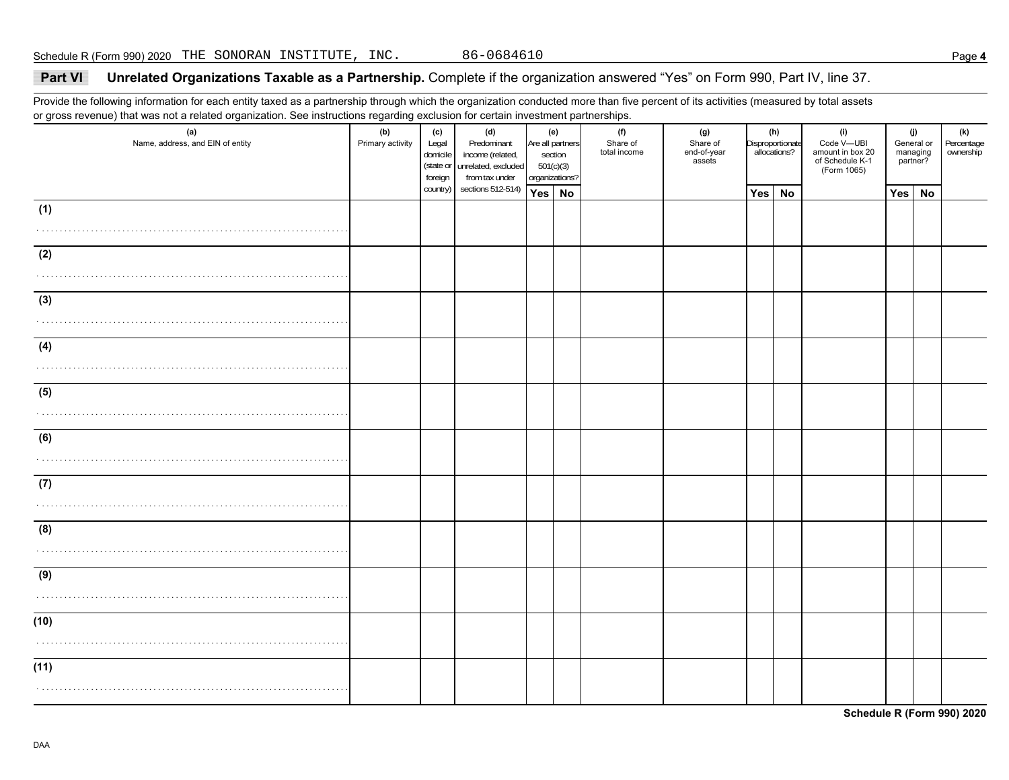## **Part VI Unrelated Organizations Taxable as a Partnership.** Complete if the organization answered "Yes" on Form 990, Part IV, line 37.

Provide the following information for each entity taxed as a partnership through which the organization conducted more than five percent of its activities (measured by total assets or gross revenue) that was not a related organization. See instructions regarding exclusion for certain investment partnerships.

| (a)<br>Name, address, and EIN of entity | (b)<br>Primary activity | (c)<br>Legal<br>domicile<br>(state or<br>foreign | (d)<br>Predominant<br>income (related,<br>unrelated, excluded<br>from tax under |        | (e)<br>Are all partners<br>section<br>501(c)(3)<br>organizations? | (f)<br>Share of<br>total income | (g)<br>Share of<br>end-of-year<br>assets | (h)<br>Disproportionate<br>allocations? |    | (i)<br>Code V-UBI<br>amount in box 20<br>of Schedule K-1<br>(Form 1065) | (j)<br>General or<br>managing<br>partner? |  | (k)<br>Percentage<br>ownership |
|-----------------------------------------|-------------------------|--------------------------------------------------|---------------------------------------------------------------------------------|--------|-------------------------------------------------------------------|---------------------------------|------------------------------------------|-----------------------------------------|----|-------------------------------------------------------------------------|-------------------------------------------|--|--------------------------------|
|                                         |                         | country)                                         | sections 512-514)                                                               | Yes No |                                                                   |                                 |                                          | Yes                                     | No |                                                                         | Yes No                                    |  |                                |
| (1)                                     |                         |                                                  |                                                                                 |        |                                                                   |                                 |                                          |                                         |    |                                                                         |                                           |  |                                |
|                                         |                         |                                                  |                                                                                 |        |                                                                   |                                 |                                          |                                         |    |                                                                         |                                           |  |                                |
| (2)                                     |                         |                                                  |                                                                                 |        |                                                                   |                                 |                                          |                                         |    |                                                                         |                                           |  |                                |
|                                         |                         |                                                  |                                                                                 |        |                                                                   |                                 |                                          |                                         |    |                                                                         |                                           |  |                                |
| (3)                                     |                         |                                                  |                                                                                 |        |                                                                   |                                 |                                          |                                         |    |                                                                         |                                           |  |                                |
|                                         |                         |                                                  |                                                                                 |        |                                                                   |                                 |                                          |                                         |    |                                                                         |                                           |  |                                |
| (4)                                     |                         |                                                  |                                                                                 |        |                                                                   |                                 |                                          |                                         |    |                                                                         |                                           |  |                                |
|                                         |                         |                                                  |                                                                                 |        |                                                                   |                                 |                                          |                                         |    |                                                                         |                                           |  |                                |
|                                         |                         |                                                  |                                                                                 |        |                                                                   |                                 |                                          |                                         |    |                                                                         |                                           |  |                                |
| (5)                                     |                         |                                                  |                                                                                 |        |                                                                   |                                 |                                          |                                         |    |                                                                         |                                           |  |                                |
|                                         |                         |                                                  |                                                                                 |        |                                                                   |                                 |                                          |                                         |    |                                                                         |                                           |  |                                |
| (6)                                     |                         |                                                  |                                                                                 |        |                                                                   |                                 |                                          |                                         |    |                                                                         |                                           |  |                                |
|                                         |                         |                                                  |                                                                                 |        |                                                                   |                                 |                                          |                                         |    |                                                                         |                                           |  |                                |
| (7)                                     |                         |                                                  |                                                                                 |        |                                                                   |                                 |                                          |                                         |    |                                                                         |                                           |  |                                |
|                                         |                         |                                                  |                                                                                 |        |                                                                   |                                 |                                          |                                         |    |                                                                         |                                           |  |                                |
| (8)                                     |                         |                                                  |                                                                                 |        |                                                                   |                                 |                                          |                                         |    |                                                                         |                                           |  |                                |
|                                         |                         |                                                  |                                                                                 |        |                                                                   |                                 |                                          |                                         |    |                                                                         |                                           |  |                                |
| (9)                                     |                         |                                                  |                                                                                 |        |                                                                   |                                 |                                          |                                         |    |                                                                         |                                           |  |                                |
|                                         |                         |                                                  |                                                                                 |        |                                                                   |                                 |                                          |                                         |    |                                                                         |                                           |  |                                |
| (10)                                    |                         |                                                  |                                                                                 |        |                                                                   |                                 |                                          |                                         |    |                                                                         |                                           |  |                                |
|                                         |                         |                                                  |                                                                                 |        |                                                                   |                                 |                                          |                                         |    |                                                                         |                                           |  |                                |
|                                         |                         |                                                  |                                                                                 |        |                                                                   |                                 |                                          |                                         |    |                                                                         |                                           |  |                                |
| (11)                                    |                         |                                                  |                                                                                 |        |                                                                   |                                 |                                          |                                         |    |                                                                         |                                           |  |                                |
|                                         |                         |                                                  |                                                                                 |        |                                                                   |                                 |                                          |                                         |    |                                                                         |                                           |  |                                |